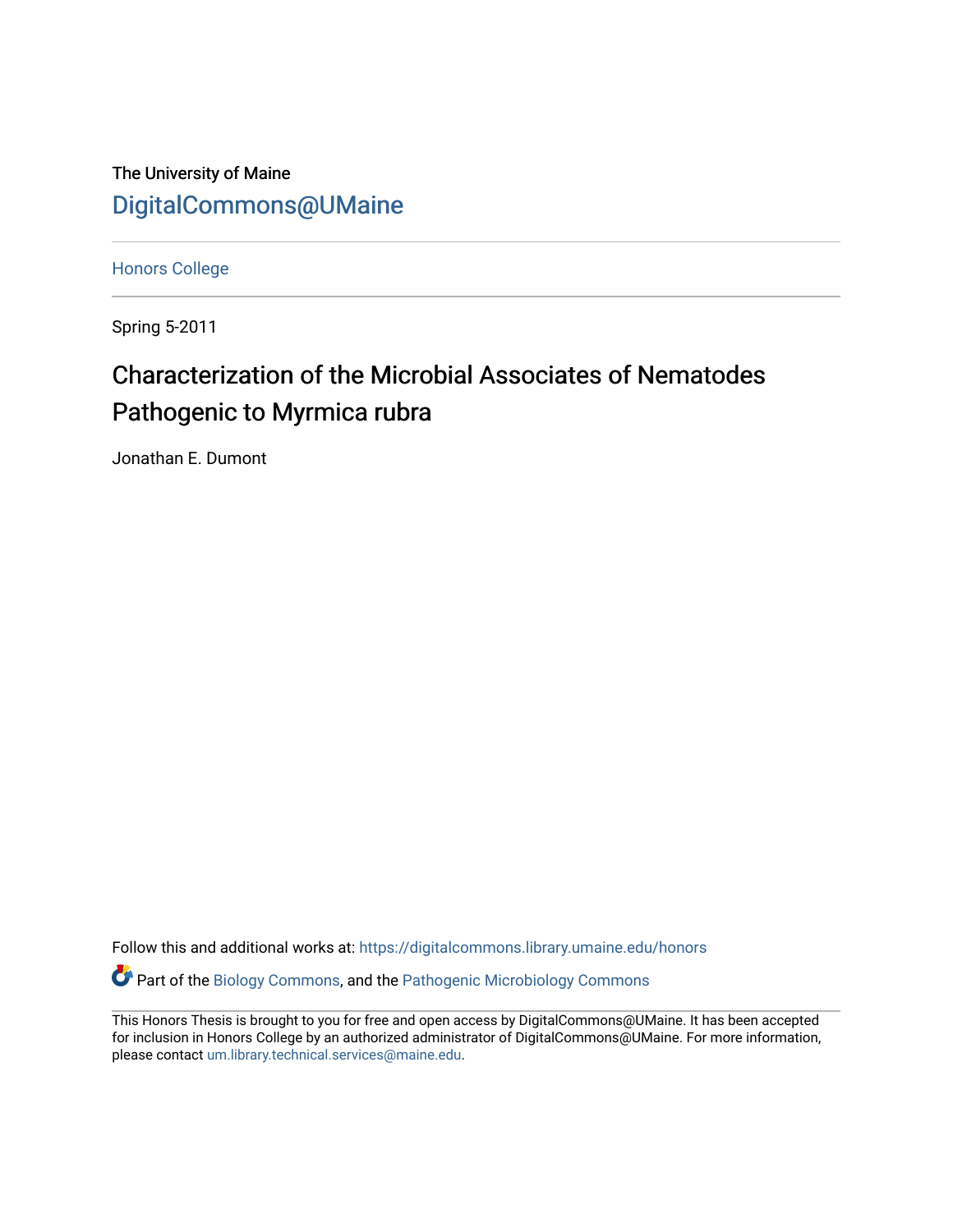The University of Maine [DigitalCommons@UMaine](https://digitalcommons.library.umaine.edu/)

[Honors College](https://digitalcommons.library.umaine.edu/honors)

Spring 5-2011

# Characterization of the Microbial Associates of Nematodes Pathogenic to Myrmica rubra

Jonathan E. Dumont

Follow this and additional works at: [https://digitalcommons.library.umaine.edu/honors](https://digitalcommons.library.umaine.edu/honors?utm_source=digitalcommons.library.umaine.edu%2Fhonors%2F629&utm_medium=PDF&utm_campaign=PDFCoverPages)  Part of the [Biology Commons,](http://network.bepress.com/hgg/discipline/41?utm_source=digitalcommons.library.umaine.edu%2Fhonors%2F629&utm_medium=PDF&utm_campaign=PDFCoverPages) and the [Pathogenic Microbiology Commons](http://network.bepress.com/hgg/discipline/52?utm_source=digitalcommons.library.umaine.edu%2Fhonors%2F629&utm_medium=PDF&utm_campaign=PDFCoverPages) 

This Honors Thesis is brought to you for free and open access by DigitalCommons@UMaine. It has been accepted for inclusion in Honors College by an authorized administrator of DigitalCommons@UMaine. For more information, please contact [um.library.technical.services@maine.edu.](mailto:um.library.technical.services@maine.edu)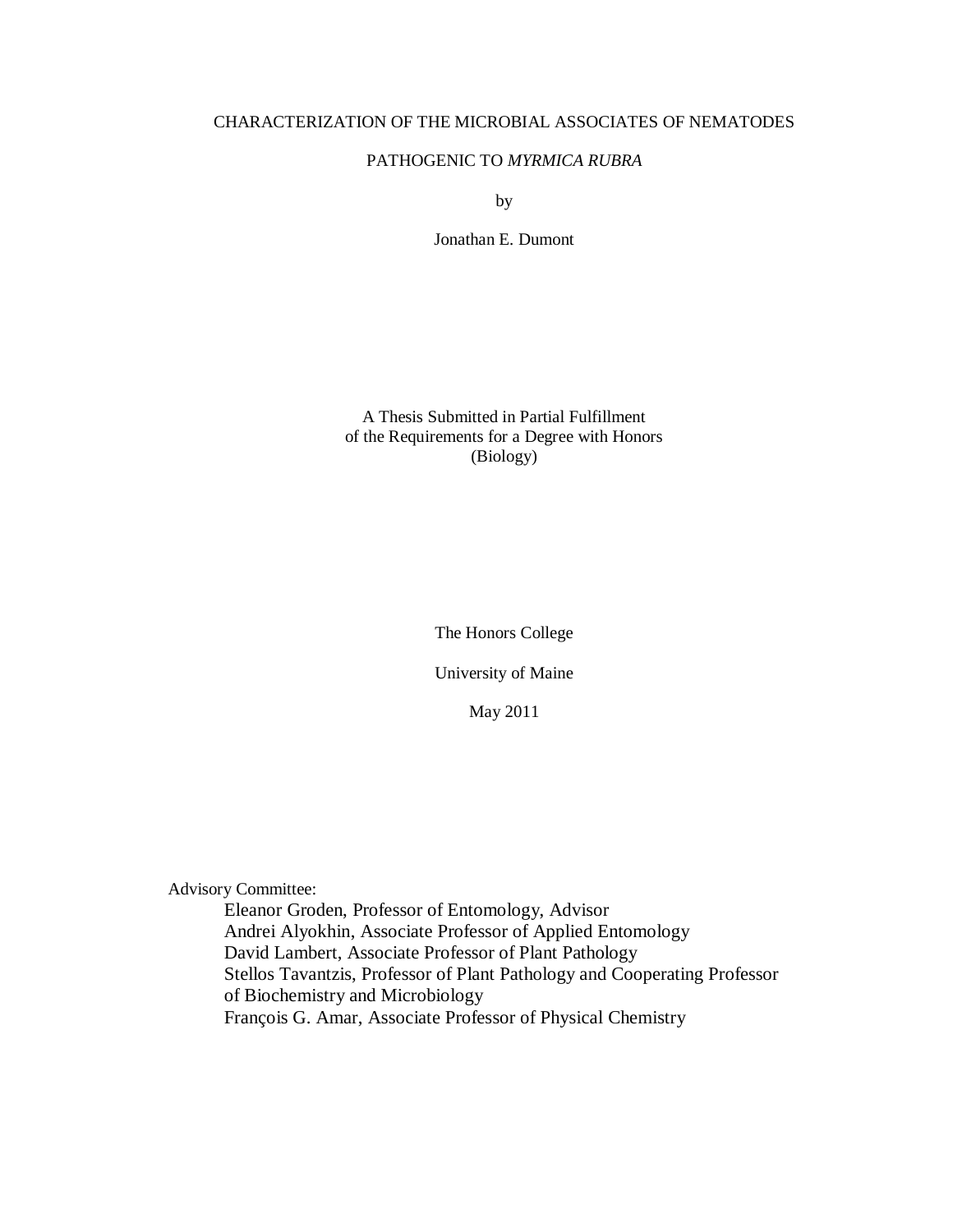## CHARACTERIZATION OF THE MICROBIAL ASSOCIATES OF NEMATODES

## PATHOGENIC TO *MYRMICA RUBRA*

by

Jonathan E. Dumont

A Thesis Submitted in Partial Fulfillment of the Requirements for a Degree with Honors (Biology)

The Honors College

University of Maine

May 2011

Advisory Committee:

Eleanor Groden, Professor of Entomology, Advisor Andrei Alyokhin, Associate Professor of Applied Entomology David Lambert, Associate Professor of Plant Pathology Stellos Tavantzis, Professor of Plant Pathology and Cooperating Professor of Biochemistry and Microbiology François G. Amar, Associate Professor of Physical Chemistry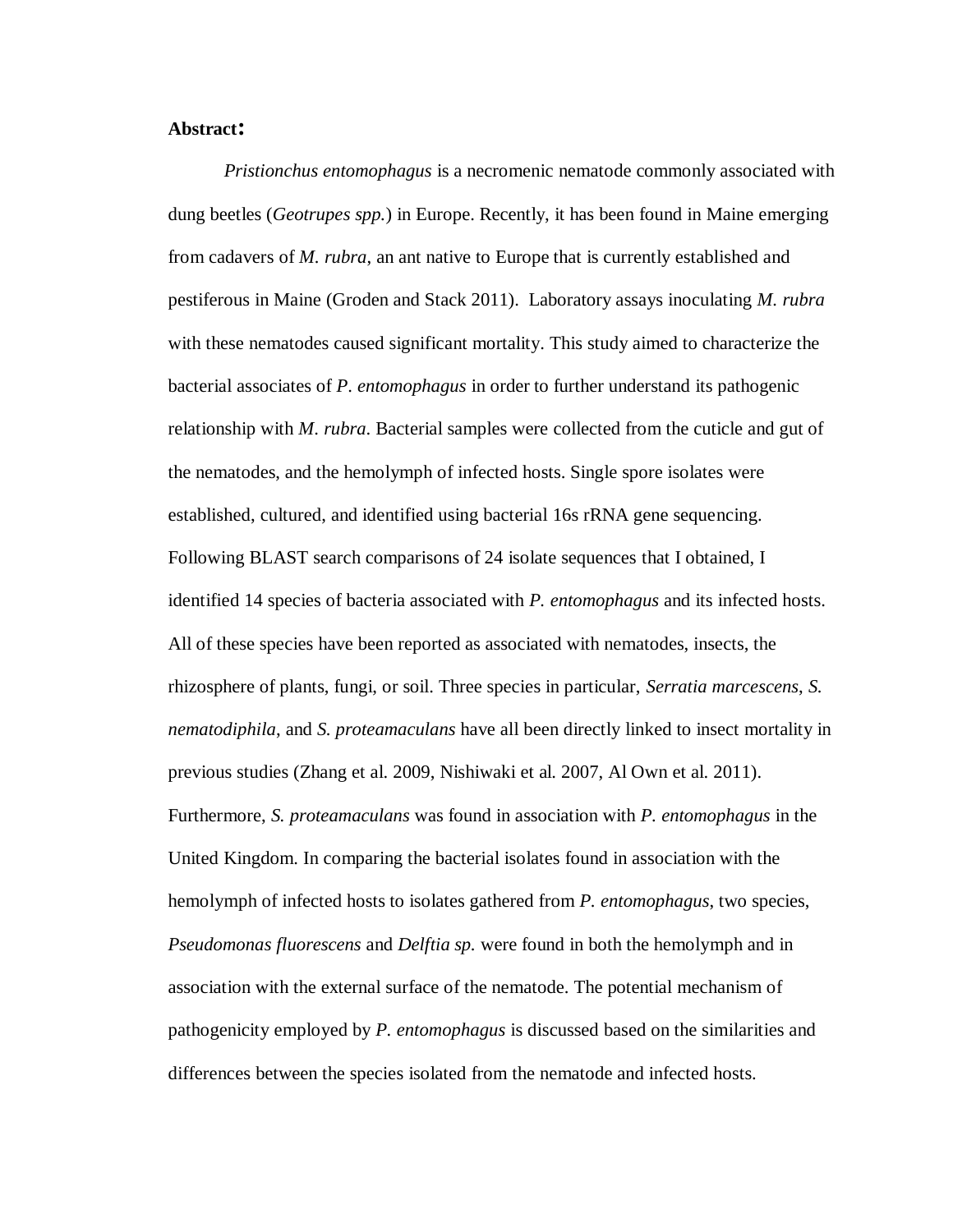# **Abstract:**

*Pristionchus entomophagus* is a necromenic nematode commonly associated with dung beetles (*Geotrupes spp.*) in Europe. Recently, it has been found in Maine emerging from cadavers of *M. rubra*, an ant native to Europe that is currently established and pestiferous in Maine (Groden and Stack 2011). Laboratory assays inoculating *M. rubra*  with these nematodes caused significant mortality. This study aimed to characterize the bacterial associates of *P*. *entomophagus* in order to further understand its pathogenic relationship with *M*. *rubra*. Bacterial samples were collected from the cuticle and gut of the nematodes, and the hemolymph of infected hosts. Single spore isolates were established, cultured, and identified using bacterial 16s rRNA gene sequencing. Following BLAST search comparisons of 24 isolate sequences that I obtained, I identified 14 species of bacteria associated with *P. entomophagus* and its infected hosts. All of these species have been reported as associated with nematodes, insects, the rhizosphere of plants, fungi, or soil. Three species in particular, *Serratia marcescens*, *S. nematodiphila*, and *S. proteamaculans* have all been directly linked to insect mortality in previous studies (Zhang et al. 2009, Nishiwaki et al. 2007, Al Own et al. 2011). Furthermore, *S. proteamaculans* was found in association with *P. entomophagus* in the United Kingdom. In comparing the bacterial isolates found in association with the hemolymph of infected hosts to isolates gathered from *P. entomophagus*, two species, *Pseudomonas fluorescens* and *Delftia sp.* were found in both the hemolymph and in association with the external surface of the nematode. The potential mechanism of pathogenicity employed by *P. entomophagus* is discussed based on the similarities and differences between the species isolated from the nematode and infected hosts.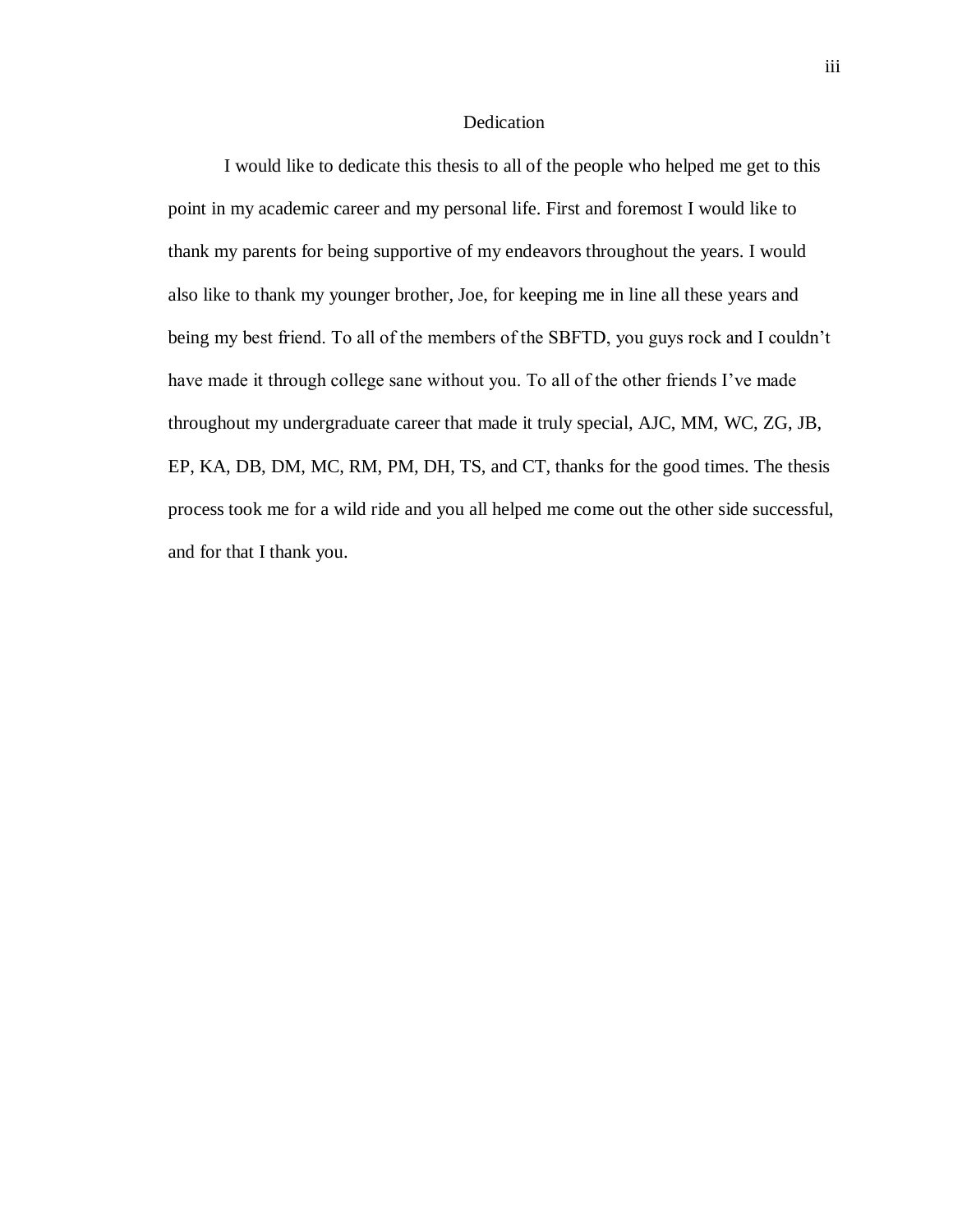## Dedication

I would like to dedicate this thesis to all of the people who helped me get to this point in my academic career and my personal life. First and foremost I would like to thank my parents for being supportive of my endeavors throughout the years. I would also like to thank my younger brother, Joe, for keeping me in line all these years and being my best friend. To all of the members of the SBFTD, you guys rock and I couldn't have made it through college sane without you. To all of the other friends I've made throughout my undergraduate career that made it truly special, AJC, MM, WC, ZG, JB, EP, KA, DB, DM, MC, RM, PM, DH, TS, and CT, thanks for the good times. The thesis process took me for a wild ride and you all helped me come out the other side successful, and for that I thank you.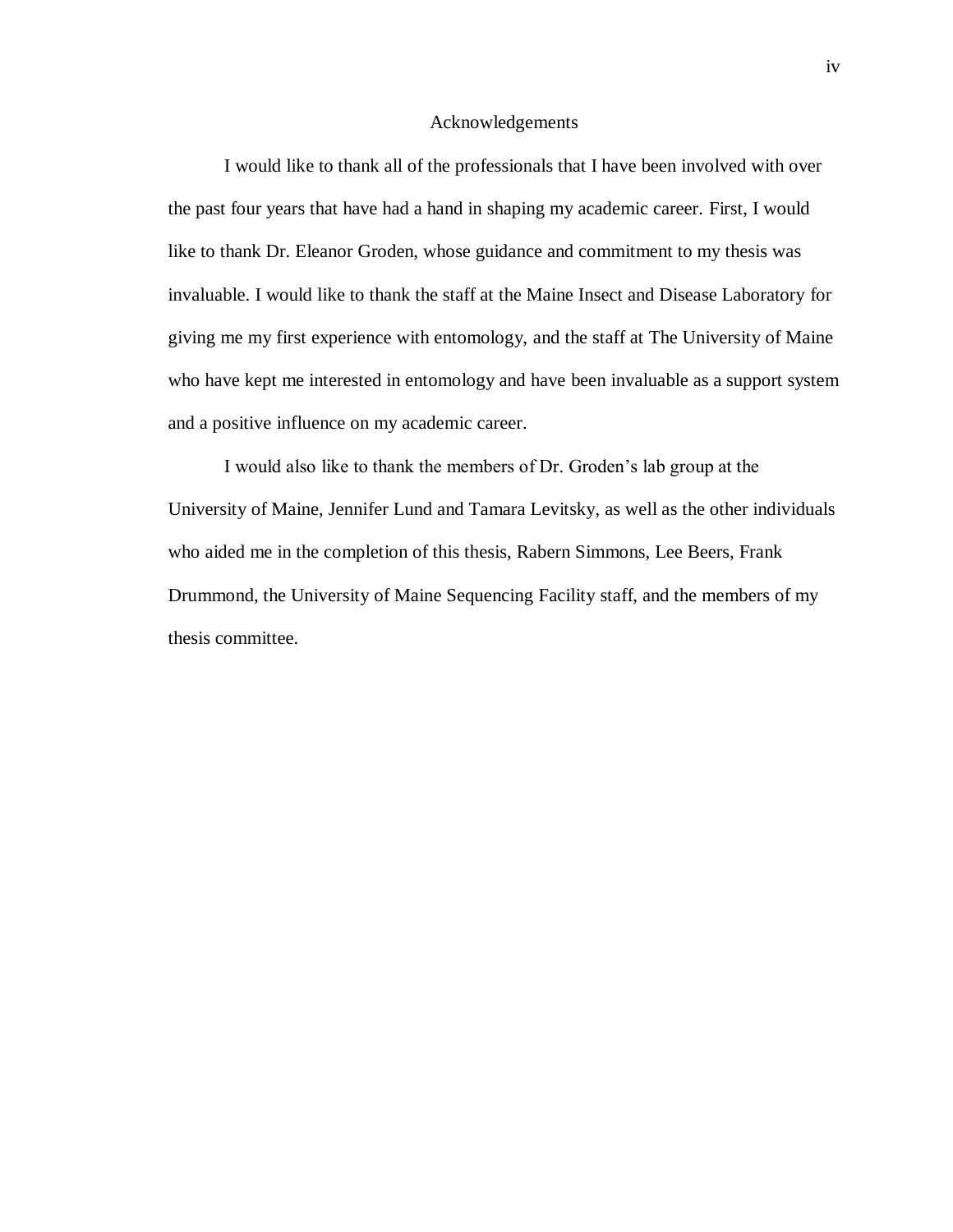### Acknowledgements

I would like to thank all of the professionals that I have been involved with over the past four years that have had a hand in shaping my academic career. First, I would like to thank Dr. Eleanor Groden, whose guidance and commitment to my thesis was invaluable. I would like to thank the staff at the Maine Insect and Disease Laboratory for giving me my first experience with entomology, and the staff at The University of Maine who have kept me interested in entomology and have been invaluable as a support system and a positive influence on my academic career.

I would also like to thank the members of Dr. Groden's lab group at the University of Maine, Jennifer Lund and Tamara Levitsky, as well as the other individuals who aided me in the completion of this thesis, Rabern Simmons, Lee Beers, Frank Drummond, the University of Maine Sequencing Facility staff, and the members of my thesis committee.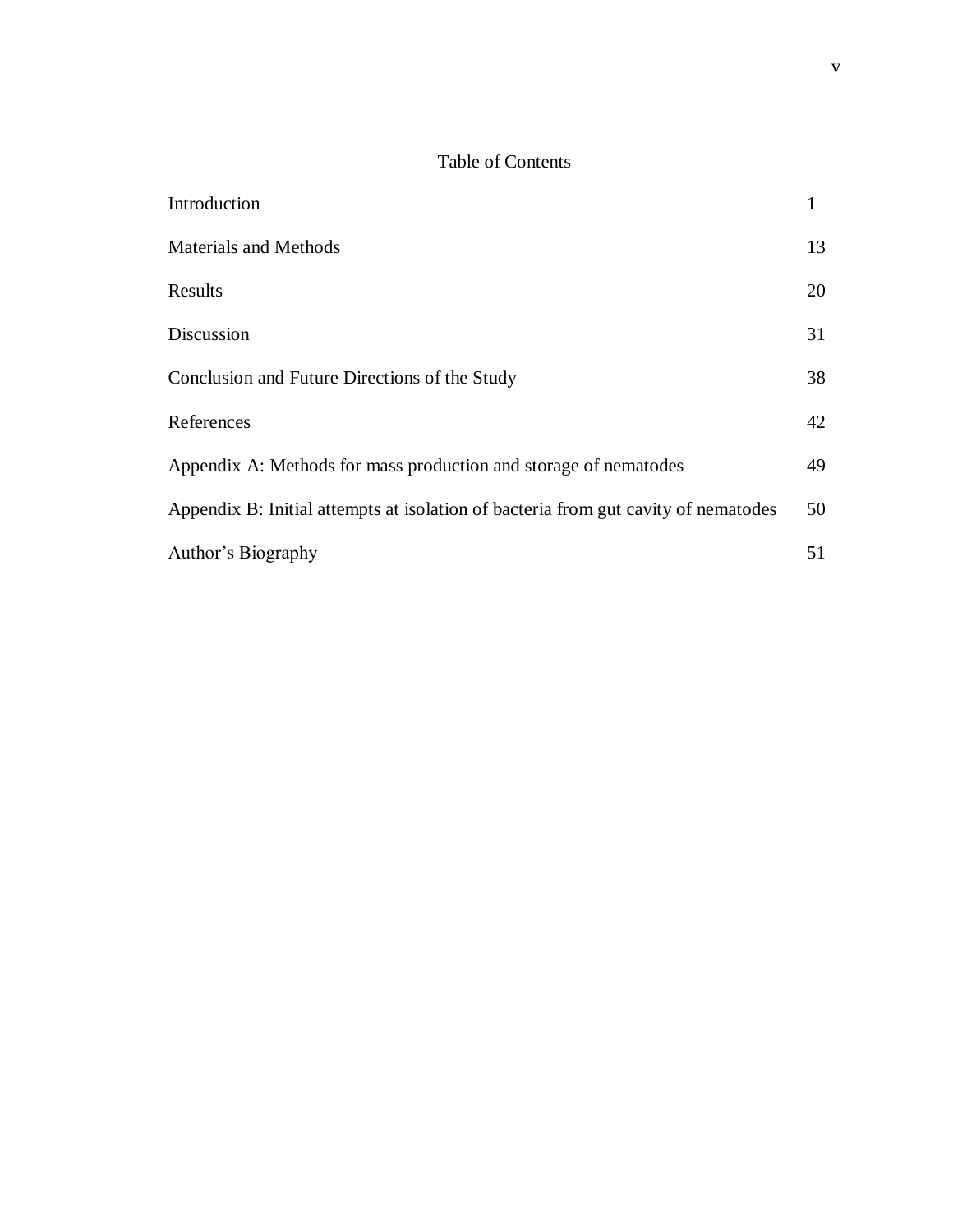# Table of Contents

| Introduction                                                                       |    |
|------------------------------------------------------------------------------------|----|
| <b>Materials and Methods</b>                                                       | 13 |
| Results                                                                            | 20 |
| Discussion                                                                         | 31 |
| Conclusion and Future Directions of the Study                                      | 38 |
| References                                                                         | 42 |
| Appendix A: Methods for mass production and storage of nematodes                   | 49 |
| Appendix B: Initial attempts at isolation of bacteria from gut cavity of nematodes | 50 |
| Author's Biography                                                                 | 51 |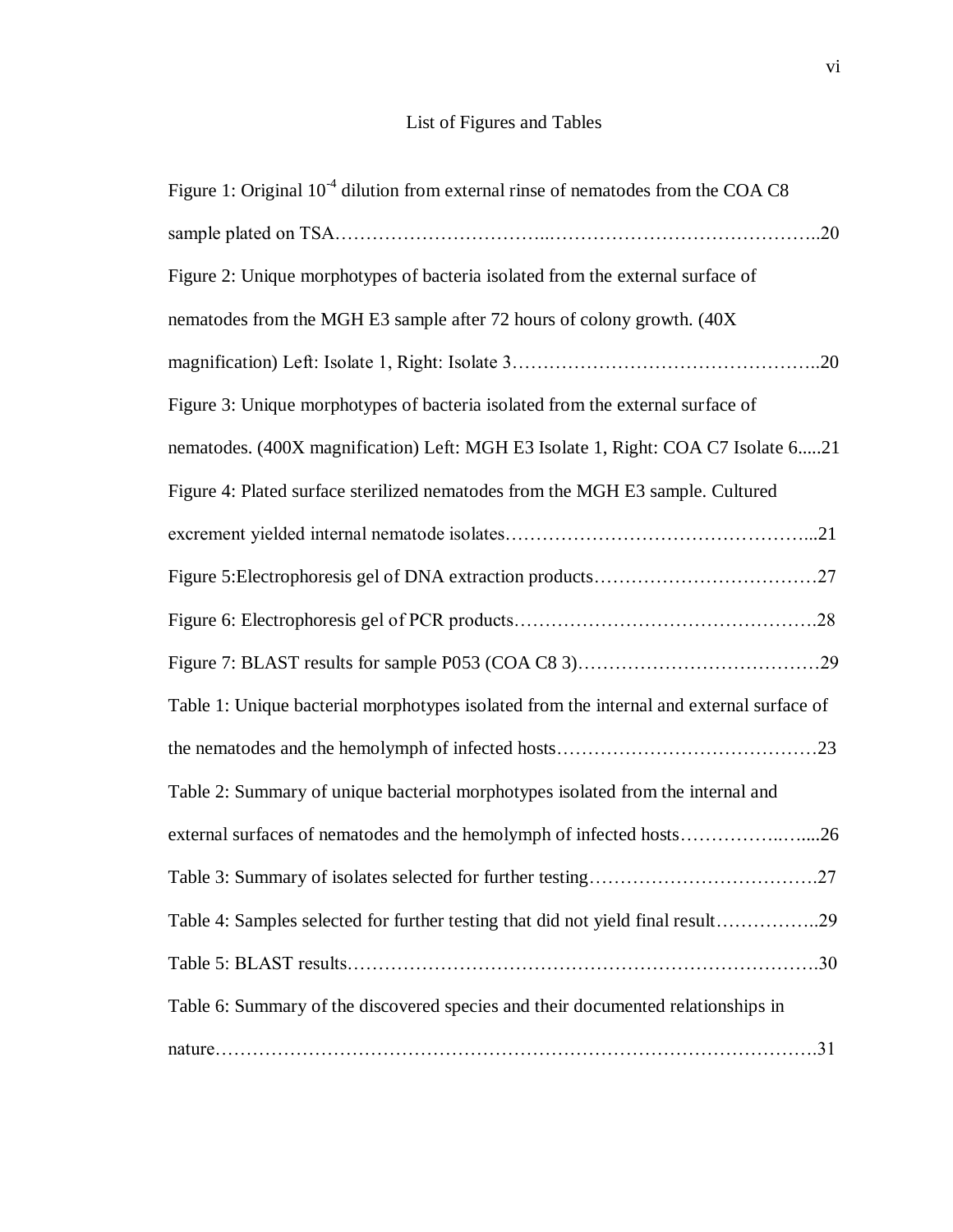# List of Figures and Tables

| Figure 1: Original $10-4$ dilution from external rinse of nematodes from the COA C8      |  |
|------------------------------------------------------------------------------------------|--|
|                                                                                          |  |
| Figure 2: Unique morphotypes of bacteria isolated from the external surface of           |  |
| nematodes from the MGH E3 sample after 72 hours of colony growth. (40X)                  |  |
|                                                                                          |  |
| Figure 3: Unique morphotypes of bacteria isolated from the external surface of           |  |
| nematodes. (400X magnification) Left: MGH E3 Isolate 1, Right: COA C7 Isolate 621        |  |
| Figure 4: Plated surface sterilized nematodes from the MGH E3 sample. Cultured           |  |
|                                                                                          |  |
|                                                                                          |  |
|                                                                                          |  |
|                                                                                          |  |
| Table 1: Unique bacterial morphotypes isolated from the internal and external surface of |  |
|                                                                                          |  |
| Table 2: Summary of unique bacterial morphotypes isolated from the internal and          |  |
| external surfaces of nematodes and the hemolymph of infected hosts26                     |  |
|                                                                                          |  |
| Table 4: Samples selected for further testing that did not yield final result29          |  |
|                                                                                          |  |
| Table 6: Summary of the discovered species and their documented relationships in         |  |
|                                                                                          |  |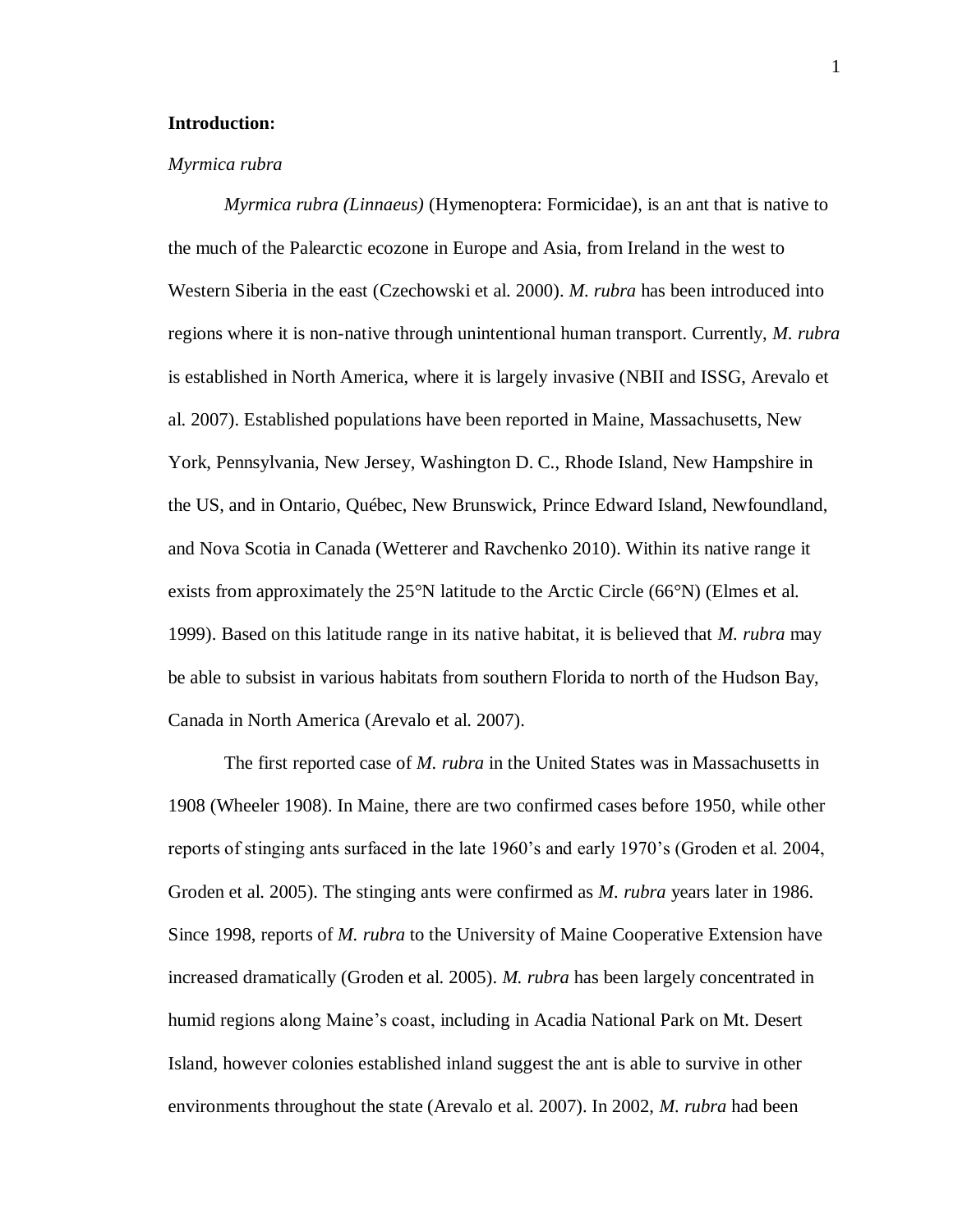## **Introduction:**

#### *Myrmica rubra*

*Myrmica rubra (Linnaeus)* (Hymenoptera: Formicidae), is an ant that is native to the much of the Palearctic ecozone in Europe and Asia, from Ireland in the west to Western Siberia in the east (Czechowski et al. 2000). *M. rubra* has been introduced into regions where it is non-native through unintentional human transport. Currently, *M. rubra* is established in North America, where it is largely invasive (NBII and ISSG, Arevalo et al. 2007). Established populations have been reported in Maine, Massachusetts, New York, Pennsylvania, New Jersey, Washington D. C., Rhode Island, New Hampshire in the US, and in Ontario, Québec, New Brunswick, Prince Edward Island, Newfoundland, and Nova Scotia in Canada (Wetterer and Ravchenko 2010). Within its native range it exists from approximately the 25°N latitude to the Arctic Circle (66°N) (Elmes et al. 1999). Based on this latitude range in its native habitat, it is believed that *M. rubra* may be able to subsist in various habitats from southern Florida to north of the Hudson Bay, Canada in North America (Arevalo et al. 2007).

The first reported case of *M. rubra* in the United States was in Massachusetts in 1908 (Wheeler 1908). In Maine, there are two confirmed cases before 1950, while other reports of stinging ants surfaced in the late 1960's and early 1970's (Groden et al. 2004, Groden et al. 2005). The stinging ants were confirmed as *M. rubra* years later in 1986. Since 1998, reports of *M. rubra* to the University of Maine Cooperative Extension have increased dramatically (Groden et al. 2005). *M. rubra* has been largely concentrated in humid regions along Maine's coast, including in Acadia National Park on Mt. Desert Island, however colonies established inland suggest the ant is able to survive in other environments throughout the state (Arevalo et al. 2007). In 2002, *M. rubra* had been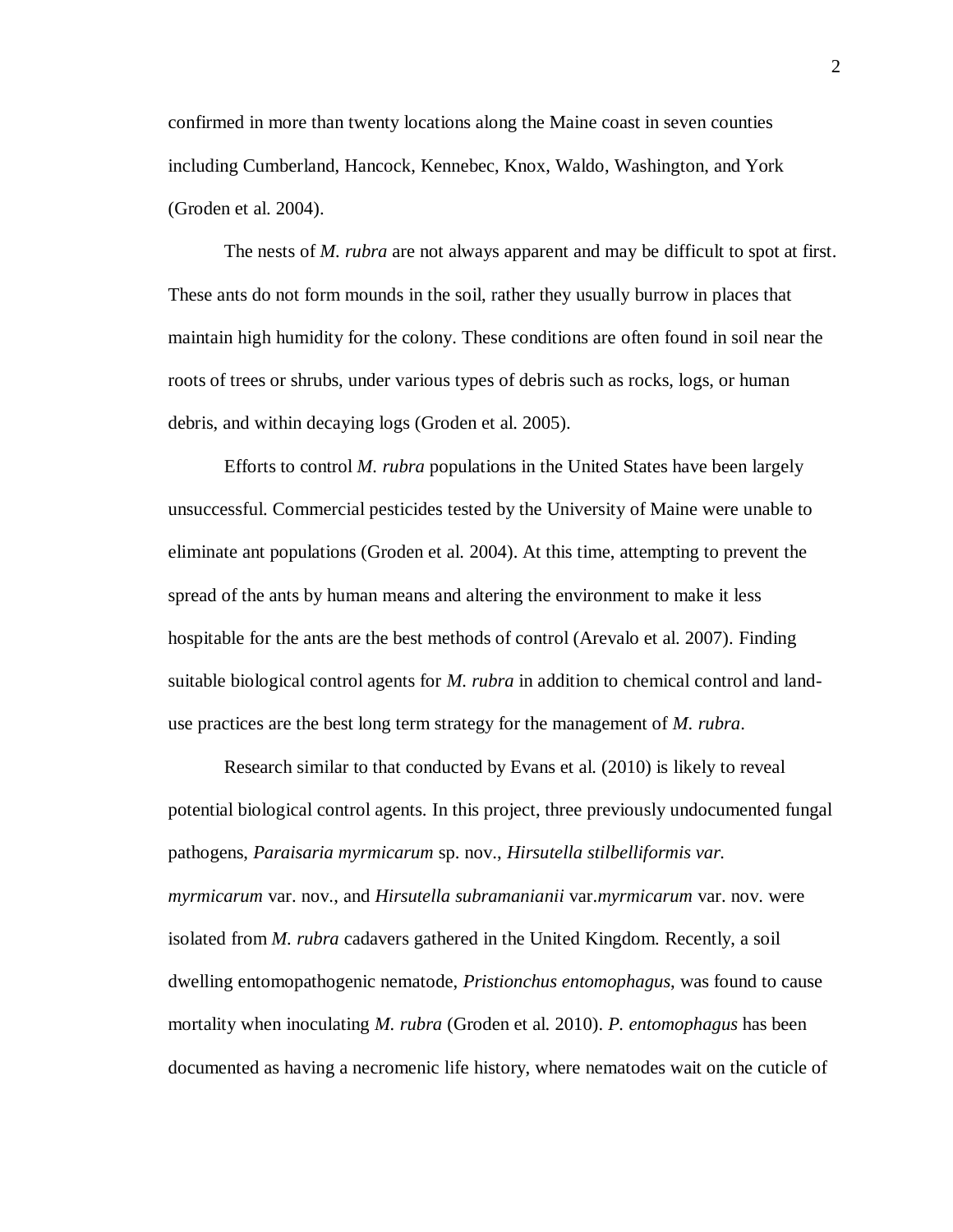confirmed in more than twenty locations along the Maine coast in seven counties including Cumberland, Hancock, Kennebec, Knox, Waldo, Washington, and York (Groden et al. 2004).

The nests of *M. rubra* are not always apparent and may be difficult to spot at first. These ants do not form mounds in the soil, rather they usually burrow in places that maintain high humidity for the colony. These conditions are often found in soil near the roots of trees or shrubs, under various types of debris such as rocks, logs, or human debris, and within decaying logs (Groden et al. 2005).

Efforts to control *M. rubra* populations in the United States have been largely unsuccessful. Commercial pesticides tested by the University of Maine were unable to eliminate ant populations (Groden et al. 2004). At this time, attempting to prevent the spread of the ants by human means and altering the environment to make it less hospitable for the ants are the best methods of control (Arevalo et al. 2007). Finding suitable biological control agents for *M. rubra* in addition to chemical control and landuse practices are the best long term strategy for the management of *M. rubra*.

Research similar to that conducted by Evans et al. (2010) is likely to reveal potential biological control agents. In this project, three previously undocumented fungal pathogens, *Paraisaria myrmicarum* sp. nov., *Hirsutella stilbelliformis var. myrmicarum* var. nov., and *Hirsutella subramanianii* var.*myrmicarum* var. nov. were isolated from *M. rubra* cadavers gathered in the United Kingdom. Recently, a soil dwelling entomopathogenic nematode, *Pristionchus entomophagus*, was found to cause mortality when inoculating *M. rubra* (Groden et al. 2010). *P. entomophagus* has been documented as having a necromenic life history, where nematodes wait on the cuticle of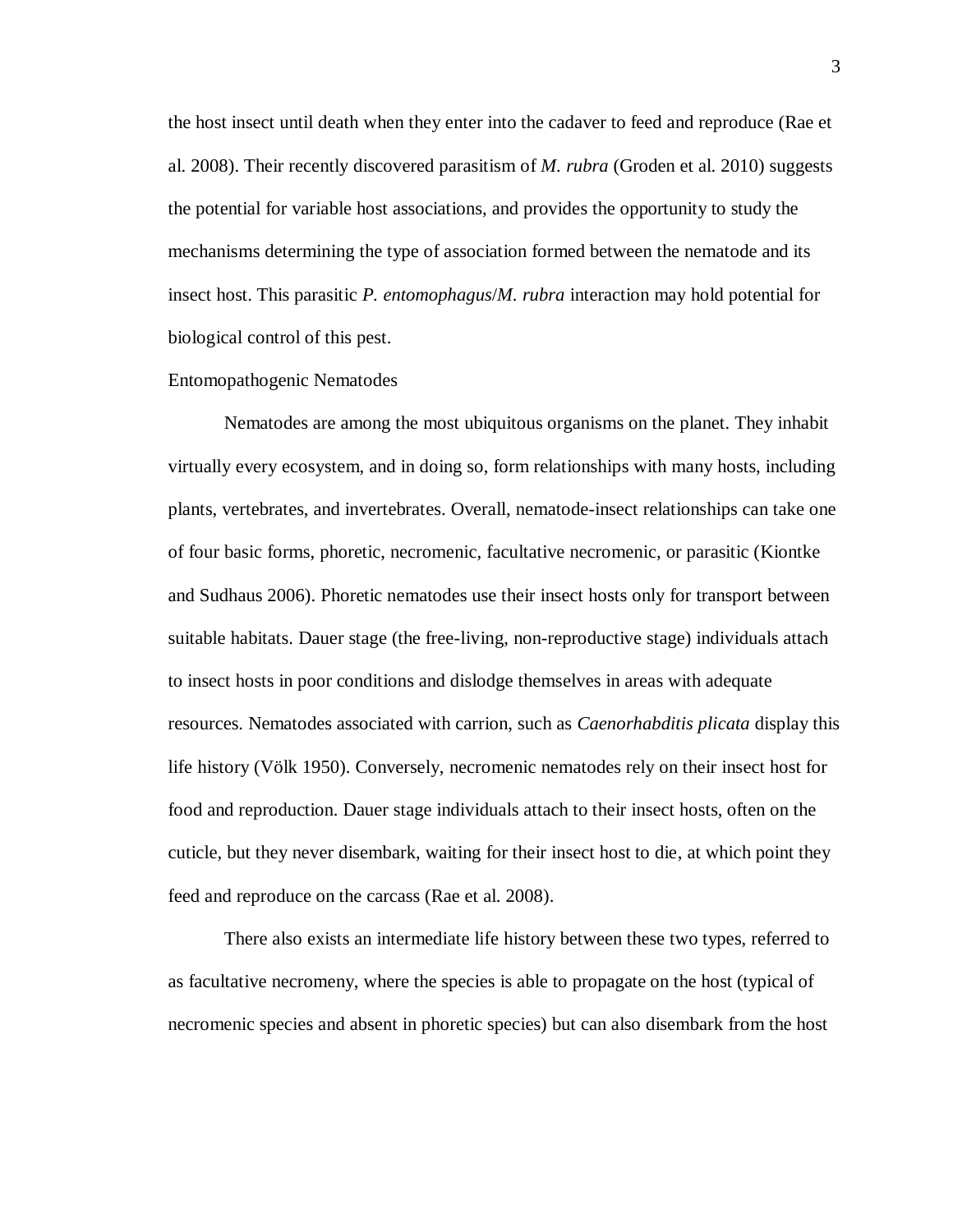the host insect until death when they enter into the cadaver to feed and reproduce (Rae et al. 2008). Their recently discovered parasitism of *M. rubra* (Groden et al. 2010) suggests the potential for variable host associations, and provides the opportunity to study the mechanisms determining the type of association formed between the nematode and its insect host. This parasitic *P. entomophagus*/*M. rubra* interaction may hold potential for biological control of this pest.

#### Entomopathogenic Nematodes

Nematodes are among the most ubiquitous organisms on the planet. They inhabit virtually every ecosystem, and in doing so, form relationships with many hosts, including plants, vertebrates, and invertebrates. Overall, nematode-insect relationships can take one of four basic forms, phoretic, necromenic, facultative necromenic, or parasitic (Kiontke and Sudhaus 2006). Phoretic nematodes use their insect hosts only for transport between suitable habitats. Dauer stage (the free-living, non-reproductive stage) individuals attach to insect hosts in poor conditions and dislodge themselves in areas with adequate resources. Nematodes associated with carrion, such as *Caenorhabditis plicata* display this life history (Völk 1950). Conversely, necromenic nematodes rely on their insect host for food and reproduction. Dauer stage individuals attach to their insect hosts, often on the cuticle, but they never disembark, waiting for their insect host to die, at which point they feed and reproduce on the carcass (Rae et al. 2008).

There also exists an intermediate life history between these two types, referred to as facultative necromeny, where the species is able to propagate on the host (typical of necromenic species and absent in phoretic species) but can also disembark from the host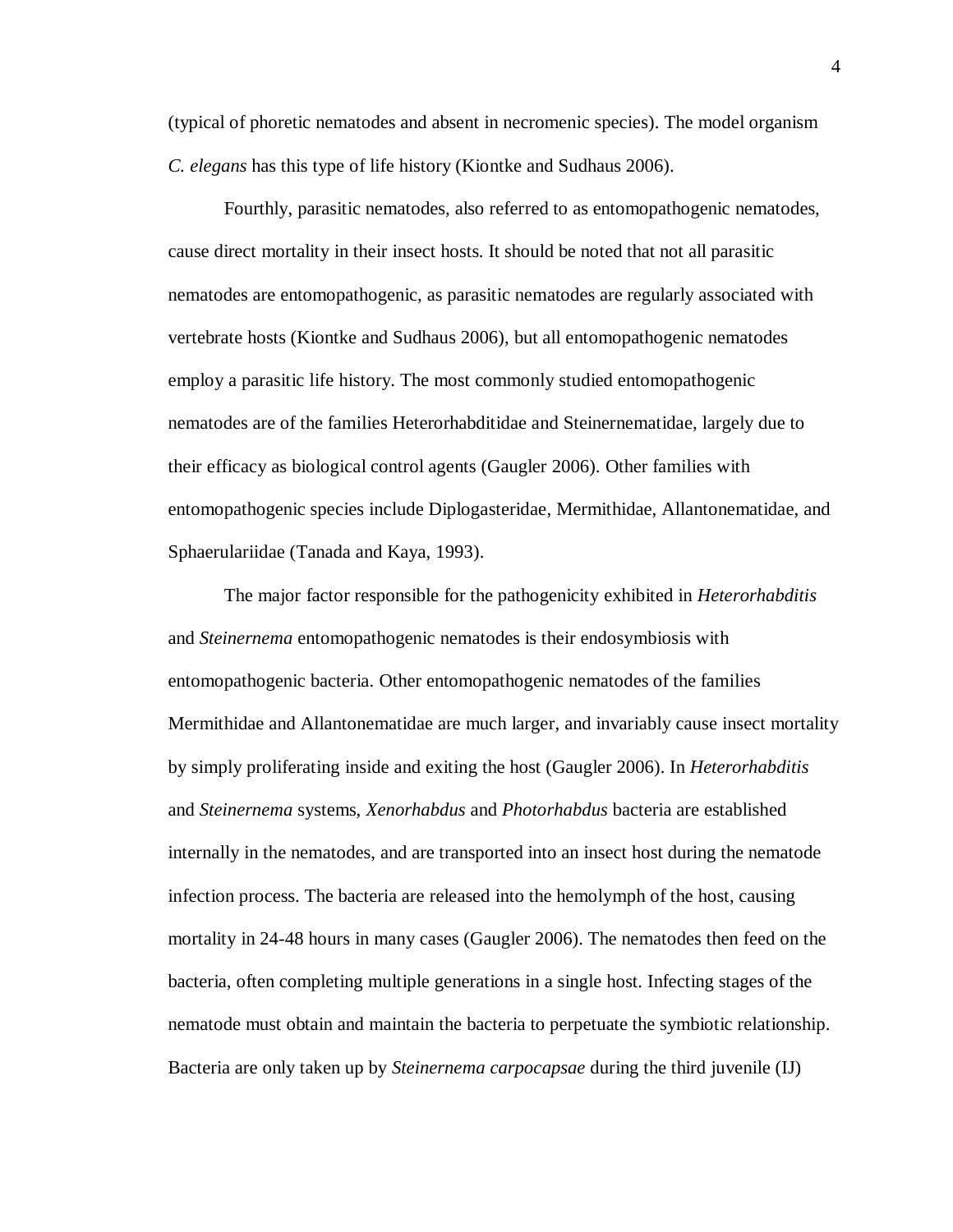(typical of phoretic nematodes and absent in necromenic species). The model organism *C. elegans* has this type of life history (Kiontke and Sudhaus 2006).

Fourthly, parasitic nematodes, also referred to as entomopathogenic nematodes, cause direct mortality in their insect hosts. It should be noted that not all parasitic nematodes are entomopathogenic, as parasitic nematodes are regularly associated with vertebrate hosts (Kiontke and Sudhaus 2006), but all entomopathogenic nematodes employ a parasitic life history. The most commonly studied entomopathogenic nematodes are of the families Heterorhabditidae and Steinernematidae, largely due to their efficacy as biological control agents (Gaugler 2006). Other families with entomopathogenic species include Diplogasteridae, Mermithidae, Allantonematidae, and Sphaerulariidae (Tanada and Kaya, 1993).

The major factor responsible for the pathogenicity exhibited in *Heterorhabditis* and *Steinernema* entomopathogenic nematodes is their endosymbiosis with entomopathogenic bacteria. Other entomopathogenic nematodes of the families Mermithidae and Allantonematidae are much larger, and invariably cause insect mortality by simply proliferating inside and exiting the host (Gaugler 2006). In *Heterorhabditis* and *Steinernema* systems, *Xenorhabdus* and *Photorhabdus* bacteria are established internally in the nematodes, and are transported into an insect host during the nematode infection process. The bacteria are released into the hemolymph of the host, causing mortality in 24-48 hours in many cases (Gaugler 2006). The nematodes then feed on the bacteria, often completing multiple generations in a single host. Infecting stages of the nematode must obtain and maintain the bacteria to perpetuate the symbiotic relationship. Bacteria are only taken up by *Steinernema carpocapsae* during the third juvenile (IJ)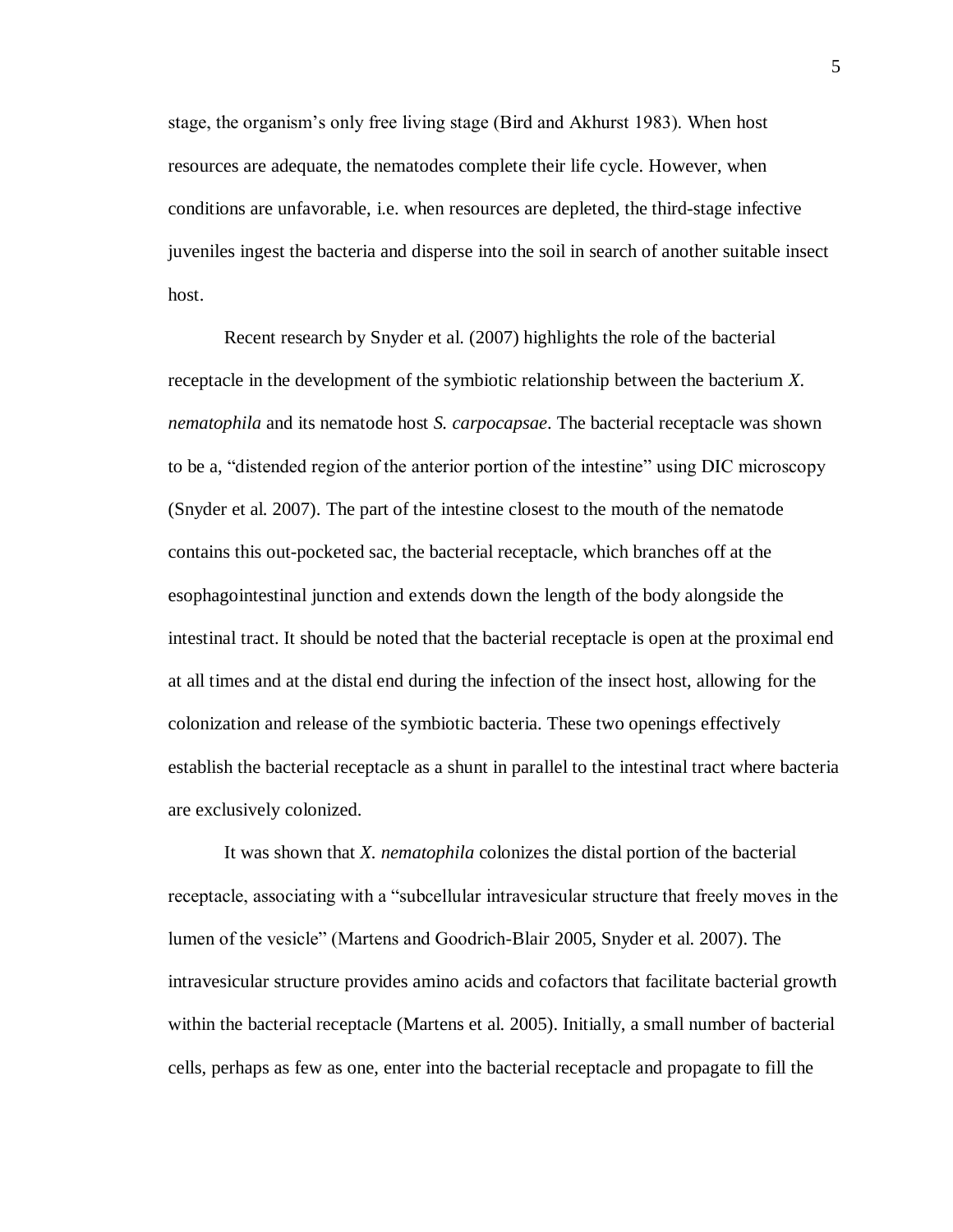stage, the organism's only free living stage (Bird and Akhurst 1983). When host resources are adequate, the nematodes complete their life cycle. However, when conditions are unfavorable, i.e. when resources are depleted, the third-stage infective juveniles ingest the bacteria and disperse into the soil in search of another suitable insect host.

Recent research by Snyder et al. (2007) highlights the role of the bacterial receptacle in the development of the symbiotic relationship between the bacterium *X. nematophila* and its nematode host *S. carpocapsae*. The bacterial receptacle was shown to be a, "distended region of the anterior portion of the intestine" using DIC microscopy (Snyder et al. 2007). The part of the intestine closest to the mouth of the nematode contains this out-pocketed sac, the bacterial receptacle, which branches off at the esophagointestinal junction and extends down the length of the body alongside the intestinal tract. It should be noted that the bacterial receptacle is open at the proximal end at all times and at the distal end during the infection of the insect host, allowing for the colonization and release of the symbiotic bacteria. These two openings effectively establish the bacterial receptacle as a shunt in parallel to the intestinal tract where bacteria are exclusively colonized.

It was shown that *X. nematophila* colonizes the distal portion of the bacterial receptacle, associating with a "subcellular intravesicular structure that freely moves in the lumen of the vesicle" (Martens and Goodrich-Blair 2005, Snyder et al. 2007). The intravesicular structure provides amino acids and cofactors that facilitate bacterial growth within the bacterial receptacle (Martens et al. 2005). Initially, a small number of bacterial cells, perhaps as few as one, enter into the bacterial receptacle and propagate to fill the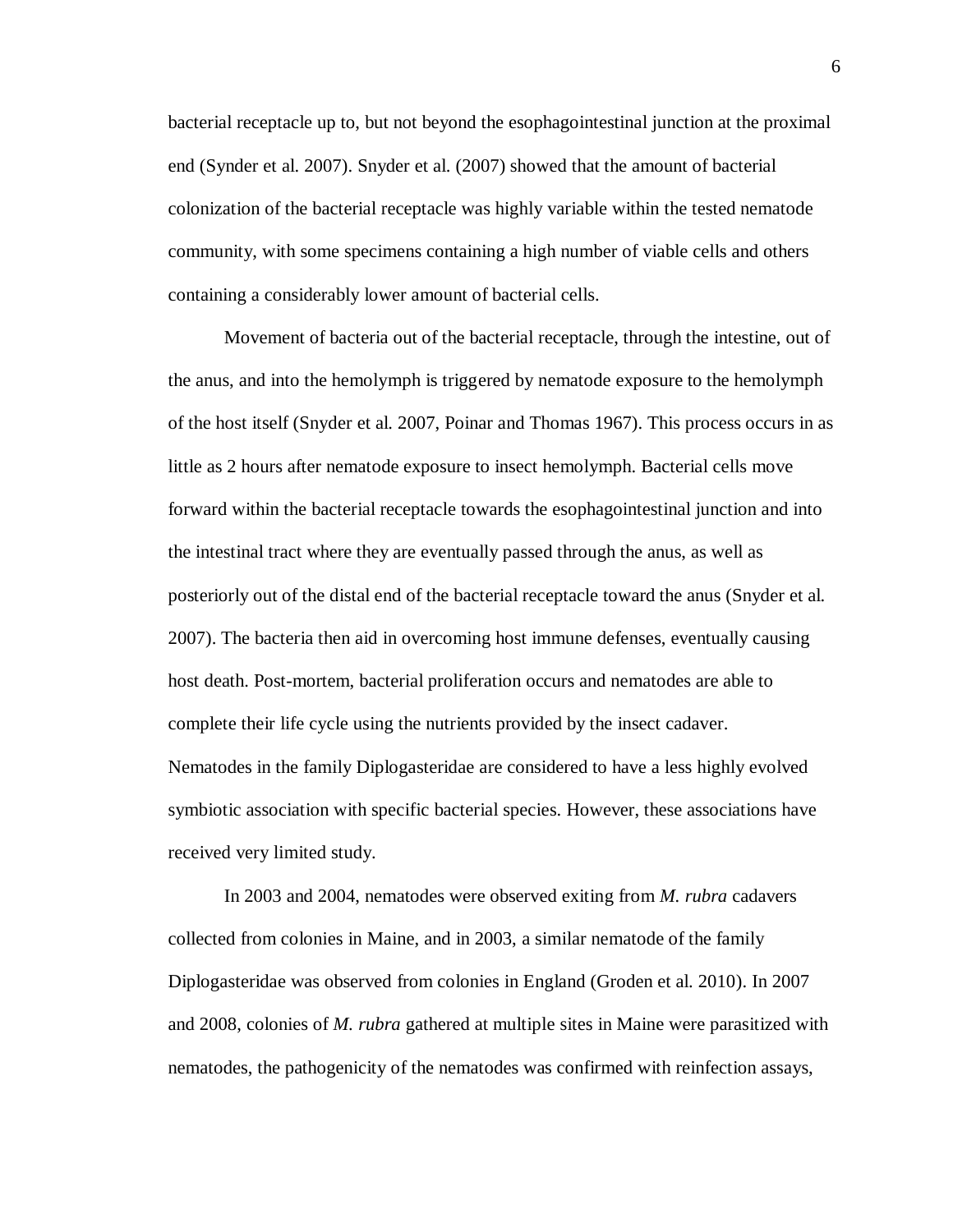bacterial receptacle up to, but not beyond the esophagointestinal junction at the proximal end (Synder et al. 2007). Snyder et al. (2007) showed that the amount of bacterial colonization of the bacterial receptacle was highly variable within the tested nematode community, with some specimens containing a high number of viable cells and others containing a considerably lower amount of bacterial cells.

Movement of bacteria out of the bacterial receptacle, through the intestine, out of the anus, and into the hemolymph is triggered by nematode exposure to the hemolymph of the host itself (Snyder et al. 2007, Poinar and Thomas 1967). This process occurs in as little as 2 hours after nematode exposure to insect hemolymph. Bacterial cells move forward within the bacterial receptacle towards the esophagointestinal junction and into the intestinal tract where they are eventually passed through the anus, as well as posteriorly out of the distal end of the bacterial receptacle toward the anus (Snyder et al. 2007). The bacteria then aid in overcoming host immune defenses, eventually causing host death. Post-mortem, bacterial proliferation occurs and nematodes are able to complete their life cycle using the nutrients provided by the insect cadaver. Nematodes in the family Diplogasteridae are considered to have a less highly evolved symbiotic association with specific bacterial species. However, these associations have received very limited study.

In 2003 and 2004, nematodes were observed exiting from *M. rubra* cadavers collected from colonies in Maine, and in 2003, a similar nematode of the family Diplogasteridae was observed from colonies in England (Groden et al. 2010). In 2007 and 2008, colonies of *M. rubra* gathered at multiple sites in Maine were parasitized with nematodes, the pathogenicity of the nematodes was confirmed with reinfection assays,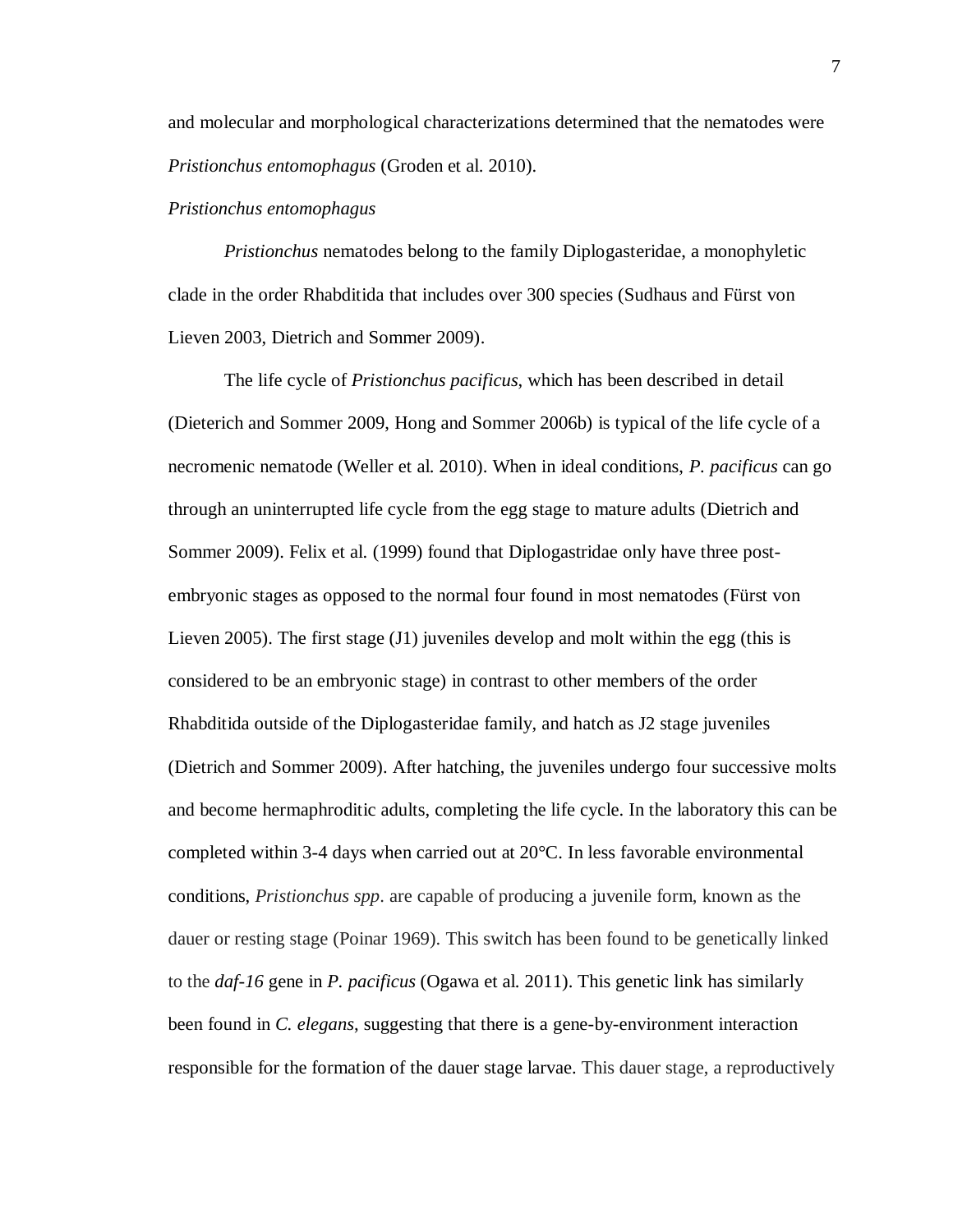and molecular and morphological characterizations determined that the nematodes were *Pristionchus entomophagus* (Groden et al. 2010).

#### *Pristionchus entomophagus*

*Pristionchus* nematodes belong to the family Diplogasteridae, a monophyletic clade in the order Rhabditida that includes over 300 species (Sudhaus and Fürst von Lieven 2003, Dietrich and Sommer 2009).

The life cycle of *Pristionchus pacificus*, which has been described in detail (Dieterich and Sommer 2009, Hong and Sommer 2006b) is typical of the life cycle of a necromenic nematode (Weller et al. 2010). When in ideal conditions, *P. pacificus* can go through an uninterrupted life cycle from the egg stage to mature adults (Dietrich and Sommer 2009). Felix et al. (1999) found that Diplogastridae only have three postembryonic stages as opposed to the normal four found in most nematodes (Fürst von Lieven 2005). The first stage (J1) juveniles develop and molt within the egg (this is considered to be an embryonic stage) in contrast to other members of the order Rhabditida outside of the Diplogasteridae family, and hatch as J2 stage juveniles (Dietrich and Sommer 2009). After hatching, the juveniles undergo four successive molts and become hermaphroditic adults, completing the life cycle. In the laboratory this can be completed within 3-4 days when carried out at 20°C. In less favorable environmental conditions, *Pristionchus spp*. are capable of producing a juvenile form, known as the dauer or resting stage (Poinar 1969). This switch has been found to be genetically linked to the *daf-16* gene in *P. pacificus* (Ogawa et al. 2011). This genetic link has similarly been found in *C. elegans*, suggesting that there is a gene-by-environment interaction responsible for the formation of the dauer stage larvae. This dauer stage, a reproductively

7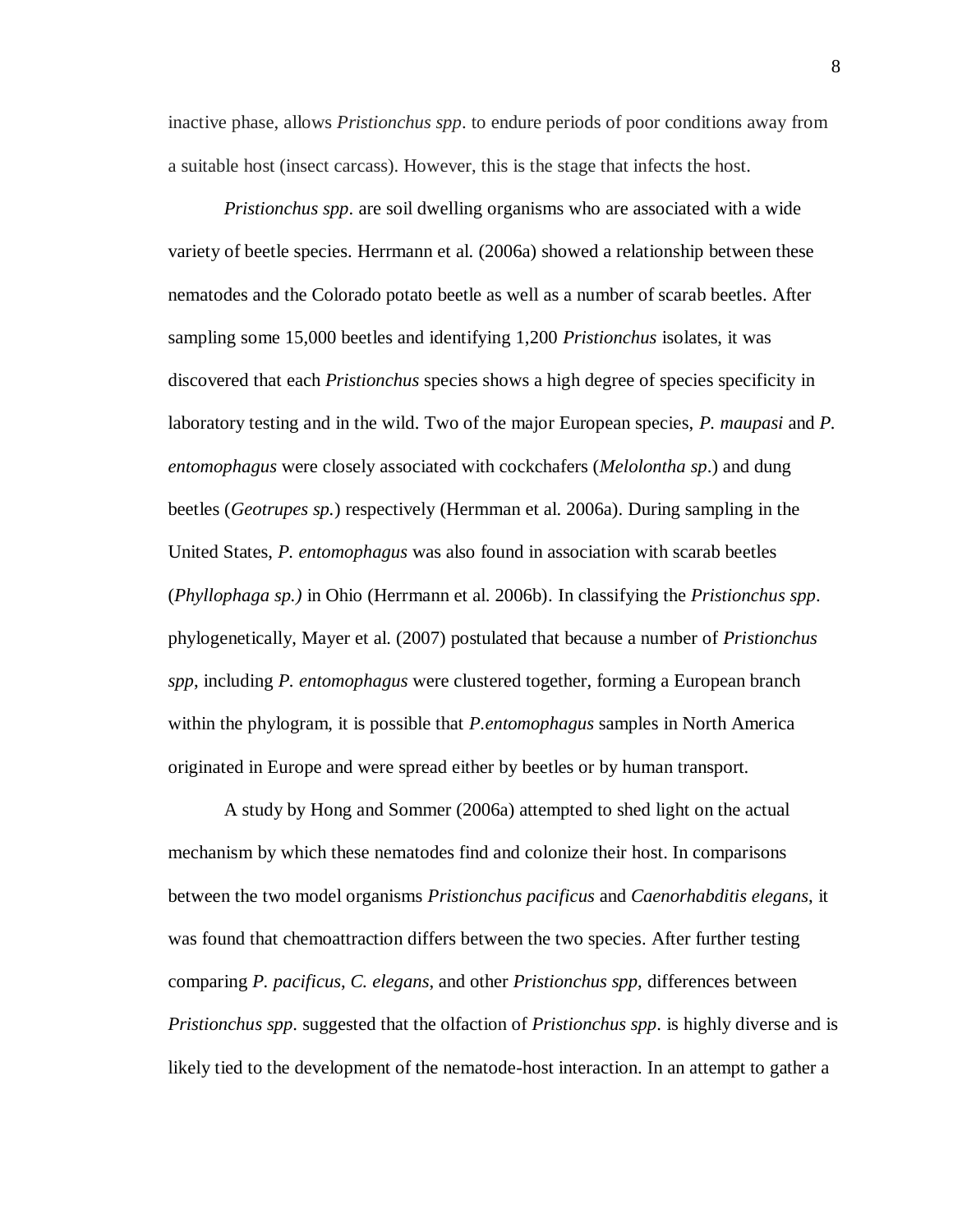inactive phase, allows *Pristionchus spp*. to endure periods of poor conditions away from a suitable host (insect carcass). However, this is the stage that infects the host.

*Pristionchus spp*. are soil dwelling organisms who are associated with a wide variety of beetle species. Herrmann et al. (2006a) showed a relationship between these nematodes and the Colorado potato beetle as well as a number of scarab beetles. After sampling some 15,000 beetles and identifying 1,200 *Pristionchus* isolates, it was discovered that each *Pristionchus* species shows a high degree of species specificity in laboratory testing and in the wild. Two of the major European species, *P. maupasi* and *P. entomophagus* were closely associated with cockchafers (*Melolontha sp*.) and dung beetles (*Geotrupes sp.*) respectively (Hermman et al. 2006a). During sampling in the United States, *P. entomophagus* was also found in association with scarab beetles (*Phyllophaga sp.)* in Ohio (Herrmann et al. 2006b). In classifying the *Pristionchus spp*. phylogenetically, Mayer et al. (2007) postulated that because a number of *Pristionchus spp*, including *P. entomophagus* were clustered together, forming a European branch within the phylogram, it is possible that *P.entomophagus* samples in North America originated in Europe and were spread either by beetles or by human transport.

A study by Hong and Sommer (2006a) attempted to shed light on the actual mechanism by which these nematodes find and colonize their host. In comparisons between the two model organisms *Pristionchus pacificus* and *Caenorhabditis elegans*, it was found that chemoattraction differs between the two species. After further testing comparing *P. pacificus*, *C. elegans*, and other *Pristionchus spp*, differences between *Pristionchus spp*. suggested that the olfaction of *Pristionchus spp*. is highly diverse and is likely tied to the development of the nematode-host interaction. In an attempt to gather a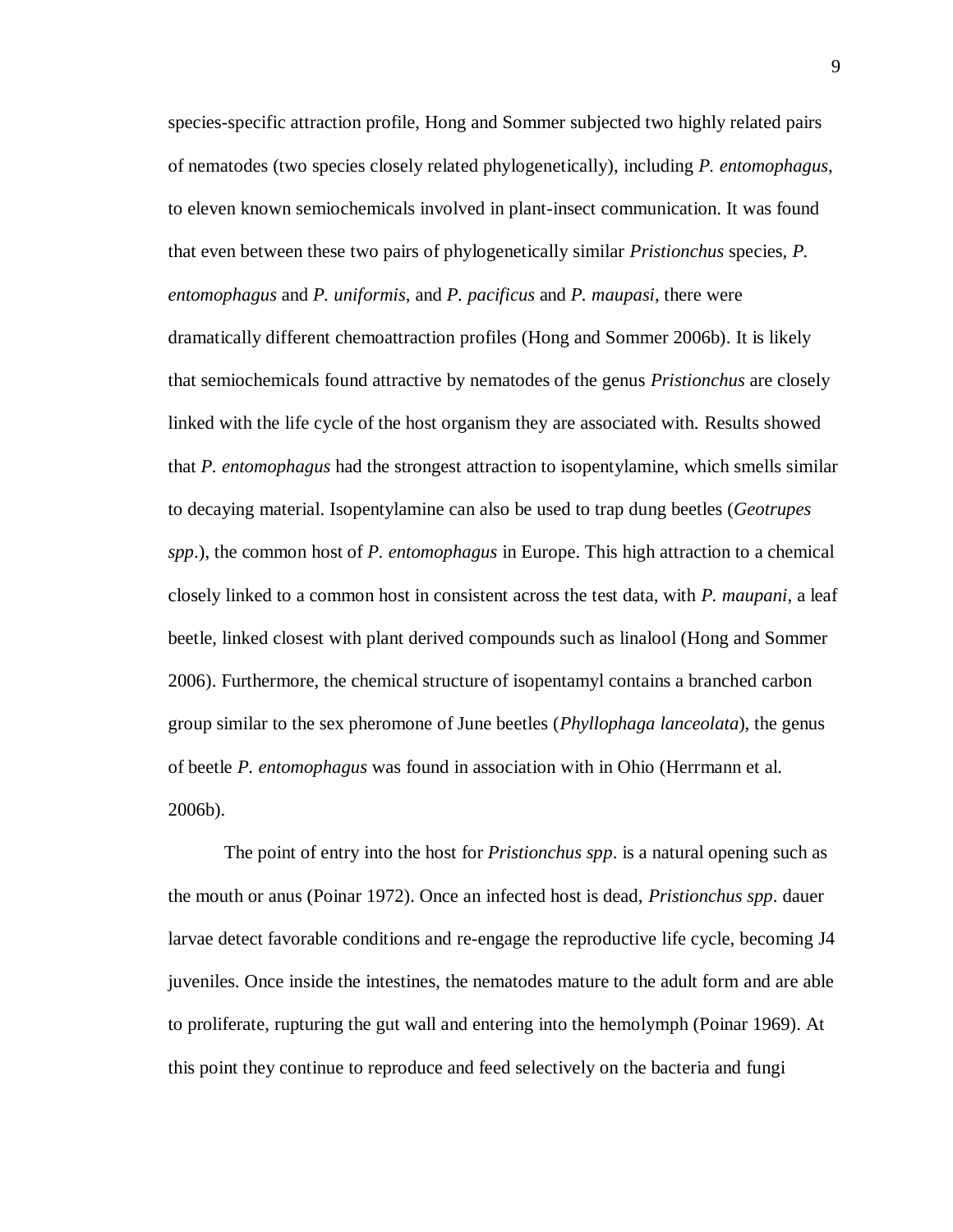species-specific attraction profile, Hong and Sommer subjected two highly related pairs of nematodes (two species closely related phylogenetically), including *P. entomophagus*, to eleven known semiochemicals involved in plant-insect communication. It was found that even between these two pairs of phylogenetically similar *Pristionchus* species, *P. entomophagus* and *P. uniformis*, and *P. pacificus* and *P. maupasi*, there were dramatically different chemoattraction profiles (Hong and Sommer 2006b). It is likely that semiochemicals found attractive by nematodes of the genus *Pristionchus* are closely linked with the life cycle of the host organism they are associated with. Results showed that *P. entomophagus* had the strongest attraction to isopentylamine, which smells similar to decaying material. Isopentylamine can also be used to trap dung beetles (*Geotrupes spp*.), the common host of *P. entomophagus* in Europe. This high attraction to a chemical closely linked to a common host in consistent across the test data, with *P. maupani*, a leaf beetle, linked closest with plant derived compounds such as linalool (Hong and Sommer 2006). Furthermore, the chemical structure of isopentamyl contains a branched carbon group similar to the sex pheromone of June beetles (*Phyllophaga lanceolata*), the genus of beetle *P. entomophagus* was found in association with in Ohio (Herrmann et al. 2006b).

The point of entry into the host for *Pristionchus spp*. is a natural opening such as the mouth or anus (Poinar 1972). Once an infected host is dead, *Pristionchus spp*. dauer larvae detect favorable conditions and re-engage the reproductive life cycle, becoming J4 juveniles. Once inside the intestines, the nematodes mature to the adult form and are able to proliferate, rupturing the gut wall and entering into the hemolymph (Poinar 1969). At this point they continue to reproduce and feed selectively on the bacteria and fungi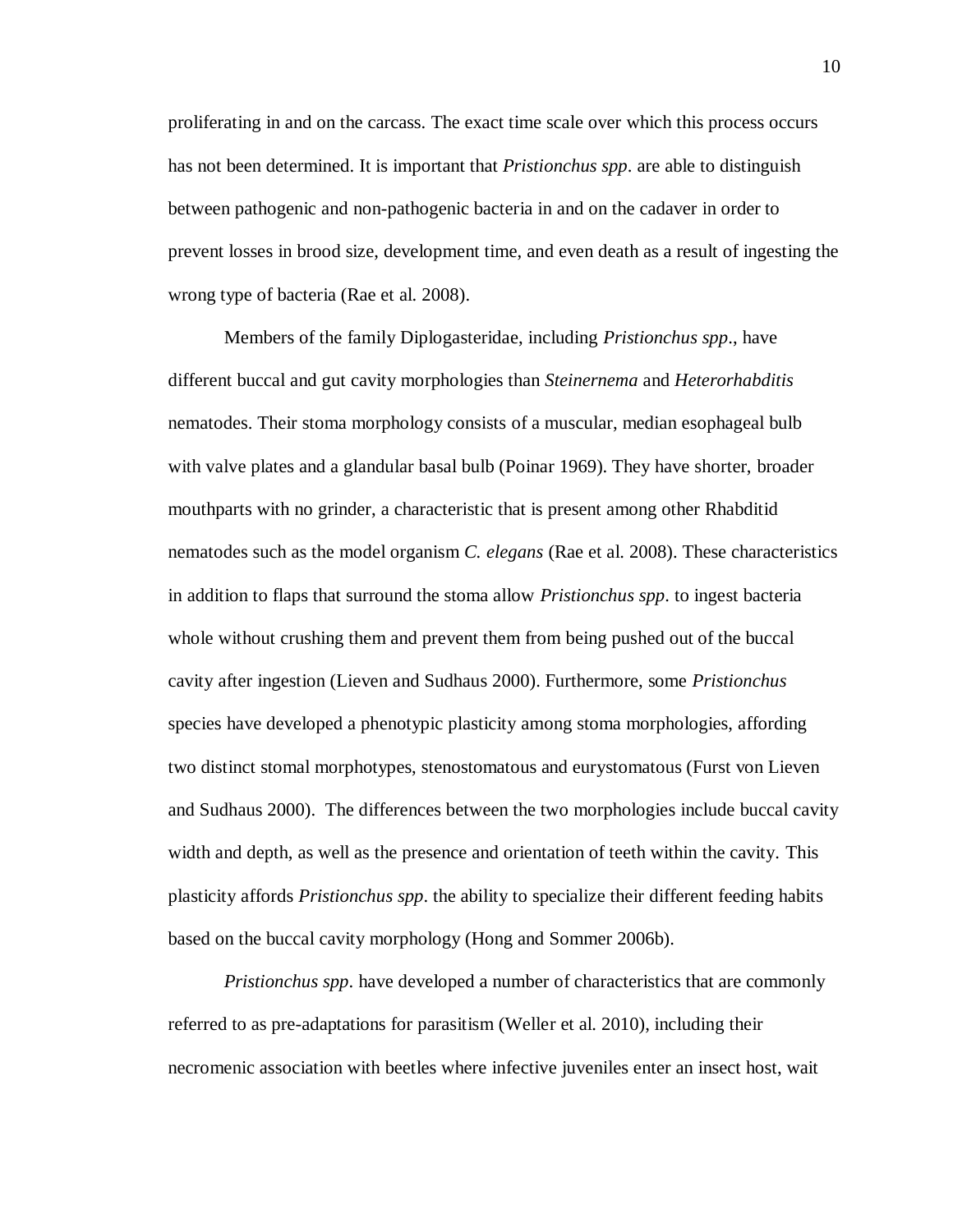proliferating in and on the carcass. The exact time scale over which this process occurs has not been determined. It is important that *Pristionchus spp*. are able to distinguish between pathogenic and non-pathogenic bacteria in and on the cadaver in order to prevent losses in brood size, development time, and even death as a result of ingesting the wrong type of bacteria (Rae et al. 2008).

Members of the family Diplogasteridae, including *Pristionchus spp*., have different buccal and gut cavity morphologies than *Steinernema* and *Heterorhabditis* nematodes. Their stoma morphology consists of a muscular, median esophageal bulb with valve plates and a glandular basal bulb (Poinar 1969). They have shorter, broader mouthparts with no grinder, a characteristic that is present among other Rhabditid nematodes such as the model organism *C. elegans* (Rae et al. 2008). These characteristics in addition to flaps that surround the stoma allow *Pristionchus spp*. to ingest bacteria whole without crushing them and prevent them from being pushed out of the buccal cavity after ingestion (Lieven and Sudhaus 2000). Furthermore, some *Pristionchus*  species have developed a phenotypic plasticity among stoma morphologies, affording two distinct stomal morphotypes, stenostomatous and eurystomatous (Furst von Lieven and Sudhaus 2000). The differences between the two morphologies include buccal cavity width and depth, as well as the presence and orientation of teeth within the cavity. This plasticity affords *Pristionchus spp*. the ability to specialize their different feeding habits based on the buccal cavity morphology (Hong and Sommer 2006b).

*Pristionchus spp*. have developed a number of characteristics that are commonly referred to as pre-adaptations for parasitism (Weller et al. 2010), including their necromenic association with beetles where infective juveniles enter an insect host, wait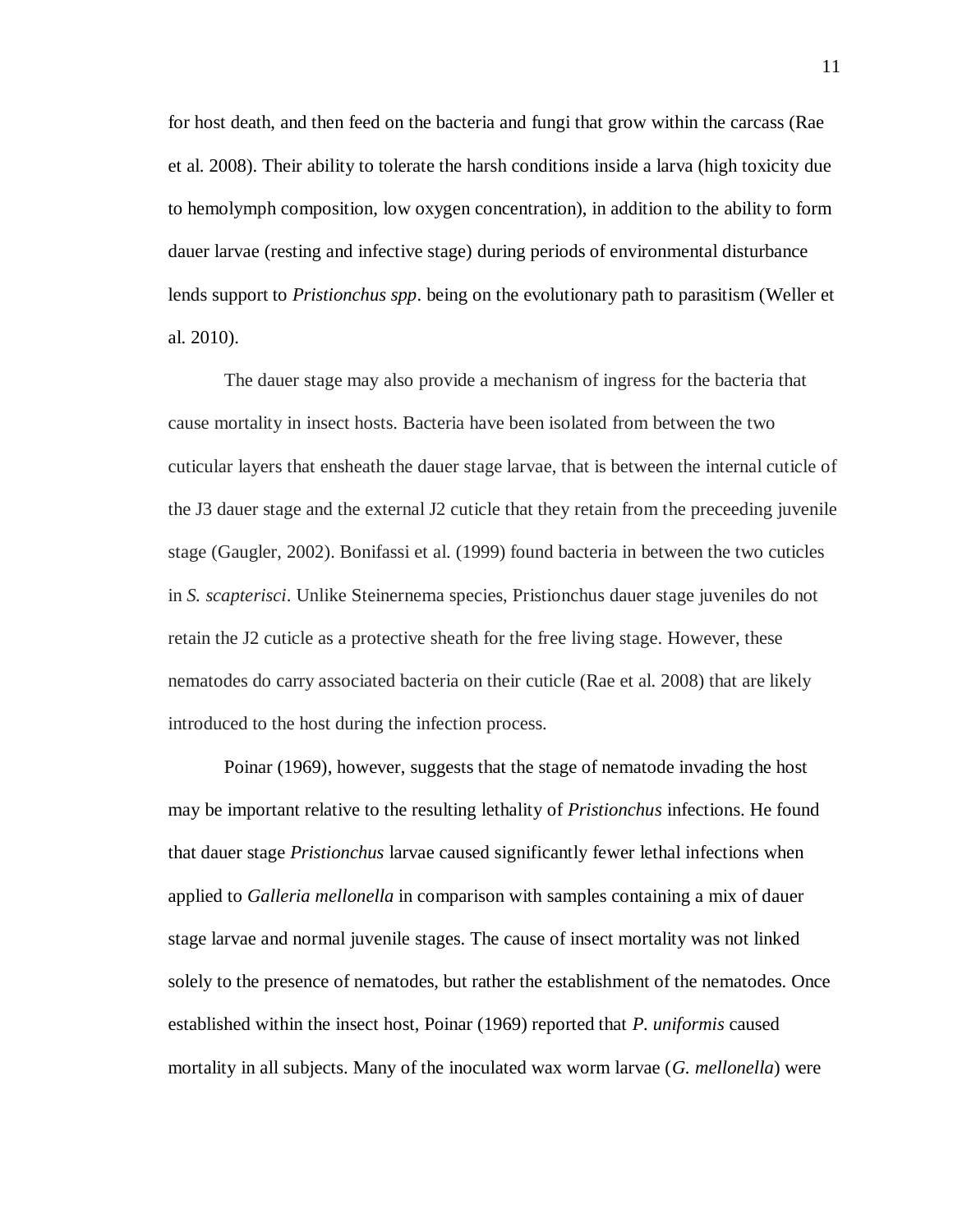for host death, and then feed on the bacteria and fungi that grow within the carcass (Rae et al. 2008). Their ability to tolerate the harsh conditions inside a larva (high toxicity due to hemolymph composition, low oxygen concentration), in addition to the ability to form dauer larvae (resting and infective stage) during periods of environmental disturbance lends support to *Pristionchus spp*. being on the evolutionary path to parasitism (Weller et al. 2010).

The dauer stage may also provide a mechanism of ingress for the bacteria that cause mortality in insect hosts. Bacteria have been isolated from between the two cuticular layers that ensheath the dauer stage larvae, that is between the internal cuticle of the J3 dauer stage and the external J2 cuticle that they retain from the preceeding juvenile stage (Gaugler, 2002). Bonifassi et al. (1999) found bacteria in between the two cuticles in *S. scapterisci*. Unlike Steinernema species, Pristionchus dauer stage juveniles do not retain the J2 cuticle as a protective sheath for the free living stage. However, these nematodes do carry associated bacteria on their cuticle (Rae et al. 2008) that are likely introduced to the host during the infection process.

Poinar (1969), however, suggests that the stage of nematode invading the host may be important relative to the resulting lethality of *Pristionchus* infections. He found that dauer stage *Pristionchus* larvae caused significantly fewer lethal infections when applied to *Galleria mellonella* in comparison with samples containing a mix of dauer stage larvae and normal juvenile stages. The cause of insect mortality was not linked solely to the presence of nematodes, but rather the establishment of the nematodes. Once established within the insect host, Poinar (1969) reported that *P. uniformis* caused mortality in all subjects. Many of the inoculated wax worm larvae (*G. mellonella*) were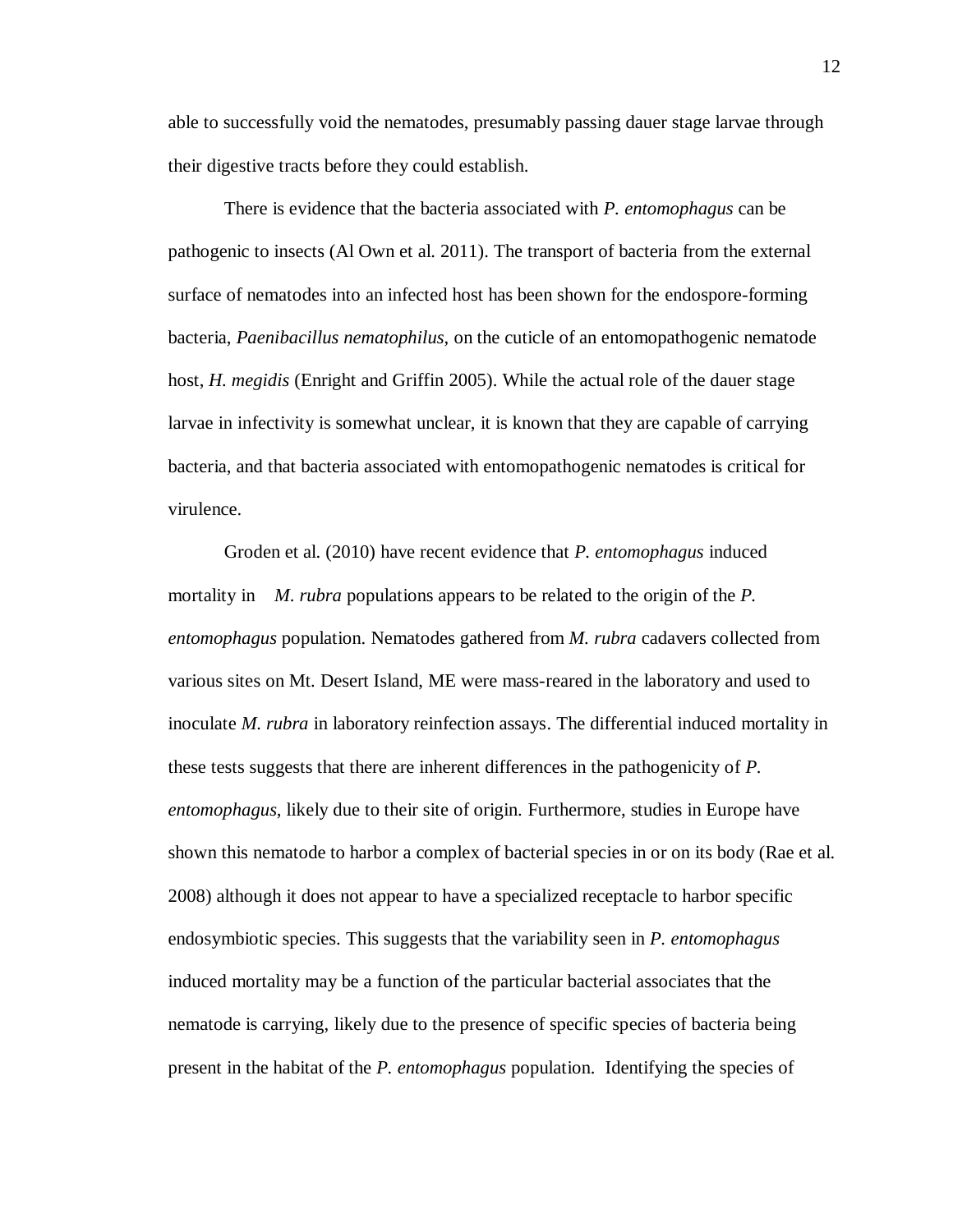able to successfully void the nematodes, presumably passing dauer stage larvae through their digestive tracts before they could establish.

There is evidence that the bacteria associated with *P. entomophagus* can be pathogenic to insects (Al Own et al. 2011). The transport of bacteria from the external surface of nematodes into an infected host has been shown for the endospore-forming bacteria, *Paenibacillus nematophilus*, on the cuticle of an entomopathogenic nematode host, *H. megidis* (Enright and Griffin 2005). While the actual role of the dauer stage larvae in infectivity is somewhat unclear, it is known that they are capable of carrying bacteria, and that bacteria associated with entomopathogenic nematodes is critical for virulence.

Groden et al. (2010) have recent evidence that *P. entomophagus* induced mortality in *M. rubra* populations appears to be related to the origin of the *P. entomophagus* population. Nematodes gathered from *M. rubra* cadavers collected from various sites on Mt. Desert Island, ME were mass-reared in the laboratory and used to inoculate *M. rubra* in laboratory reinfection assays. The differential induced mortality in these tests suggests that there are inherent differences in the pathogenicity of *P. entomophagus*, likely due to their site of origin. Furthermore, studies in Europe have shown this nematode to harbor a complex of bacterial species in or on its body (Rae et al. 2008) although it does not appear to have a specialized receptacle to harbor specific endosymbiotic species. This suggests that the variability seen in *P. entomophagus*  induced mortality may be a function of the particular bacterial associates that the nematode is carrying, likely due to the presence of specific species of bacteria being present in the habitat of the *P. entomophagus* population. Identifying the species of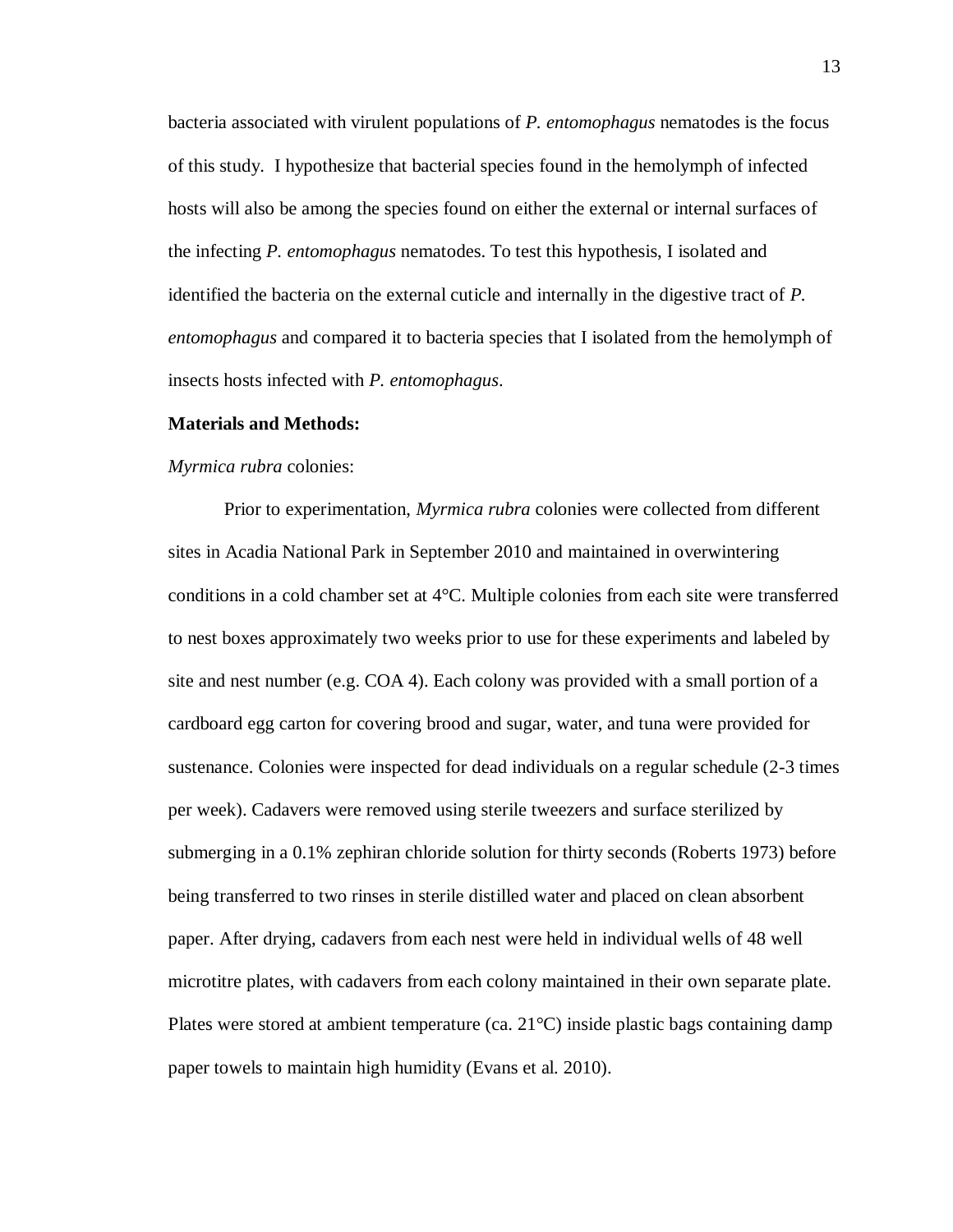bacteria associated with virulent populations of *P. entomophagus* nematodes is the focus of this study. I hypothesize that bacterial species found in the hemolymph of infected hosts will also be among the species found on either the external or internal surfaces of the infecting *P. entomophagus* nematodes. To test this hypothesis, I isolated and identified the bacteria on the external cuticle and internally in the digestive tract of *P. entomophagus* and compared it to bacteria species that I isolated from the hemolymph of insects hosts infected with *P. entomophagus*.

#### **Materials and Methods:**

#### *Myrmica rubra* colonies:

Prior to experimentation, *Myrmica rubra* colonies were collected from different sites in Acadia National Park in September 2010 and maintained in overwintering conditions in a cold chamber set at 4°C. Multiple colonies from each site were transferred to nest boxes approximately two weeks prior to use for these experiments and labeled by site and nest number (e.g. COA 4). Each colony was provided with a small portion of a cardboard egg carton for covering brood and sugar, water, and tuna were provided for sustenance. Colonies were inspected for dead individuals on a regular schedule (2-3 times per week). Cadavers were removed using sterile tweezers and surface sterilized by submerging in a 0.1% zephiran chloride solution for thirty seconds (Roberts 1973) before being transferred to two rinses in sterile distilled water and placed on clean absorbent paper. After drying, cadavers from each nest were held in individual wells of 48 well microtitre plates, with cadavers from each colony maintained in their own separate plate. Plates were stored at ambient temperature (ca. 21°C) inside plastic bags containing damp paper towels to maintain high humidity (Evans et al. 2010).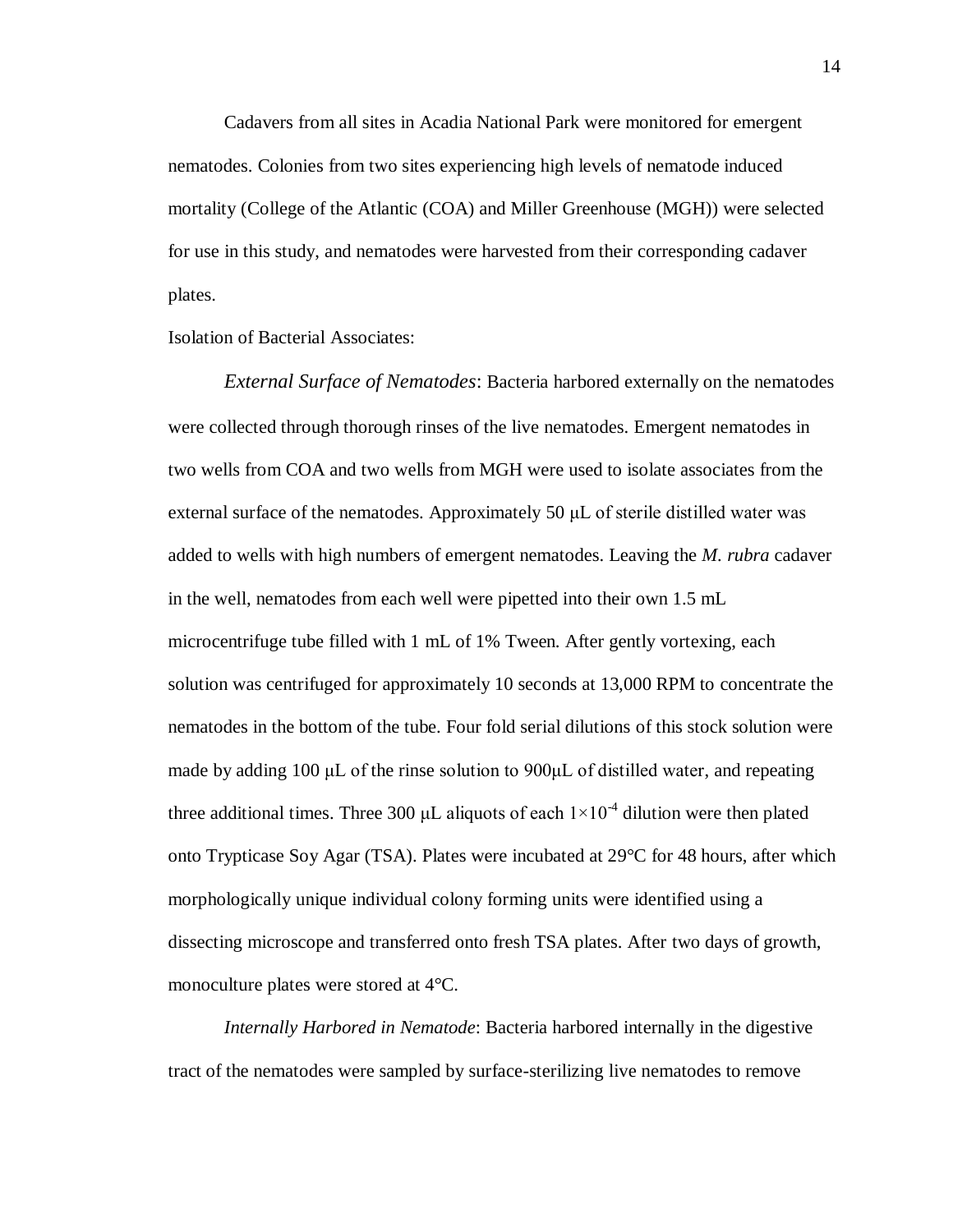Cadavers from all sites in Acadia National Park were monitored for emergent nematodes. Colonies from two sites experiencing high levels of nematode induced mortality (College of the Atlantic (COA) and Miller Greenhouse (MGH)) were selected for use in this study, and nematodes were harvested from their corresponding cadaver plates.

Isolation of Bacterial Associates:

*External Surface of Nematodes*: Bacteria harbored externally on the nematodes were collected through thorough rinses of the live nematodes. Emergent nematodes in two wells from COA and two wells from MGH were used to isolate associates from the external surface of the nematodes. Approximately 50  $\mu$ L of sterile distilled water was added to wells with high numbers of emergent nematodes. Leaving the *M. rubra* cadaver in the well, nematodes from each well were pipetted into their own 1.5 mL microcentrifuge tube filled with 1 mL of 1% Tween. After gently vortexing, each solution was centrifuged for approximately 10 seconds at 13,000 RPM to concentrate the nematodes in the bottom of the tube. Four fold serial dilutions of this stock solution were made by adding 100 μL of the rinse solution to 900μL of distilled water, and repeating three additional times. Three 300 µL aliquots of each  $1\times10^{-4}$  dilution were then plated onto Trypticase Soy Agar (TSA). Plates were incubated at 29°C for 48 hours, after which morphologically unique individual colony forming units were identified using a dissecting microscope and transferred onto fresh TSA plates. After two days of growth, monoculture plates were stored at 4°C.

*Internally Harbored in Nematode*: Bacteria harbored internally in the digestive tract of the nematodes were sampled by surface-sterilizing live nematodes to remove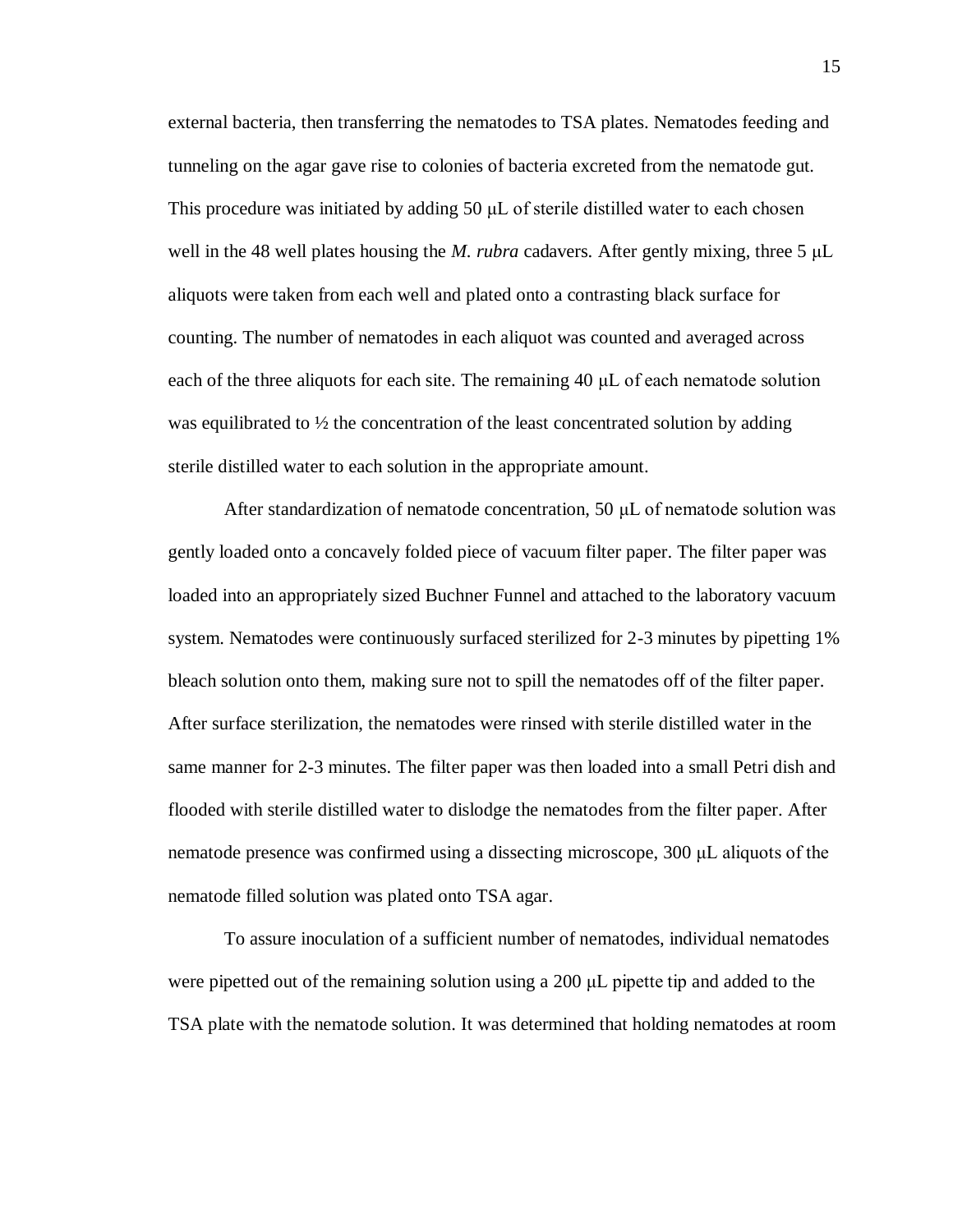external bacteria, then transferring the nematodes to TSA plates. Nematodes feeding and tunneling on the agar gave rise to colonies of bacteria excreted from the nematode gut. This procedure was initiated by adding 50 μL of sterile distilled water to each chosen well in the 48 well plates housing the *M. rubra* cadavers. After gently mixing, three 5 μL aliquots were taken from each well and plated onto a contrasting black surface for counting. The number of nematodes in each aliquot was counted and averaged across each of the three aliquots for each site. The remaining 40 μL of each nematode solution was equilibrated to  $\frac{1}{2}$  the concentration of the least concentrated solution by adding sterile distilled water to each solution in the appropriate amount.

After standardization of nematode concentration, 50 μL of nematode solution was gently loaded onto a concavely folded piece of vacuum filter paper. The filter paper was loaded into an appropriately sized Buchner Funnel and attached to the laboratory vacuum system. Nematodes were continuously surfaced sterilized for 2-3 minutes by pipetting 1% bleach solution onto them, making sure not to spill the nematodes off of the filter paper. After surface sterilization, the nematodes were rinsed with sterile distilled water in the same manner for 2-3 minutes. The filter paper was then loaded into a small Petri dish and flooded with sterile distilled water to dislodge the nematodes from the filter paper. After nematode presence was confirmed using a dissecting microscope, 300 μL aliquots of the nematode filled solution was plated onto TSA agar.

To assure inoculation of a sufficient number of nematodes, individual nematodes were pipetted out of the remaining solution using a 200 μL pipette tip and added to the TSA plate with the nematode solution. It was determined that holding nematodes at room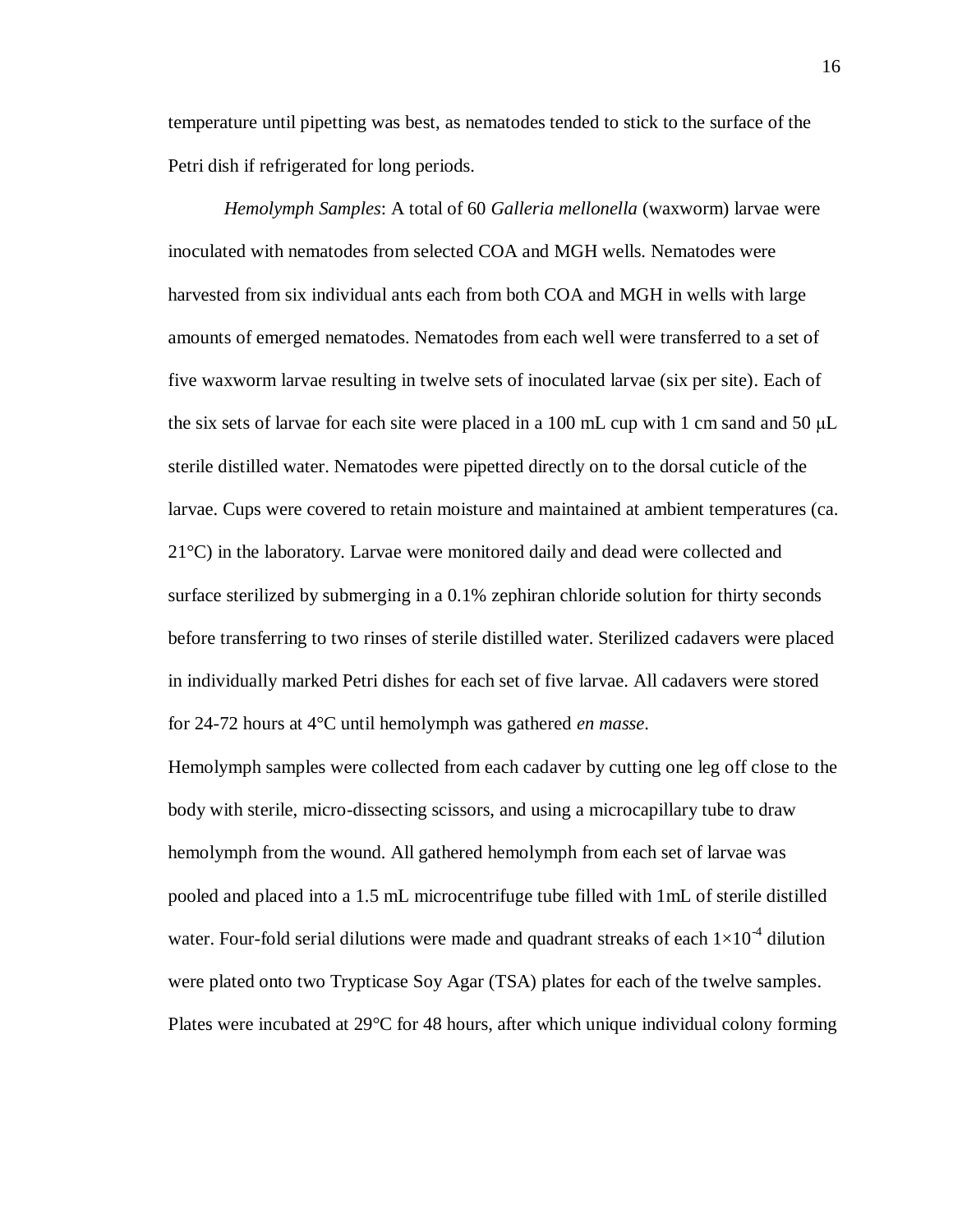temperature until pipetting was best, as nematodes tended to stick to the surface of the Petri dish if refrigerated for long periods.

*Hemolymph Samples*: A total of 60 *Galleria mellonella* (waxworm) larvae were inoculated with nematodes from selected COA and MGH wells. Nematodes were harvested from six individual ants each from both COA and MGH in wells with large amounts of emerged nematodes. Nematodes from each well were transferred to a set of five waxworm larvae resulting in twelve sets of inoculated larvae (six per site). Each of the six sets of larvae for each site were placed in a 100 mL cup with 1 cm sand and 50  $\mu$ L sterile distilled water. Nematodes were pipetted directly on to the dorsal cuticle of the larvae. Cups were covered to retain moisture and maintained at ambient temperatures (ca. 21°C) in the laboratory. Larvae were monitored daily and dead were collected and surface sterilized by submerging in a 0.1% zephiran chloride solution for thirty seconds before transferring to two rinses of sterile distilled water. Sterilized cadavers were placed in individually marked Petri dishes for each set of five larvae. All cadavers were stored for 24-72 hours at 4°C until hemolymph was gathered *en masse*.

Hemolymph samples were collected from each cadaver by cutting one leg off close to the body with sterile, micro-dissecting scissors, and using a microcapillary tube to draw hemolymph from the wound. All gathered hemolymph from each set of larvae was pooled and placed into a 1.5 mL microcentrifuge tube filled with 1mL of sterile distilled water. Four-fold serial dilutions were made and quadrant streaks of each  $1\times10^{-4}$  dilution were plated onto two Trypticase Soy Agar (TSA) plates for each of the twelve samples. Plates were incubated at 29°C for 48 hours, after which unique individual colony forming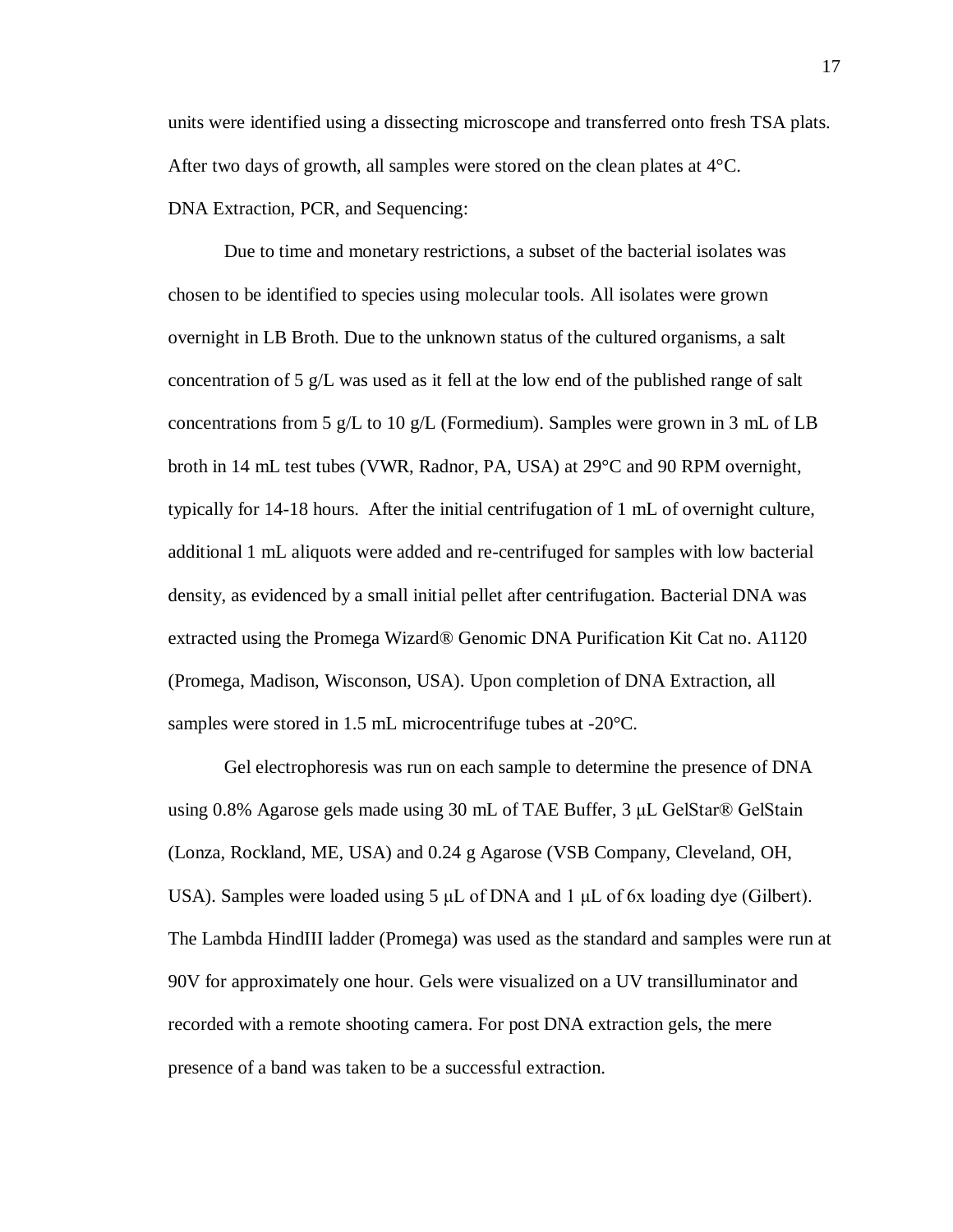units were identified using a dissecting microscope and transferred onto fresh TSA plats. After two days of growth, all samples were stored on the clean plates at  $4^{\circ}$ C. DNA Extraction, PCR, and Sequencing:

Due to time and monetary restrictions, a subset of the bacterial isolates was chosen to be identified to species using molecular tools. All isolates were grown overnight in LB Broth. Due to the unknown status of the cultured organisms, a salt concentration of 5 g/L was used as it fell at the low end of the published range of salt concentrations from 5 g/L to 10 g/L (Formedium). Samples were grown in 3 mL of LB broth in 14 mL test tubes (VWR, Radnor, PA, USA) at 29°C and 90 RPM overnight, typically for 14-18 hours. After the initial centrifugation of 1 mL of overnight culture, additional 1 mL aliquots were added and re-centrifuged for samples with low bacterial density, as evidenced by a small initial pellet after centrifugation. Bacterial DNA was extracted using the Promega Wizard® Genomic DNA Purification Kit Cat no. A1120 (Promega, Madison, Wisconson, USA). Upon completion of DNA Extraction, all samples were stored in 1.5 mL microcentrifuge tubes at -20°C.

Gel electrophoresis was run on each sample to determine the presence of DNA using 0.8% Agarose gels made using 30 mL of TAE Buffer, 3 μL GelStar® GelStain (Lonza, Rockland, ME, USA) and 0.24 g Agarose (VSB Company, Cleveland, OH, USA). Samples were loaded using 5  $\mu$ L of DNA and 1  $\mu$ L of 6x loading dye (Gilbert). The Lambda HindIII ladder (Promega) was used as the standard and samples were run at 90V for approximately one hour. Gels were visualized on a UV transilluminator and recorded with a remote shooting camera. For post DNA extraction gels, the mere presence of a band was taken to be a successful extraction.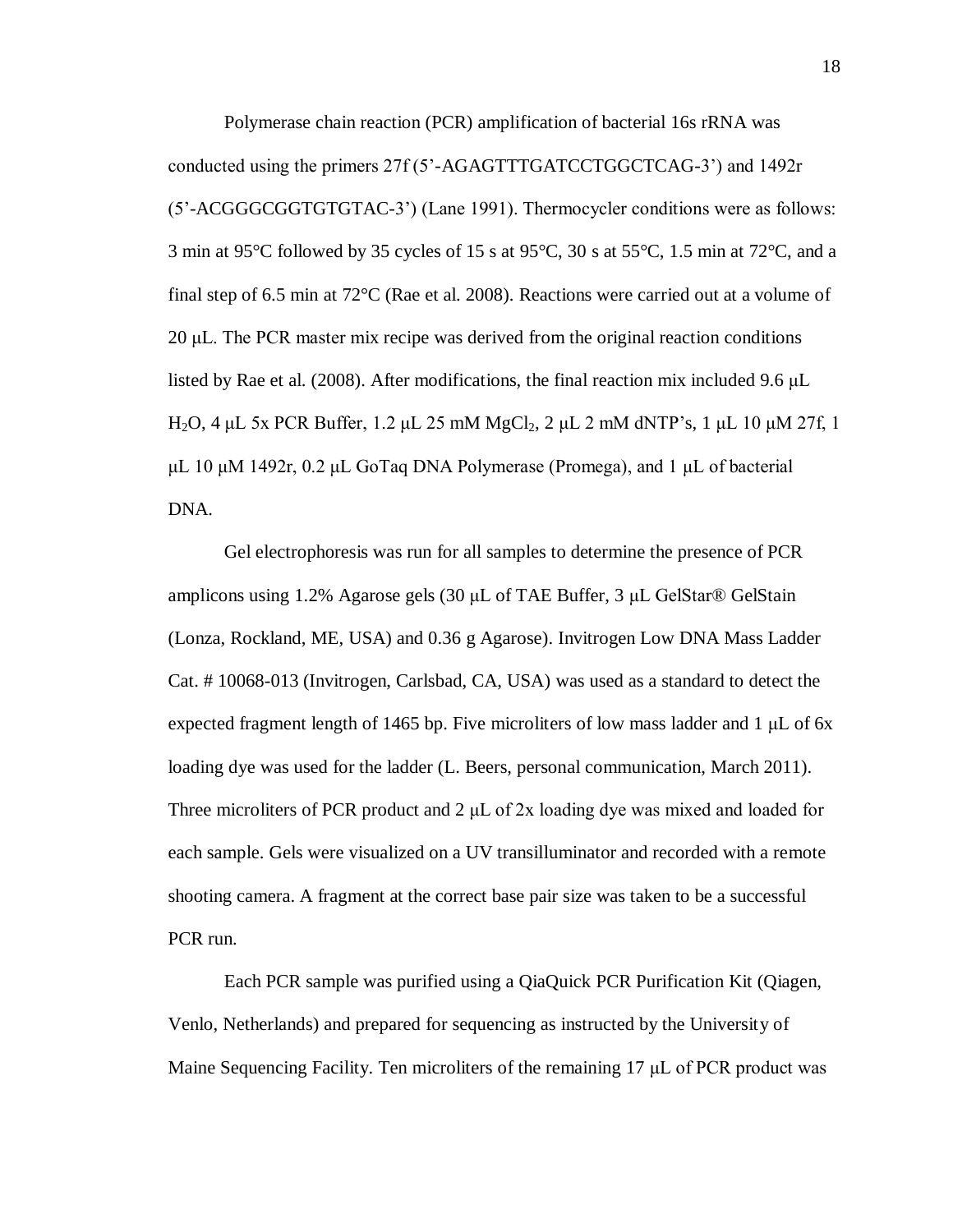Polymerase chain reaction (PCR) amplification of bacterial 16s rRNA was conducted using the primers 27f (5'-AGAGTTTGATCCTGGCTCAG-3') and 1492r (5'-ACGGGCGGTGTGTAC-3') (Lane 1991). Thermocycler conditions were as follows: 3 min at 95 $\degree$ C followed by 35 cycles of 15 s at 95 $\degree$ C, 30 s at 55 $\degree$ C, 1.5 min at 72 $\degree$ C, and a final step of 6.5 min at 72°C (Rae et al. 2008). Reactions were carried out at a volume of 20 μL. The PCR master mix recipe was derived from the original reaction conditions listed by Rae et al. (2008). After modifications, the final reaction mix included 9.6 μL H<sub>2</sub>O, 4 μL 5x PCR Buffer, 1.2 μL 25 mM MgCl<sub>2</sub>, 2 μL 2 mM dNTP's, 1 μL 10 μM 27f, 1 μL 10 μM 1492r, 0.2 μL GoTaq DNA Polymerase (Promega), and 1 μL of bacterial DNA.

Gel electrophoresis was run for all samples to determine the presence of PCR amplicons using 1.2% Agarose gels (30 μL of TAE Buffer, 3 μL GelStar® GelStain (Lonza, Rockland, ME, USA) and 0.36 g Agarose). Invitrogen Low DNA Mass Ladder Cat. # 10068-013 (Invitrogen, Carlsbad, CA, USA) was used as a standard to detect the expected fragment length of 1465 bp. Five microliters of low mass ladder and 1 μL of 6x loading dye was used for the ladder (L. Beers, personal communication, March 2011). Three microliters of PCR product and 2 μL of 2x loading dye was mixed and loaded for each sample. Gels were visualized on a UV transilluminator and recorded with a remote shooting camera. A fragment at the correct base pair size was taken to be a successful PCR run.

Each PCR sample was purified using a QiaQuick PCR Purification Kit (Qiagen, Venlo, Netherlands) and prepared for sequencing as instructed by the University of Maine Sequencing Facility. Ten microliters of the remaining 17 μL of PCR product was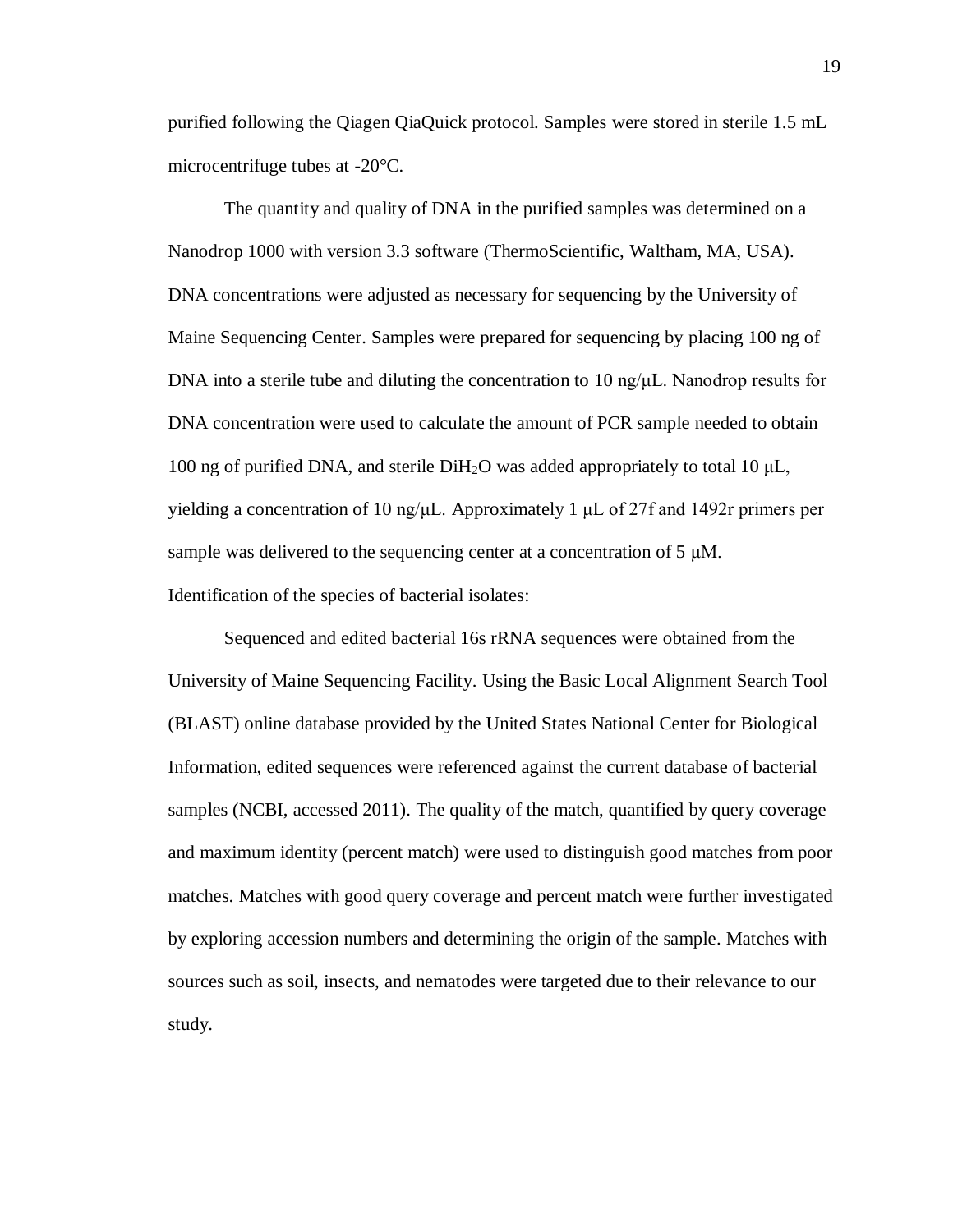purified following the Qiagen QiaQuick protocol. Samples were stored in sterile 1.5 mL microcentrifuge tubes at -20°C.

The quantity and quality of DNA in the purified samples was determined on a Nanodrop 1000 with version 3.3 software (ThermoScientific, Waltham, MA, USA). DNA concentrations were adjusted as necessary for sequencing by the University of Maine Sequencing Center. Samples were prepared for sequencing by placing 100 ng of DNA into a sterile tube and diluting the concentration to 10 ng/ $\mu$ L. Nanodrop results for DNA concentration were used to calculate the amount of PCR sample needed to obtain 100 ng of purified DNA, and sterile DiH<sub>2</sub>O was added appropriately to total 10 μL, yielding a concentration of 10 ng/μL. Approximately 1 μL of 27f and 1492r primers per sample was delivered to the sequencing center at a concentration of 5 μM. Identification of the species of bacterial isolates:

Sequenced and edited bacterial 16s rRNA sequences were obtained from the University of Maine Sequencing Facility. Using the Basic Local Alignment Search Tool (BLAST) online database provided by the United States National Center for Biological Information, edited sequences were referenced against the current database of bacterial samples (NCBI, accessed 2011). The quality of the match, quantified by query coverage and maximum identity (percent match) were used to distinguish good matches from poor matches. Matches with good query coverage and percent match were further investigated by exploring accession numbers and determining the origin of the sample. Matches with sources such as soil, insects, and nematodes were targeted due to their relevance to our study.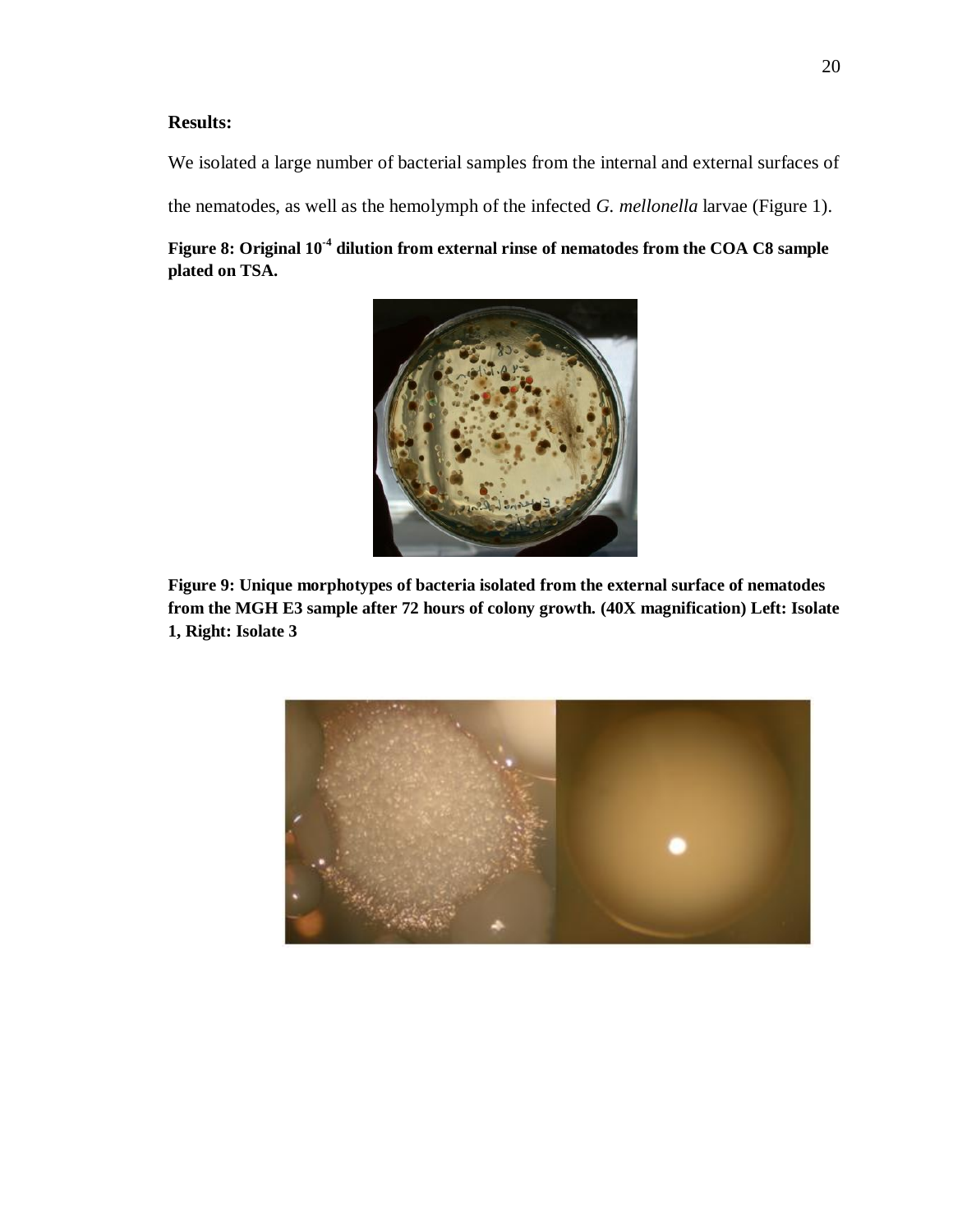# **Results:**

We isolated a large number of bacterial samples from the internal and external surfaces of

the nematodes, as well as the hemolymph of the infected *G. mellonella* larvae (Figure 1).

**Figure 8: Original 10-4 dilution from external rinse of nematodes from the COA C8 sample plated on TSA.**



**Figure 9: Unique morphotypes of bacteria isolated from the external surface of nematodes from the MGH E3 sample after 72 hours of colony growth. (40X magnification) Left: Isolate 1, Right: Isolate 3**

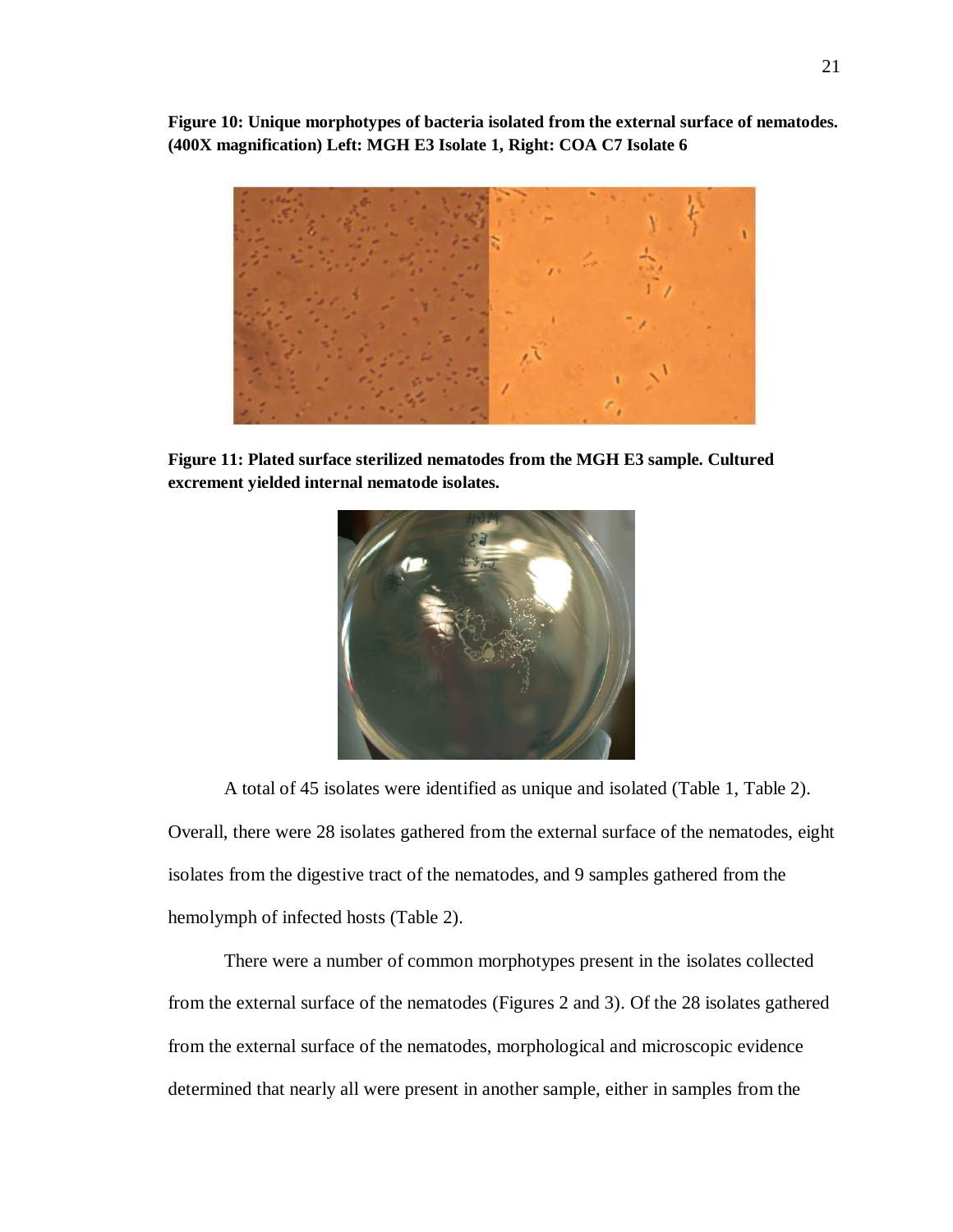**Figure 10: Unique morphotypes of bacteria isolated from the external surface of nematodes. (400X magnification) Left: MGH E3 Isolate 1, Right: COA C7 Isolate 6**



**Figure 11: Plated surface sterilized nematodes from the MGH E3 sample. Cultured excrement yielded internal nematode isolates.**



A total of 45 isolates were identified as unique and isolated (Table 1, Table 2). Overall, there were 28 isolates gathered from the external surface of the nematodes, eight isolates from the digestive tract of the nematodes, and 9 samples gathered from the hemolymph of infected hosts (Table 2).

There were a number of common morphotypes present in the isolates collected from the external surface of the nematodes (Figures 2 and 3). Of the 28 isolates gathered from the external surface of the nematodes, morphological and microscopic evidence determined that nearly all were present in another sample, either in samples from the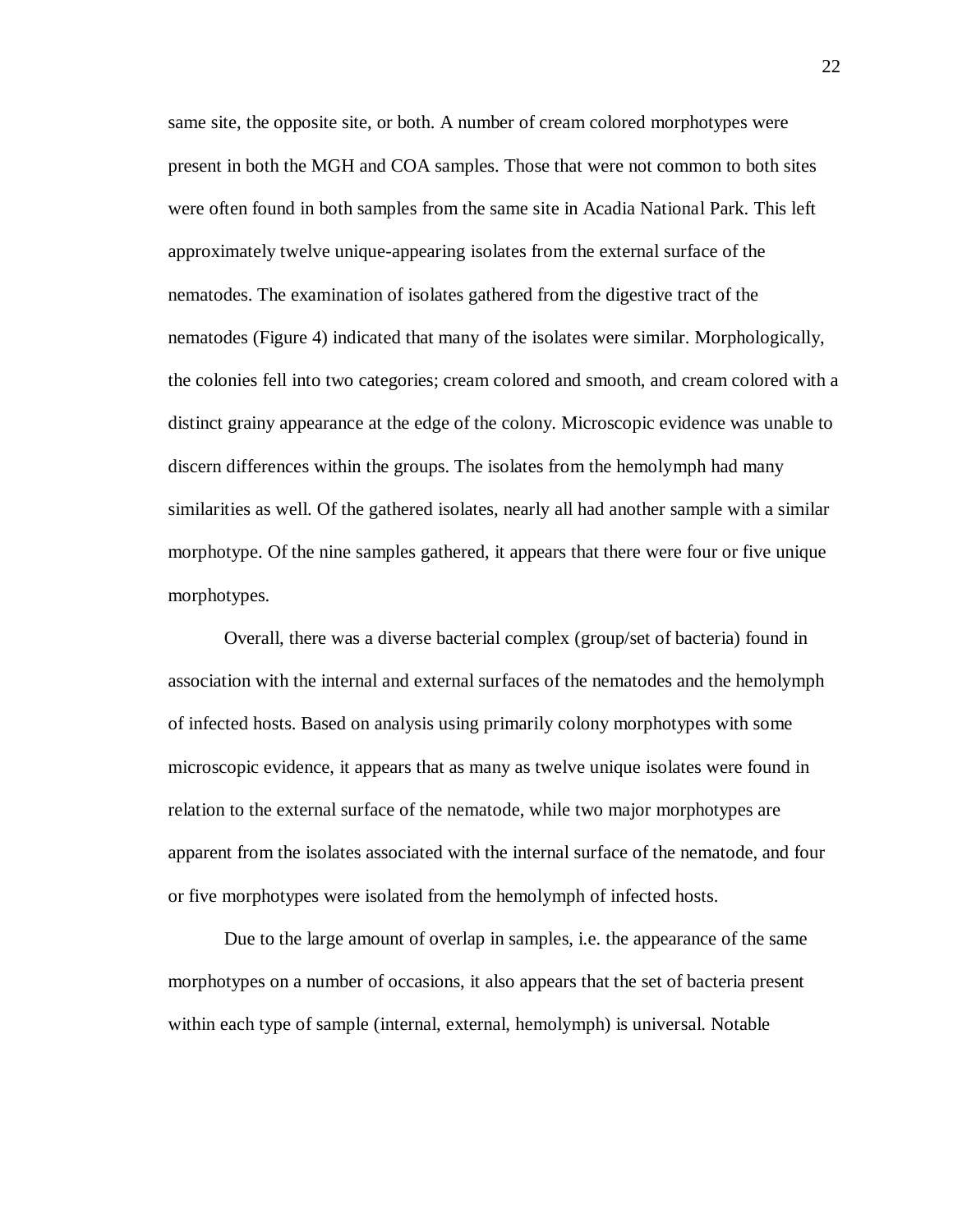same site, the opposite site, or both. A number of cream colored morphotypes were present in both the MGH and COA samples. Those that were not common to both sites were often found in both samples from the same site in Acadia National Park. This left approximately twelve unique-appearing isolates from the external surface of the nematodes. The examination of isolates gathered from the digestive tract of the nematodes (Figure 4) indicated that many of the isolates were similar. Morphologically, the colonies fell into two categories; cream colored and smooth, and cream colored with a distinct grainy appearance at the edge of the colony. Microscopic evidence was unable to discern differences within the groups. The isolates from the hemolymph had many similarities as well. Of the gathered isolates, nearly all had another sample with a similar morphotype. Of the nine samples gathered, it appears that there were four or five unique morphotypes.

Overall, there was a diverse bacterial complex (group/set of bacteria) found in association with the internal and external surfaces of the nematodes and the hemolymph of infected hosts. Based on analysis using primarily colony morphotypes with some microscopic evidence, it appears that as many as twelve unique isolates were found in relation to the external surface of the nematode, while two major morphotypes are apparent from the isolates associated with the internal surface of the nematode, and four or five morphotypes were isolated from the hemolymph of infected hosts.

Due to the large amount of overlap in samples, i.e. the appearance of the same morphotypes on a number of occasions, it also appears that the set of bacteria present within each type of sample (internal, external, hemolymph) is universal. Notable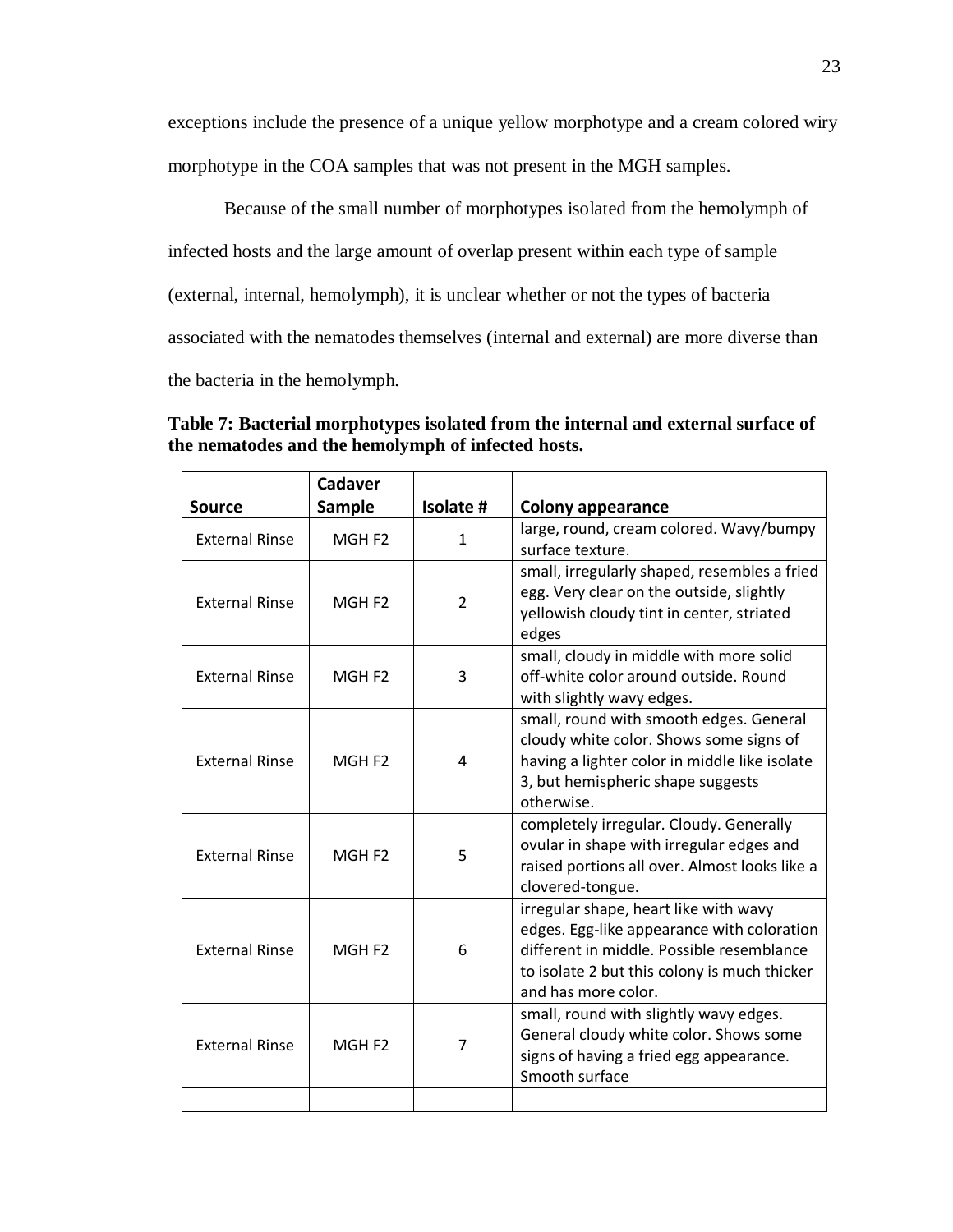exceptions include the presence of a unique yellow morphotype and a cream colored wiry morphotype in the COA samples that was not present in the MGH samples.

Because of the small number of morphotypes isolated from the hemolymph of infected hosts and the large amount of overlap present within each type of sample (external, internal, hemolymph), it is unclear whether or not the types of bacteria associated with the nematodes themselves (internal and external) are more diverse than the bacteria in the hemolymph.

| Table 7: Bacterial morphotypes isolated from the internal and external surface of |
|-----------------------------------------------------------------------------------|
| the nematodes and the hemolymph of infected hosts.                                |
|                                                                                   |

|                       | Cadaver            |                |                                                                                    |
|-----------------------|--------------------|----------------|------------------------------------------------------------------------------------|
| <b>Source</b>         | Sample             | Isolate #      | <b>Colony appearance</b>                                                           |
| <b>External Rinse</b> | MGH <sub>F2</sub>  | 1              | large, round, cream colored. Wavy/bumpy                                            |
|                       |                    |                | surface texture.                                                                   |
|                       |                    |                | small, irregularly shaped, resembles a fried                                       |
| <b>External Rinse</b> | MGH F <sub>2</sub> | $\overline{2}$ | egg. Very clear on the outside, slightly                                           |
|                       |                    |                | yellowish cloudy tint in center, striated                                          |
|                       |                    |                | edges                                                                              |
|                       |                    |                | small, cloudy in middle with more solid                                            |
| <b>External Rinse</b> | MGH <sub>F2</sub>  | 3              | off-white color around outside. Round                                              |
|                       |                    |                | with slightly wavy edges.                                                          |
|                       |                    |                | small, round with smooth edges. General                                            |
| <b>External Rinse</b> |                    | 4              | cloudy white color. Shows some signs of                                            |
|                       | MGH <sub>F2</sub>  |                | having a lighter color in middle like isolate<br>3, but hemispheric shape suggests |
|                       |                    |                | otherwise.                                                                         |
|                       |                    |                | completely irregular. Cloudy. Generally                                            |
|                       |                    |                | ovular in shape with irregular edges and                                           |
| <b>External Rinse</b> | MGH <sub>F2</sub>  | 5              | raised portions all over. Almost looks like a                                      |
|                       |                    |                | clovered-tongue.                                                                   |
|                       |                    |                | irregular shape, heart like with wavy                                              |
|                       |                    |                | edges. Egg-like appearance with coloration                                         |
| <b>External Rinse</b> | MGH <sub>F2</sub>  | 6              | different in middle. Possible resemblance                                          |
|                       |                    |                | to isolate 2 but this colony is much thicker                                       |
|                       |                    |                | and has more color.                                                                |
|                       |                    |                | small, round with slightly wavy edges.                                             |
| <b>External Rinse</b> | MGH <sub>F2</sub>  | $\overline{7}$ | General cloudy white color. Shows some                                             |
|                       |                    |                | signs of having a fried egg appearance.                                            |
|                       |                    |                | Smooth surface                                                                     |
|                       |                    |                |                                                                                    |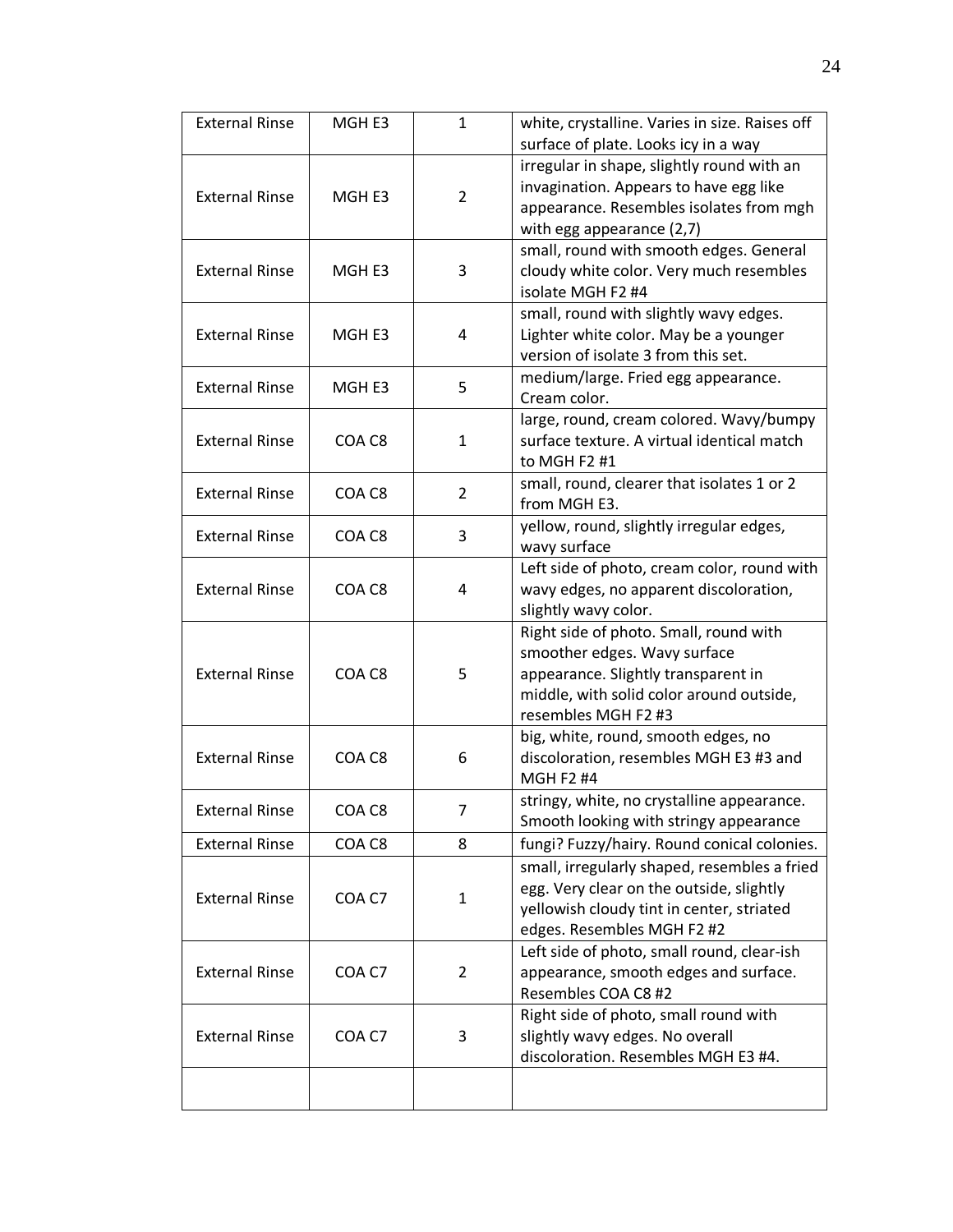| <b>External Rinse</b> | MGH <sub>E3</sub> | $\mathbf{1}$   | white, crystalline. Varies in size. Raises off<br>surface of plate. Looks icy in a way                                                                                           |
|-----------------------|-------------------|----------------|----------------------------------------------------------------------------------------------------------------------------------------------------------------------------------|
| <b>External Rinse</b> | MGH <sub>E3</sub> | $\overline{2}$ | irregular in shape, slightly round with an<br>invagination. Appears to have egg like<br>appearance. Resembles isolates from mgh<br>with egg appearance (2,7)                     |
| <b>External Rinse</b> | MGH E3            | 3              | small, round with smooth edges. General<br>cloudy white color. Very much resembles<br>isolate MGH F2 #4                                                                          |
| <b>External Rinse</b> | MGH <sub>E3</sub> | 4              | small, round with slightly wavy edges.<br>Lighter white color. May be a younger<br>version of isolate 3 from this set.                                                           |
| <b>External Rinse</b> | MGH <sub>E3</sub> | 5              | medium/large. Fried egg appearance.<br>Cream color.                                                                                                                              |
| <b>External Rinse</b> | COA C8            | $\mathbf{1}$   | large, round, cream colored. Wavy/bumpy<br>surface texture. A virtual identical match<br>to MGH F2 #1                                                                            |
| <b>External Rinse</b> | COA C8            | $\overline{2}$ | small, round, clearer that isolates 1 or 2<br>from MGH E3.                                                                                                                       |
| <b>External Rinse</b> | COA C8            | 3              | yellow, round, slightly irregular edges,<br>wavy surface                                                                                                                         |
| <b>External Rinse</b> | COA C8            | 4              | Left side of photo, cream color, round with<br>wavy edges, no apparent discoloration,<br>slightly wavy color.                                                                    |
| <b>External Rinse</b> | COA C8            | 5              | Right side of photo. Small, round with<br>smoother edges. Wavy surface<br>appearance. Slightly transparent in<br>middle, with solid color around outside,<br>resembles MGH F2 #3 |
| <b>External Rinse</b> | COA C8            | 6              | big, white, round, smooth edges, no<br>discoloration, resembles MGH E3 #3 and<br><b>MGH F2 #4</b>                                                                                |
| <b>External Rinse</b> | COA C8            | 7              | stringy, white, no crystalline appearance.<br>Smooth looking with stringy appearance                                                                                             |
| <b>External Rinse</b> | COA C8            | 8              | fungi? Fuzzy/hairy. Round conical colonies.                                                                                                                                      |
| <b>External Rinse</b> | COA C7            | $\mathbf{1}$   | small, irregularly shaped, resembles a fried<br>egg. Very clear on the outside, slightly<br>yellowish cloudy tint in center, striated<br>edges. Resembles MGH F2 #2              |
| <b>External Rinse</b> | COA C7            | $\overline{2}$ | Left side of photo, small round, clear-ish<br>appearance, smooth edges and surface.<br>Resembles COA C8 #2                                                                       |
| <b>External Rinse</b> | COA C7            | 3              | Right side of photo, small round with<br>slightly wavy edges. No overall<br>discoloration. Resembles MGH E3 #4.                                                                  |
|                       |                   |                |                                                                                                                                                                                  |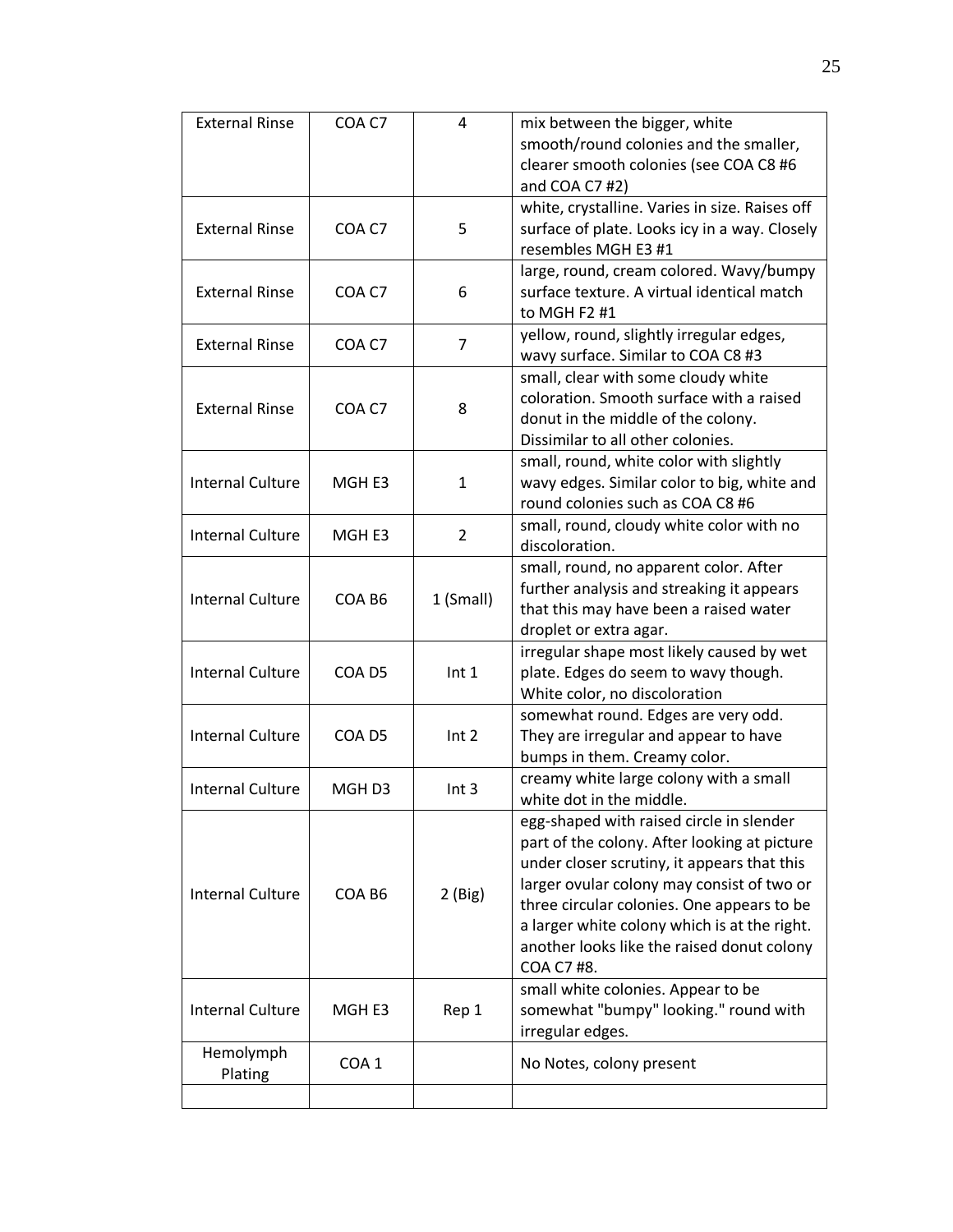| <b>External Rinse</b>   | COA C7            | 4                | mix between the bigger, white                  |
|-------------------------|-------------------|------------------|------------------------------------------------|
|                         |                   |                  | smooth/round colonies and the smaller,         |
|                         |                   |                  | clearer smooth colonies (see COA C8 #6         |
|                         |                   |                  | and COA C7 #2)                                 |
|                         |                   |                  | white, crystalline. Varies in size. Raises off |
| <b>External Rinse</b>   | COA C7            | 5                | surface of plate. Looks icy in a way. Closely  |
|                         |                   |                  | resembles MGH E3 #1                            |
|                         |                   |                  | large, round, cream colored. Wavy/bumpy        |
| <b>External Rinse</b>   | COA C7            | 6                | surface texture. A virtual identical match     |
|                         |                   |                  | to MGH F2 #1                                   |
| <b>External Rinse</b>   | COA C7            | $\overline{7}$   | yellow, round, slightly irregular edges,       |
|                         |                   |                  | wavy surface. Similar to COA C8 #3             |
|                         |                   |                  | small, clear with some cloudy white            |
| <b>External Rinse</b>   | COA C7            | 8                | coloration. Smooth surface with a raised       |
|                         |                   |                  | donut in the middle of the colony.             |
|                         |                   |                  | Dissimilar to all other colonies.              |
|                         |                   |                  | small, round, white color with slightly        |
| <b>Internal Culture</b> | MGH <sub>E3</sub> | $\mathbf{1}$     | wavy edges. Similar color to big, white and    |
|                         |                   |                  | round colonies such as COA C8 #6               |
| <b>Internal Culture</b> | MGH E3            | $\overline{2}$   | small, round, cloudy white color with no       |
|                         |                   |                  | discoloration.                                 |
|                         |                   |                  | small, round, no apparent color. After         |
| <b>Internal Culture</b> | COA B6            | 1 (Small)        | further analysis and streaking it appears      |
|                         |                   |                  | that this may have been a raised water         |
|                         |                   |                  | droplet or extra agar.                         |
|                         |                   |                  | irregular shape most likely caused by wet      |
| <b>Internal Culture</b> | COA D5            | Int <sub>1</sub> | plate. Edges do seem to wavy though.           |
|                         |                   |                  | White color, no discoloration                  |
|                         |                   |                  | somewhat round. Edges are very odd.            |
| <b>Internal Culture</b> | COA D5            | Int <sub>2</sub> | They are irregular and appear to have          |
|                         |                   |                  | bumps in them. Creamy color.                   |
| <b>Internal Culture</b> | MGH <sub>D3</sub> | Int <sub>3</sub> | creamy white large colony with a small         |
|                         |                   |                  | white dot in the middle.                       |
|                         |                   |                  | egg-shaped with raised circle in slender       |
|                         |                   |                  | part of the colony. After looking at picture   |
|                         |                   |                  | under closer scrutiny, it appears that this    |
| <b>Internal Culture</b> | COA B6            | $2$ (Big)        | larger ovular colony may consist of two or     |
|                         |                   |                  | three circular colonies. One appears to be     |
|                         |                   |                  | a larger white colony which is at the right.   |
|                         |                   |                  | another looks like the raised donut colony     |
|                         |                   |                  | COA C7 #8.                                     |
|                         |                   |                  | small white colonies. Appear to be             |
| <b>Internal Culture</b> | MGH E3            | Rep 1            | somewhat "bumpy" looking." round with          |
|                         |                   |                  | irregular edges.                               |
| Hemolymph               | COA <sub>1</sub>  |                  | No Notes, colony present                       |
| Plating                 |                   |                  |                                                |
|                         |                   |                  |                                                |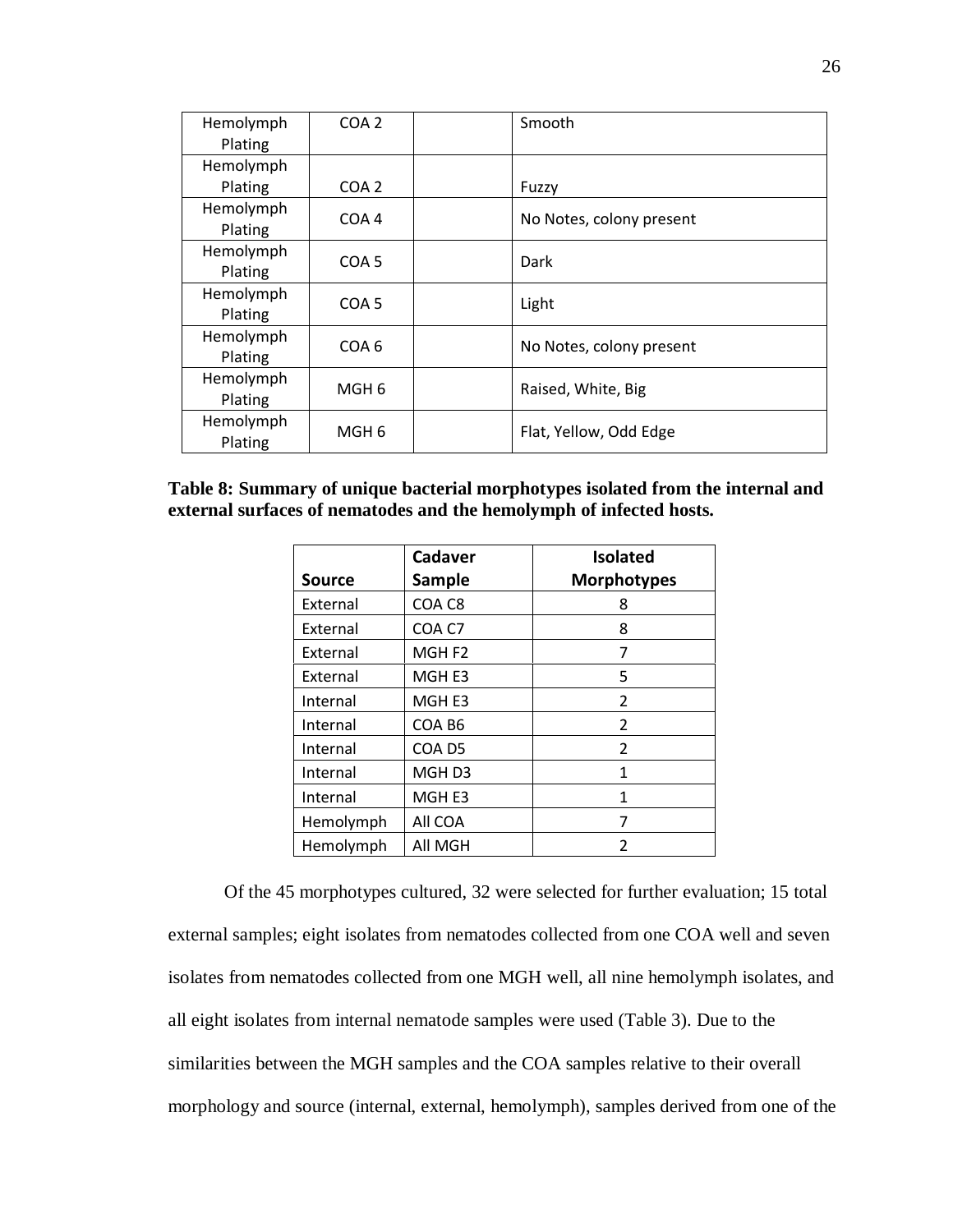| Hemolymph | COA <sub>2</sub> | Smooth                   |
|-----------|------------------|--------------------------|
| Plating   |                  |                          |
| Hemolymph |                  |                          |
| Plating   | COA <sub>2</sub> | Fuzzy                    |
| Hemolymph | COA 4            | No Notes, colony present |
| Plating   |                  |                          |
| Hemolymph | COA <sub>5</sub> | Dark                     |
| Plating   |                  |                          |
| Hemolymph | COA <sub>5</sub> | Light                    |
| Plating   |                  |                          |
| Hemolymph | COA 6            | No Notes, colony present |
| Plating   |                  |                          |
| Hemolymph | MGH 6            |                          |
| Plating   |                  | Raised, White, Big       |
| Hemolymph | MGH 6            | Flat, Yellow, Odd Edge   |
| Plating   |                  |                          |

# **Table 8: Summary of unique bacterial morphotypes isolated from the internal and external surfaces of nematodes and the hemolymph of infected hosts.**

|                 | Cadaver           | <b>Isolated</b>    |
|-----------------|-------------------|--------------------|
| <b>Source</b>   | Sample            | <b>Morphotypes</b> |
| External        | COA C8            | 8                  |
| External        | COA C7            | 8                  |
| External        | MGH <sub>F2</sub> | 7                  |
| <b>Fxternal</b> | MGH <sub>E3</sub> | 5                  |
| Internal        | MGH <sub>E3</sub> | 2                  |
| Internal        | COA B6            | $\overline{2}$     |
| Internal        | COA D5            | $\overline{2}$     |
| Internal        | MGH <sub>D3</sub> | 1                  |
| Internal        | MGH <sub>E3</sub> | 1                  |
| Hemolymph       | All COA           | 7                  |
| Hemolymph       | All MGH           | 2                  |

Of the 45 morphotypes cultured, 32 were selected for further evaluation; 15 total external samples; eight isolates from nematodes collected from one COA well and seven isolates from nematodes collected from one MGH well, all nine hemolymph isolates, and all eight isolates from internal nematode samples were used (Table 3). Due to the similarities between the MGH samples and the COA samples relative to their overall morphology and source (internal, external, hemolymph), samples derived from one of the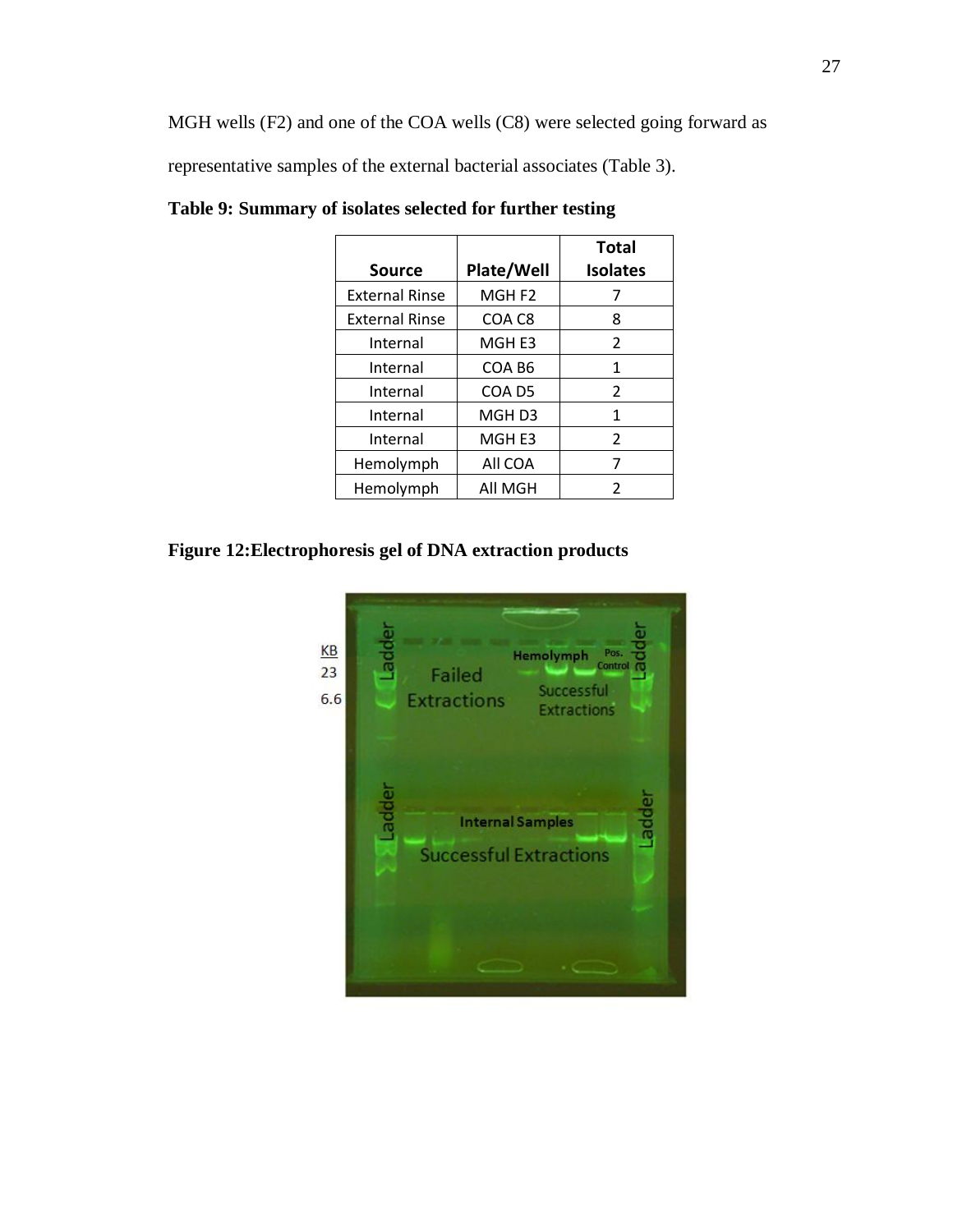MGH wells (F2) and one of the COA wells (C8) were selected going forward as representative samples of the external bacterial associates (Table 3).

| <b>Source</b>         | Plate/Well        | <b>Total</b><br><b>Isolates</b> |
|-----------------------|-------------------|---------------------------------|
| <b>External Rinse</b> | MGH <sub>F2</sub> |                                 |
| <b>External Rinse</b> | COA C8            | 8                               |
| Internal              | MGH <sub>E3</sub> | 2                               |
| Internal              | COA B6            | 1                               |
| Internal              | COA D5            | 2                               |
| Internal              | MGH <sub>D3</sub> | 1                               |
| Internal              | MGH <sub>E3</sub> | 2                               |
| Hemolymph             | All COA           | 7                               |
| Hemolymph             | All MGH           | 2                               |

**Table 9: Summary of isolates selected for further testing**

**Figure 12:Electrophoresis gel of DNA extraction products**

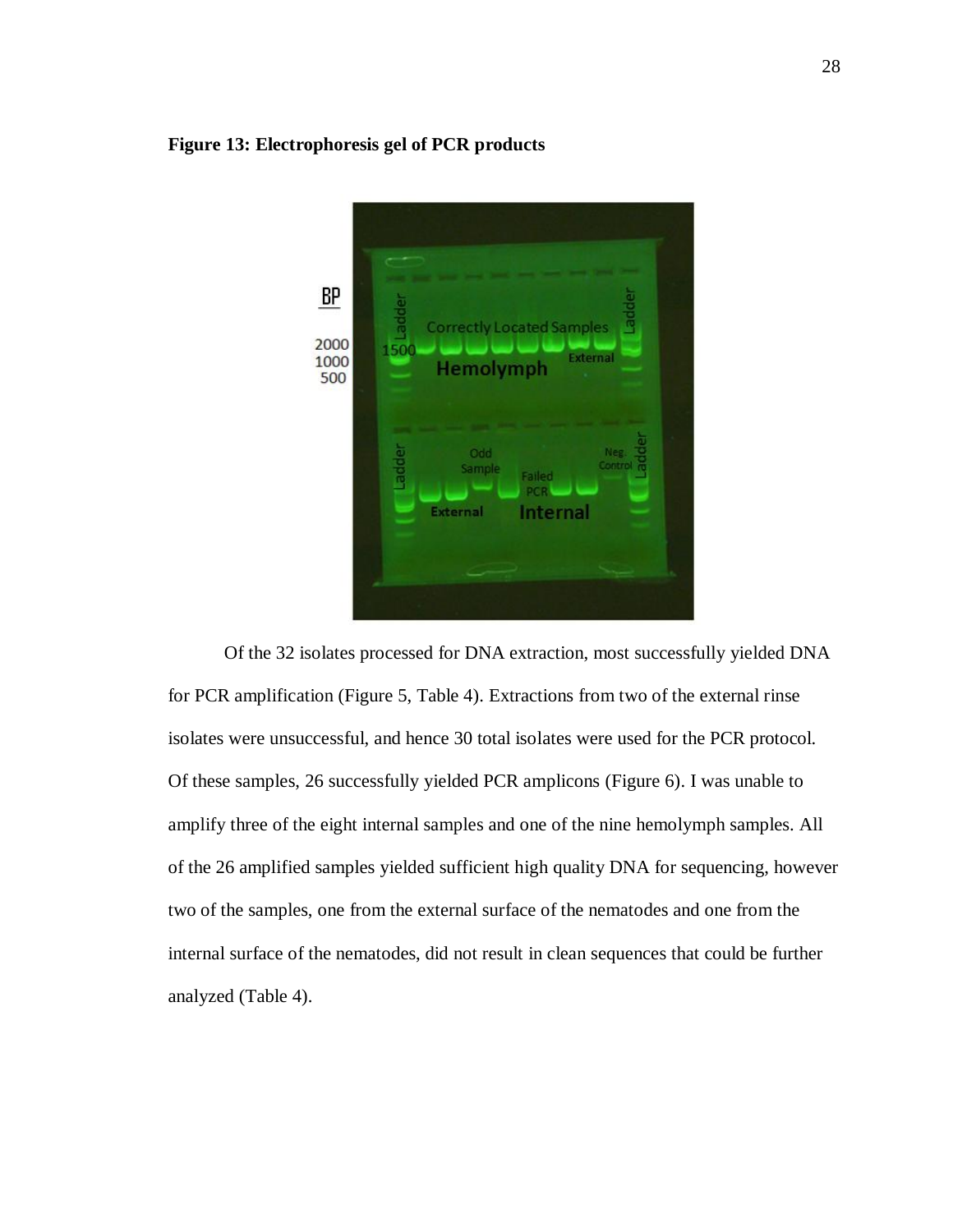## **Figure 13: Electrophoresis gel of PCR products**



Of the 32 isolates processed for DNA extraction, most successfully yielded DNA for PCR amplification (Figure 5, Table 4). Extractions from two of the external rinse isolates were unsuccessful, and hence 30 total isolates were used for the PCR protocol. Of these samples, 26 successfully yielded PCR amplicons (Figure 6). I was unable to amplify three of the eight internal samples and one of the nine hemolymph samples. All of the 26 amplified samples yielded sufficient high quality DNA for sequencing, however two of the samples, one from the external surface of the nematodes and one from the internal surface of the nematodes, did not result in clean sequences that could be further analyzed (Table 4).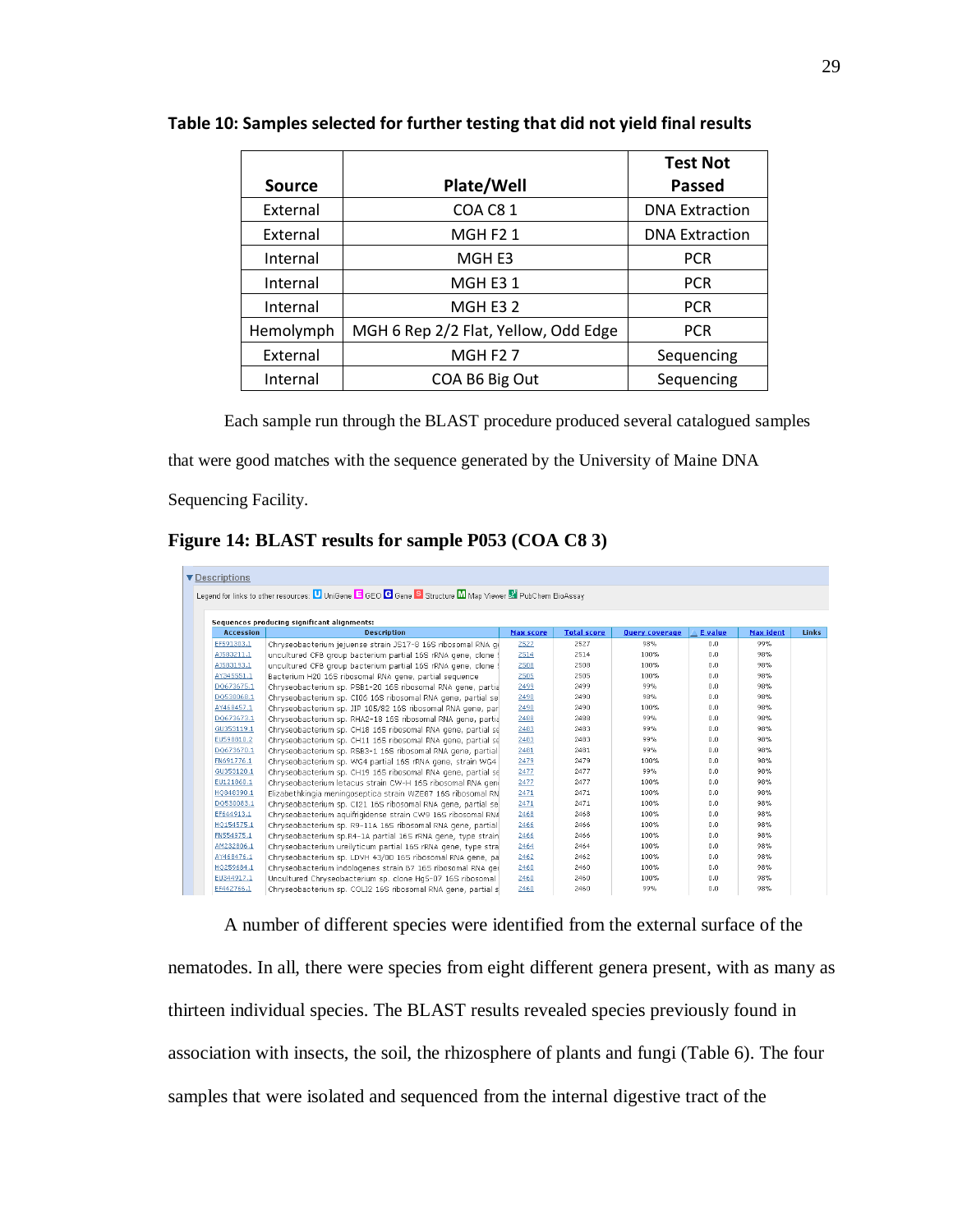|               |                                      | <b>Test Not</b>       |
|---------------|--------------------------------------|-----------------------|
| <b>Source</b> | Plate/Well                           | <b>Passed</b>         |
| External      | COA C81                              | <b>DNA Extraction</b> |
| External      | MGHF21                               | <b>DNA Extraction</b> |
| Internal      | MGH E3                               | <b>PCR</b>            |
| Internal      | MGH E31                              | <b>PCR</b>            |
| Internal      | MGH E3 2                             | <b>PCR</b>            |
| Hemolymph     | MGH 6 Rep 2/2 Flat, Yellow, Odd Edge | <b>PCR</b>            |
| External      | MGHF27                               | Sequencing            |
| Internal      | COA B6 Big Out                       | Sequencing            |

**Table 10: Samples selected for further testing that did not yield final results**

Each sample run through the BLAST procedure produced several catalogued samples

that were good matches with the sequence generated by the University of Maine DNA

Sequencing Facility.

**Figure 14: BLAST results for sample P053 (COA C8 3)**

| ▼ Descriptions                                                                                          |                                                                |                  |                    |                       |                |           |              |  |
|---------------------------------------------------------------------------------------------------------|----------------------------------------------------------------|------------------|--------------------|-----------------------|----------------|-----------|--------------|--|
| Legend for links to other resources: U UniGene E GEO G Gene S Structure M Map Viewer M PubChem BioAssay |                                                                |                  |                    |                       |                |           |              |  |
| Sequences producing significant alignments:                                                             |                                                                |                  |                    |                       |                |           |              |  |
| <b>Accession</b>                                                                                        | <b>Description</b>                                             | <b>Max score</b> | <b>Total score</b> | <b>Query coverage</b> | <b>E</b> value | Max ident | <b>Links</b> |  |
| EF591303.1                                                                                              | Chryseobacterium jejuense strain JS17-8 16S ribosomal RNA ge   | 2527             | 2527               | 98%                   | 0.0.           | 99%       |              |  |
| AJ583211.1                                                                                              | uncultured CFB group bacterium partial 16S rRNA gene, clone \$ | 2514             | 2514               | 100%                  | 0.0            | 98%       |              |  |
| AJ583193.1                                                                                              | uncultured CFB group bacterium partial 16S rRNA gene, clone \$ | 2508             | 2508               | 100%                  | 0.0            | 98%       |              |  |
| AY345551.1                                                                                              | Bacterium H20 16S ribosomal RNA gene, partial sequence         | 2505             | 2505               | 100%                  | 0.0            | 98%       |              |  |
| DQ673675.1                                                                                              | Chryseobacterium sp. PSB1-20 16S ribosomal RNA gene, partial   | 2499             | 2499               | 99%                   | 0.0            | 98%       |              |  |
| DQ530068.1                                                                                              | Chryseobacterium sp. CI06 16S ribosomal RNA gene, partial se   | 2490             | 2490               | 98%                   | 0.0            | 98%       |              |  |
| AY468457.1                                                                                              | Chryseobacterium sp. JIP 105/82 16S ribosomal RNA gene, par    | 2490             | 2490               | 100%                  | 0.0            | 98%       |              |  |
| DQ673673.1                                                                                              | Chryseobacterium sp. RHA2-18 16S ribosomal RNA gene, partial   | 2488             | 2488               | 99%                   | 0.0            | 98%       |              |  |
| GU353119.1                                                                                              | Chryseobacterium sp. CH18 16S ribosomal RNA gene, partial se   | 2483             | 2483               | 99%                   | 0.0            | 98%       |              |  |
| EU598810.2                                                                                              | Chryseobacterium sp. CH11 16S ribosomal RNA gene, partial se   | 2483             | 2483               | 99%                   | 0.0            | 98%       |              |  |
| DQ673670.1                                                                                              | Chryseobacterium sp. RSB3-1 16S ribosomal RNA gene, partial    | 2481             | 2481               | 99%                   | 0.0            | 98%       |              |  |
| FN691776.1                                                                                              | Chryseobacterium sp. WG4 partial 16S rRNA gene, strain WG4     | 2479             | 2479               | 100%                  | 0.0            | 98%       |              |  |
| GU353120.1                                                                                              | Chryseobacterium sp. CH19 16S ribosomal RNA gene, partial se   | 2477             | 2477               | 99%                   | 0.0            | 98%       |              |  |
| EU121860.1                                                                                              | Chryseobacterium letacus strain CW-H 16S ribosomal RNA geni    | 2477             | 2477               | 100%                  | 0.0            | 98%       |              |  |
| HO848390.1                                                                                              | Elizabethkingia meningoseptica strain WZE87 16S ribosomal RN   | 2471             | 2471               | 100%                  | 0.0            | 98%       |              |  |
| DQ530083.1                                                                                              | Chryseobacterium sp. CI21 16S ribosomal RNA gene, partial se   | 2471             | 2471               | 100%                  | 0.0            | 98%       |              |  |
| EF644913.1                                                                                              | Chryseobacterium aquifrigidense strain CW9 16S ribosomal RNA   | 2468             | 2468               | 100%                  | 0.0            | 98%       |              |  |
| HO154575.1                                                                                              | Chryseobacterium sp. R9-11A 16S ribosomal RNA gene, partial    | 2466             | 2466               | 100%                  | 0.0            | 98%       |              |  |
| FN554975.1                                                                                              | Chryseobacterium sp.R4-1A partial 16S rRNA gene, type strain   | 2466             | 2466               | 100%                  | 0.0            | 98%       |              |  |
| AM232806.1                                                                                              | Chryseobacterium ureilyticum partial 16S rRNA gene, type stra  | 2464             | 2464               | 100%                  | 0.0            | 98%       |              |  |
| AY468476.1                                                                                              | Chryseobacterium sp. LDVH 43/00 16S ribosomal RNA gene, pa     | 2462             | 2462               | 100%                  | 0.0            | 98%       |              |  |
| HQ259684.1                                                                                              | Chryseobacterium indologenes strain B7 16S ribosomal RNA ger   | 2460             | 2460               | 100%                  | 0.0            | 98%       |              |  |
| EU344917.1                                                                                              | Uncultured Chryseobacterium sp. clone Hg5-07 16S ribosomal     | 2460             | 2460               | 100%                  | 0.0            | 98%       |              |  |
| EF442766.1                                                                                              | Chryseobacterium sp. COLI2 16S ribosomal RNA gene, partial s   | 2460             | 2460               | 99%                   | 0.0            | 98%       |              |  |

A number of different species were identified from the external surface of the nematodes. In all, there were species from eight different genera present, with as many as thirteen individual species. The BLAST results revealed species previously found in association with insects, the soil, the rhizosphere of plants and fungi (Table 6). The four samples that were isolated and sequenced from the internal digestive tract of the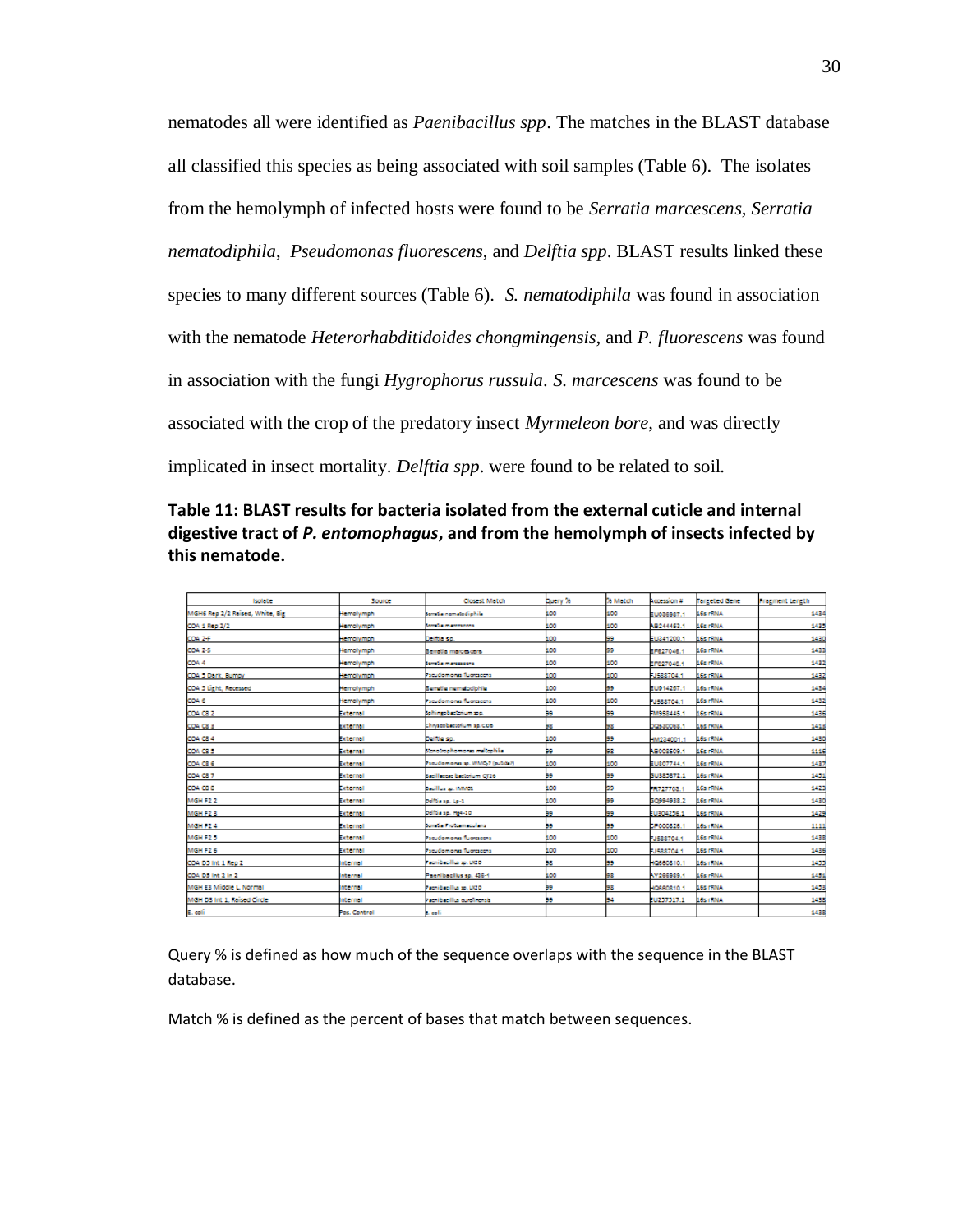nematodes all were identified as *Paenibacillus spp*. The matches in the BLAST database all classified this species as being associated with soil samples (Table 6). The isolates from the hemolymph of infected hosts were found to be *Serratia marcescens, Serratia nematodiphila*, *Pseudomonas fluorescens*, and *Delftia spp*. BLAST results linked these species to many different sources (Table 6). *S. nematodiphila* was found in association with the nematode *Heterorhabditidoides chongmingensis*, and *P. fluorescens* was found in association with the fungi *Hygrophorus russula*. *S. marcescens* was found to be associated with the crop of the predatory insect *Myrmeleon bore*, and was directly implicated in insect mortality. *Delftia spp*. were found to be related to soil.

# **Table 11: BLAST results for bacteria isolated from the external cuticle and internal digestive tract of** *P. entomophagus***, and from the hemolymph of insects infected by this nematode.**

| <b>Isolate</b>                  | Source           | Closest Match                   | Duery % | % Match | Accession # | <b>Tarceted Gene</b> | <b>Fragment Length</b> |
|---------------------------------|------------------|---------------------------------|---------|---------|-------------|----------------------|------------------------|
| MGH6 Rep 2/2 Raised, White, Big | Hernolymph       | tempia nematodiphila            | 100     | 100     | EU036987.1  | <b>LES FRAIA</b>     | 1434                   |
| COA 1 Rep 2/2                   | Hemolymph        | lomitis marcoscons              | 100     | 100     | AB244453.1  | <b>16s rRNA</b>      | 1433                   |
| COA 2-F                         | Hemolymph        | Delitia sp.                     | 100     | 99      | EU841200.1  | <b>LES FRINA</b>     | 1430                   |
| COA 2-5                         | Hemolymph        | Berratia marcescens             | 100     | 99      | EF627046.1  | <b>16s rRNA</b>      | 1433                   |
| COA 4                           | <b>Hemolymph</b> | Sonalia marcoscona              | 100     | 100     | EF627046.1  | <b>16s rRNA</b>      | 1432                   |
| COA 5 Dark, Bumby               | Hemolymph        | <b>Facudomonia fluoracora</b>   | 100     | 100     | -J588704.1  | <b>LGs rRNA</b>      | 1432                   |
| COA 5 Light, Recessed           | <b>Hemolymph</b> | Serratio nemetodichile          | 100     | 99      | EU914257.1  | <b>16s FRNA</b>      | 1434                   |
| COA 6                           | Hemolymph        | Facudomonia fluoracona          | 100     | 100     | 13588704.1  | <b>LES FRINA</b>     | 1432                   |
| CDA CS 2                        | <b>External</b>  | sphingobactorium spp.           | 99      | 99      | M958445.1   | <b>LES FRAIA</b>     | 1436                   |
| COA CS 3                        | External         | Thiyacobactorium sp.CD6         | вe      | 98      | DQ530068.1  | <b>LES HRNA</b>      | 1413                   |
| COA C84                         | External         | Delfille sp.                    | 100     | 99      | M234001.1   | <b>LES HRNA</b>      | 1430                   |
| CDA CS 5                        | External         | Scrotrochomonia militariila.    | 99      | 98      | AB008509.1  | <b>16s rRNA</b>      | 1116                   |
| CDA CS 6                        | External         | rscudomonas sp. WMQ-7 (putida?) | 100     | 100     | LU807744.1  | <b>LES HRNA</b>      | 1437                   |
| CDA CS 7                        | ixternal         | Sacillaccae bacterium CT26      | æ       | 99      | SU385872.1  | LGs rRNA             | 1451                   |
| COA CSS                         | External         | Secillus so, ilwwidd            | 100     | 99      | FR727703.1  | <b>LES FRINA</b>     | 1423                   |
| MGH F22                         | External         | oditis sp. Lp-1                 | 100     | 99      | 50994938.2  | <b>LES FRINA</b>     | 1430                   |
| MGH F2 3                        | External         | oditia sp. 164-10               | 99      | 99      | EU304256.1  | <b>16s rRNA</b>      | 1429                   |
| MGH F24                         | External         | tempia Protesmaculana           | 99      | 99      | DP000826.1  | <b>16s rRNA</b>      | 1111                   |
| MGH F2.5                        | External         | facudomonia fluoracona          | 100     | 100     | 13588704.1  | <b>16s rRNA</b>      | 1438                   |
| MGH F2.6                        | External         | <b>Facudomonia fluoracora</b>   | 100     | 100     | FJ588704.1  | <b>16s rRNA</b>      | 1436                   |
| COA DO Int 1 Rep 2              | nternal          | Femibedillus sp. LX20           | BВ      | 99      | 10660810.1  | <b>LES FRINA</b>     | 1433                   |
| COA DO Int 2 In 2               | Internal         | Paenibactius sp. 436-1          | 100     | 98      | AY266989.1  | LGs HKNA             | 1431                   |
| MGH E3 Middle L, Normal         | Internal         | Femibedillus sp. LX20           | 99      | 98      | 10660810.1  | <b>16s rRNA</b>      | 1453                   |
| MGH D3 Int 1, Raised Circle     | Internal         | recnibedilla curdinonsis        | æ       | 94      | EU257517.1  | <b>16s rRNA</b>      | 1438                   |
| E. coli                         | Pos. Control     | t eeli                          |         |         |             |                      | 1438                   |

Query % is defined as how much of the sequence overlaps with the sequence in the BLAST database.

Match % is defined as the percent of bases that match between sequences.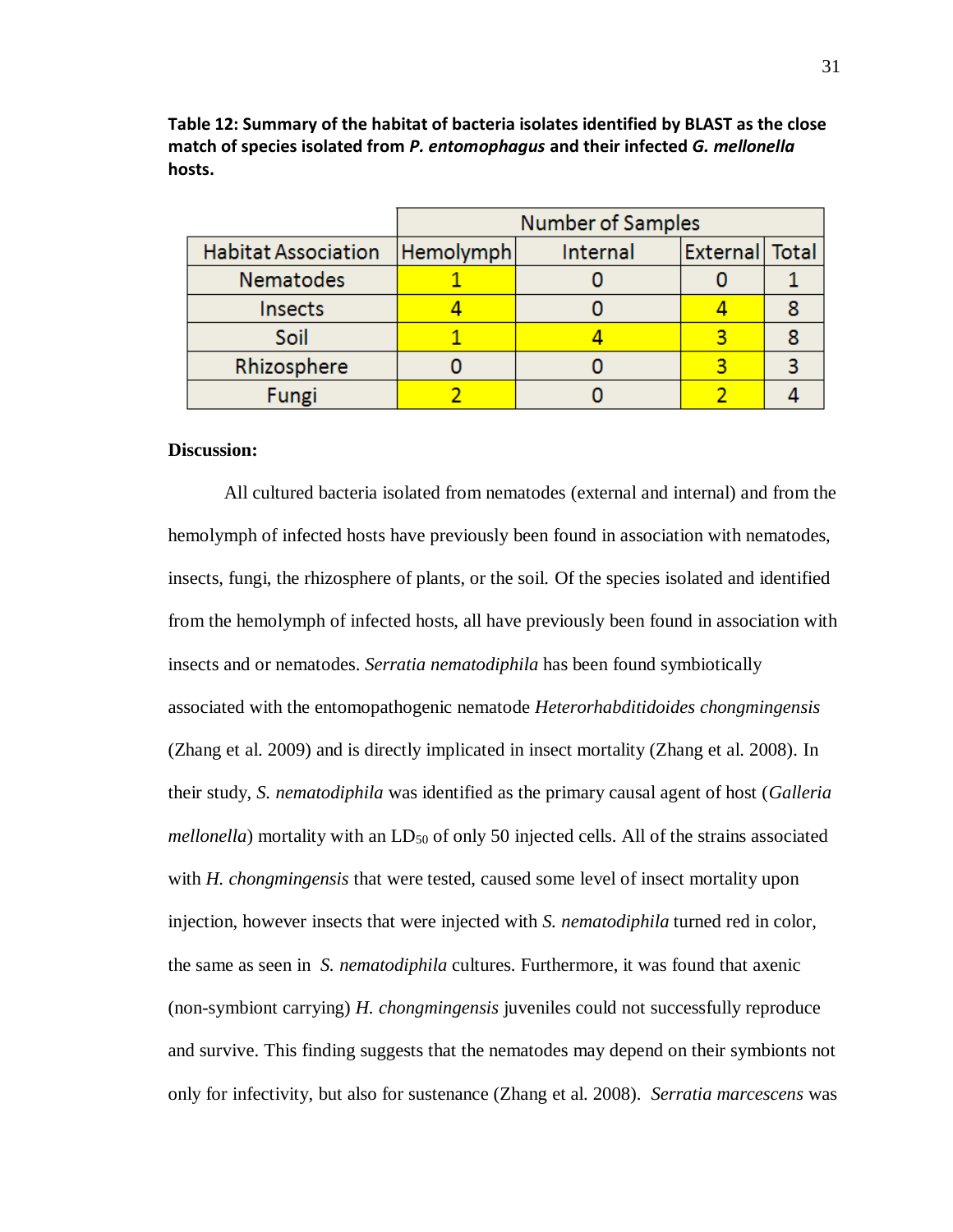|  |                            | <b>Number of Samples</b> |          |                |  |
|--|----------------------------|--------------------------|----------|----------------|--|
|  | <b>Habitat Association</b> | Hemolymph                | Internal | External Total |  |
|  | <b>Nematodes</b>           |                          |          |                |  |
|  | Insects                    |                          |          |                |  |
|  | Soil                       |                          |          |                |  |
|  | Rhizosphere                |                          |          |                |  |
|  | Fungi                      |                          |          |                |  |

**Table 12: Summary of the habitat of bacteria isolates identified by BLAST as the close match of species isolated from** *P. entomophagus* **and their infected** *G. mellonella* **hosts.**

## **Discussion:**

All cultured bacteria isolated from nematodes (external and internal) and from the hemolymph of infected hosts have previously been found in association with nematodes, insects, fungi, the rhizosphere of plants, or the soil. Of the species isolated and identified from the hemolymph of infected hosts, all have previously been found in association with insects and or nematodes. *Serratia nematodiphila* has been found symbiotically associated with the entomopathogenic nematode *Heterorhabditidoides chongmingensis* (Zhang et al. 2009) and is directly implicated in insect mortality (Zhang et al. 2008). In their study, *S. nematodiphila* was identified as the primary causal agent of host (*Galleria mellonella*) mortality with an LD<sub>50</sub> of only 50 injected cells. All of the strains associated with *H. chongmingensis* that were tested, caused some level of insect mortality upon injection, however insects that were injected with *S. nematodiphila* turned red in color, the same as seen in *S. nematodiphila* cultures. Furthermore, it was found that axenic (non-symbiont carrying) *H. chongmingensis* juveniles could not successfully reproduce and survive. This finding suggests that the nematodes may depend on their symbionts not only for infectivity, but also for sustenance (Zhang et al. 2008). *Serratia marcescens* was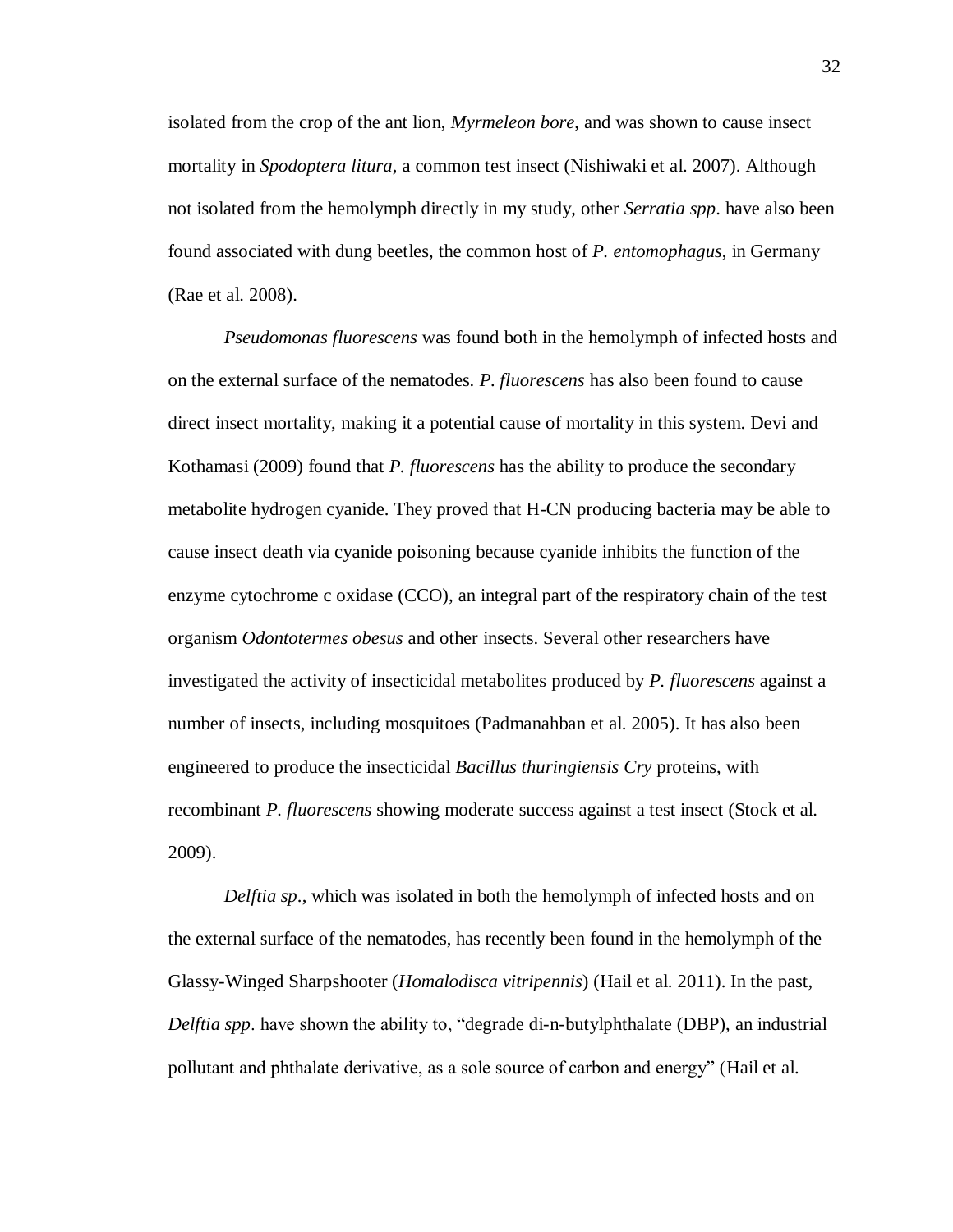isolated from the crop of the ant lion, *Myrmeleon bore*, and was shown to cause insect mortality in *Spodoptera litura,* a common test insect (Nishiwaki et al. 2007). Although not isolated from the hemolymph directly in my study, other *Serratia spp*. have also been found associated with dung beetles, the common host of *P. entomophagus*, in Germany (Rae et al. 2008).

*Pseudomonas fluorescens* was found both in the hemolymph of infected hosts and on the external surface of the nematodes. *P. fluorescens* has also been found to cause direct insect mortality, making it a potential cause of mortality in this system. Devi and Kothamasi (2009) found that *P. fluorescens* has the ability to produce the secondary metabolite hydrogen cyanide. They proved that H-CN producing bacteria may be able to cause insect death via cyanide poisoning because cyanide inhibits the function of the enzyme cytochrome c oxidase (CCO), an integral part of the respiratory chain of the test organism *Odontotermes obesus* and other insects. Several other researchers have investigated the activity of insecticidal metabolites produced by *P. fluorescens* against a number of insects, including mosquitoes (Padmanahban et al. 2005). It has also been engineered to produce the insecticidal *Bacillus thuringiensis Cry* proteins, with recombinant *P. fluorescens* showing moderate success against a test insect (Stock et al. 2009).

*Delftia sp*., which was isolated in both the hemolymph of infected hosts and on the external surface of the nematodes, has recently been found in the hemolymph of the Glassy-Winged Sharpshooter (*Homalodisca vitripennis*) (Hail et al. 2011). In the past, *Delftia spp*. have shown the ability to, "degrade di-n-butylphthalate (DBP), an industrial pollutant and phthalate derivative, as a sole source of carbon and energy" (Hail et al.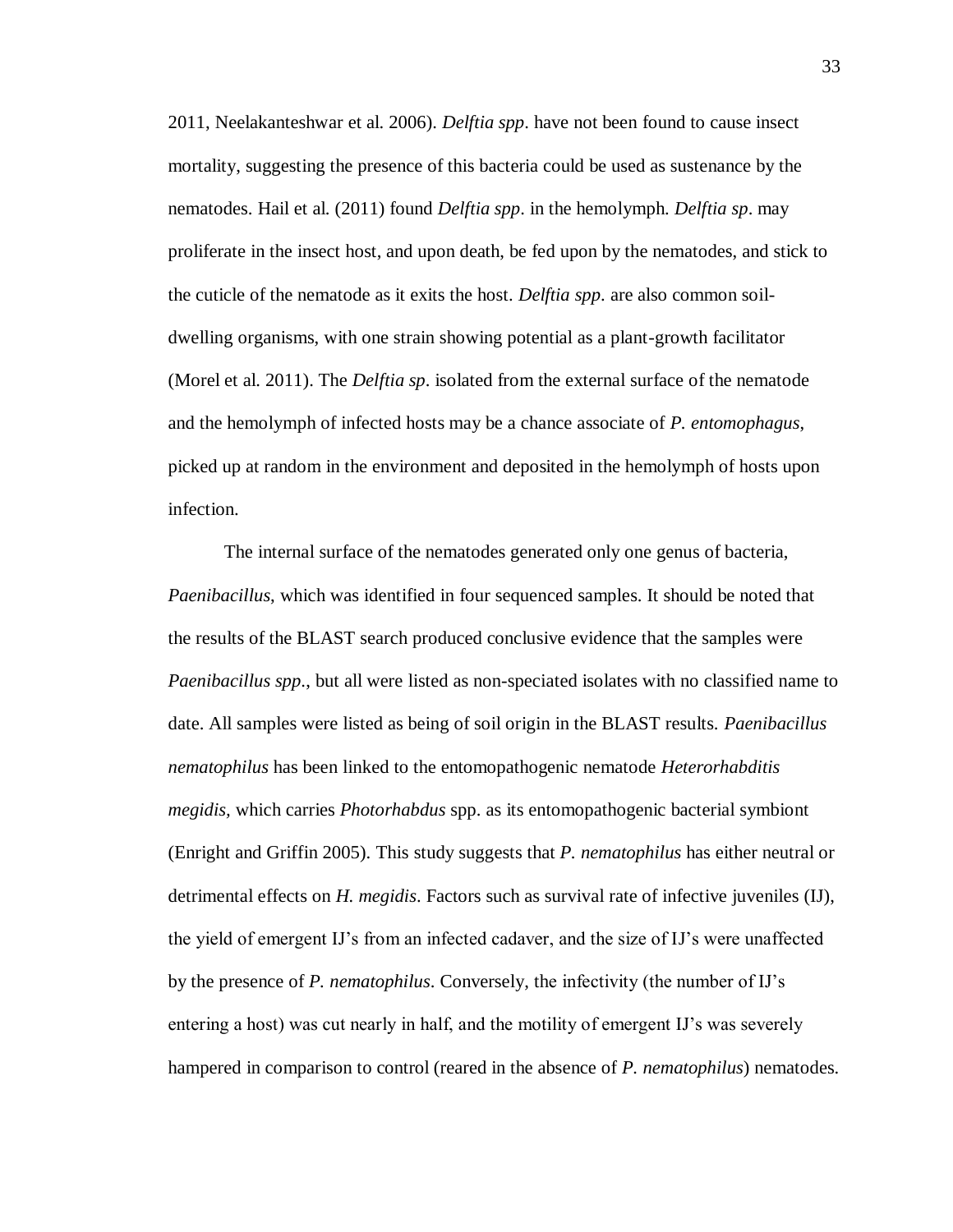2011, Neelakanteshwar et al. 2006). *Delftia spp*. have not been found to cause insect mortality, suggesting the presence of this bacteria could be used as sustenance by the nematodes. Hail et al. (2011) found *Delftia spp*. in the hemolymph. *Delftia sp*. may proliferate in the insect host, and upon death, be fed upon by the nematodes, and stick to the cuticle of the nematode as it exits the host. *Delftia spp*. are also common soildwelling organisms, with one strain showing potential as a plant-growth facilitator (Morel et al. 2011). The *Delftia sp*. isolated from the external surface of the nematode and the hemolymph of infected hosts may be a chance associate of *P. entomophagus*, picked up at random in the environment and deposited in the hemolymph of hosts upon infection.

The internal surface of the nematodes generated only one genus of bacteria, *Paenibacillus*, which was identified in four sequenced samples. It should be noted that the results of the BLAST search produced conclusive evidence that the samples were *Paenibacillus spp*., but all were listed as non-speciated isolates with no classified name to date. All samples were listed as being of soil origin in the BLAST results. *Paenibacillus nematophilus* has been linked to the entomopathogenic nematode *Heterorhabditis megidis,* which carries *Photorhabdus* spp. as its entomopathogenic bacterial symbiont (Enright and Griffin 2005). This study suggests that *P. nematophilus* has either neutral or detrimental effects on *H. megidis*. Factors such as survival rate of infective juveniles (IJ), the yield of emergent IJ's from an infected cadaver, and the size of IJ's were unaffected by the presence of *P. nematophilus*. Conversely, the infectivity (the number of IJ's entering a host) was cut nearly in half, and the motility of emergent IJ's was severely hampered in comparison to control (reared in the absence of *P. nematophilus*) nematodes.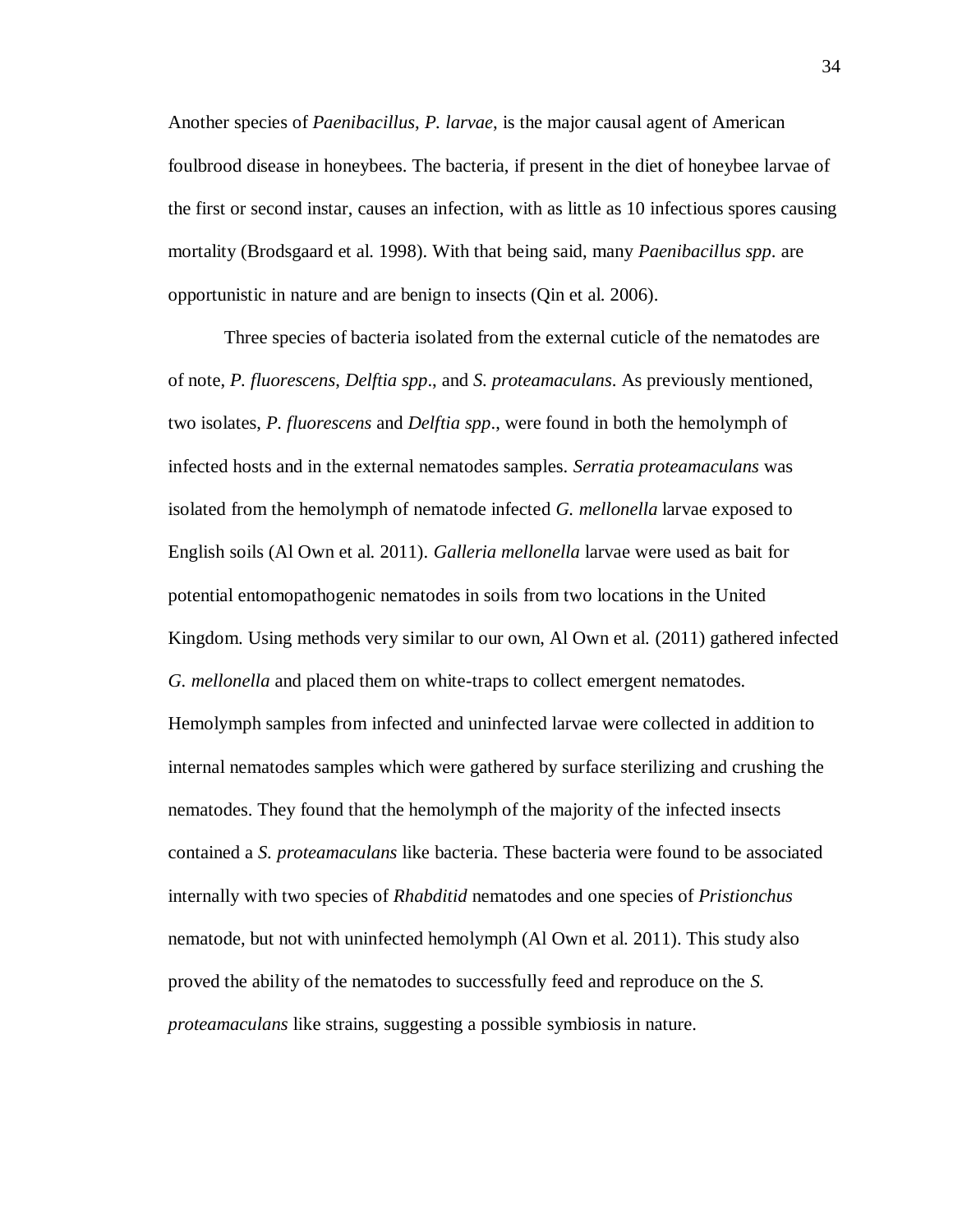Another species of *Paenibacillus*, *P. larvae*, is the major causal agent of American foulbrood disease in honeybees. The bacteria, if present in the diet of honeybee larvae of the first or second instar, causes an infection, with as little as 10 infectious spores causing mortality (Brodsgaard et al. 1998). With that being said, many *Paenibacillus spp*. are opportunistic in nature and are benign to insects (Qin et al. 2006).

Three species of bacteria isolated from the external cuticle of the nematodes are of note, *P. fluorescens*, *Delftia spp*., and *S. proteamaculans*. As previously mentioned, two isolates, *P. fluorescens* and *Delftia spp*., were found in both the hemolymph of infected hosts and in the external nematodes samples. *Serratia proteamaculans* was isolated from the hemolymph of nematode infected *G. mellonella* larvae exposed to English soils (Al Own et al. 2011). *Galleria mellonella* larvae were used as bait for potential entomopathogenic nematodes in soils from two locations in the United Kingdom. Using methods very similar to our own, Al Own et al. (2011) gathered infected *G. mellonella* and placed them on white-traps to collect emergent nematodes. Hemolymph samples from infected and uninfected larvae were collected in addition to internal nematodes samples which were gathered by surface sterilizing and crushing the nematodes. They found that the hemolymph of the majority of the infected insects contained a *S. proteamaculans* like bacteria. These bacteria were found to be associated internally with two species of *Rhabditid* nematodes and one species of *Pristionchus* nematode, but not with uninfected hemolymph (Al Own et al. 2011). This study also proved the ability of the nematodes to successfully feed and reproduce on the *S. proteamaculans* like strains, suggesting a possible symbiosis in nature.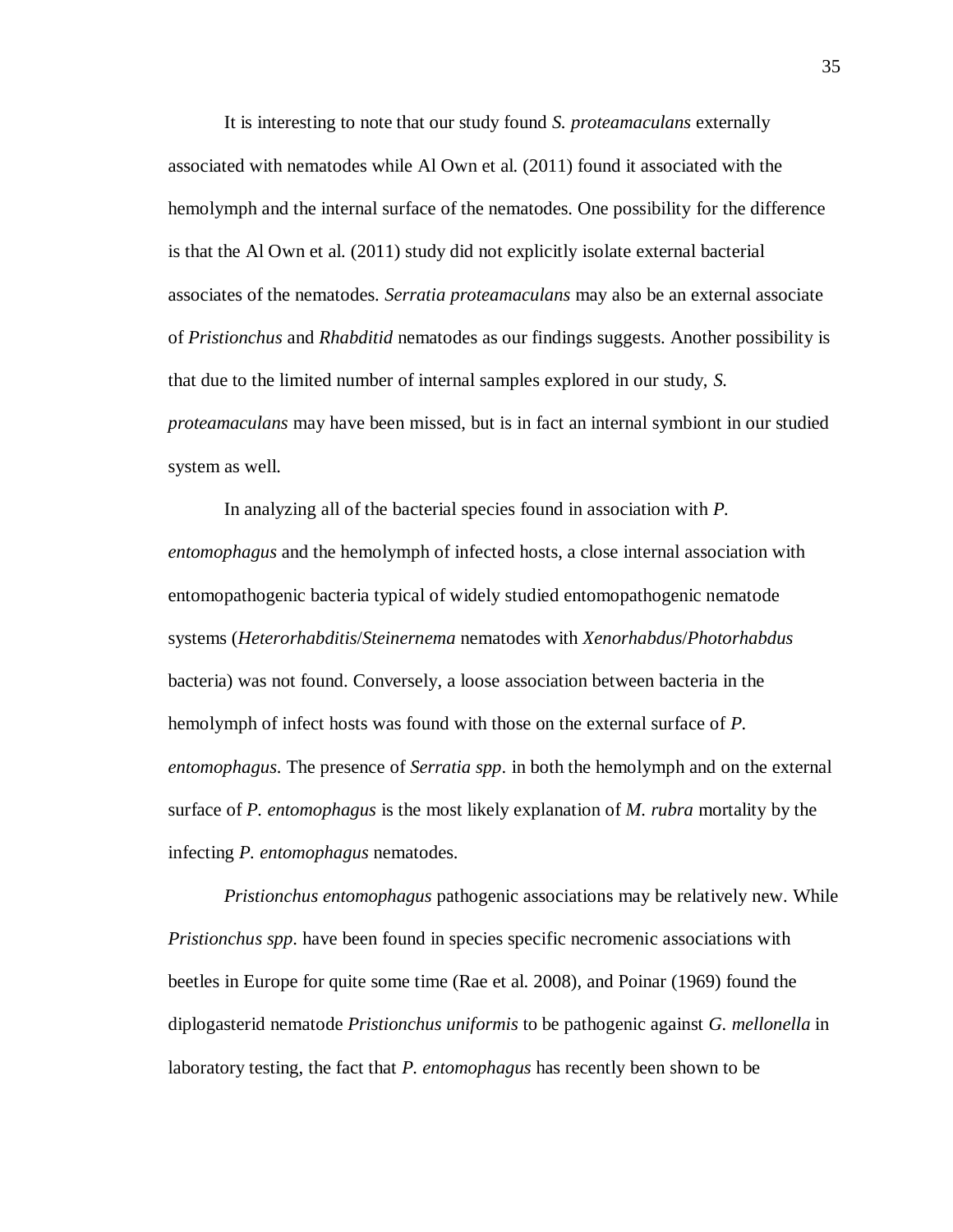It is interesting to note that our study found *S. proteamaculans* externally associated with nematodes while Al Own et al. (2011) found it associated with the hemolymph and the internal surface of the nematodes. One possibility for the difference is that the Al Own et al. (2011) study did not explicitly isolate external bacterial associates of the nematodes. *Serratia proteamaculans* may also be an external associate of *Pristionchus* and *Rhabditid* nematodes as our findings suggests. Another possibility is that due to the limited number of internal samples explored in our study, *S. proteamaculans* may have been missed, but is in fact an internal symbiont in our studied system as well.

In analyzing all of the bacterial species found in association with *P. entomophagus* and the hemolymph of infected hosts, a close internal association with entomopathogenic bacteria typical of widely studied entomopathogenic nematode systems (*Heterorhabditis*/*Steinernema* nematodes with *Xenorhabdus*/*Photorhabdus* bacteria) was not found. Conversely, a loose association between bacteria in the hemolymph of infect hosts was found with those on the external surface of *P. entomophagus*. The presence of *Serratia spp*. in both the hemolymph and on the external surface of *P. entomophagus* is the most likely explanation of *M. rubra* mortality by the infecting *P. entomophagus* nematodes.

*Pristionchus entomophagus* pathogenic associations may be relatively new. While *Pristionchus spp*. have been found in species specific necromenic associations with beetles in Europe for quite some time (Rae et al. 2008), and Poinar (1969) found the diplogasterid nematode *Pristionchus uniformis* to be pathogenic against *G. mellonella* in laboratory testing, the fact that *P. entomophagus* has recently been shown to be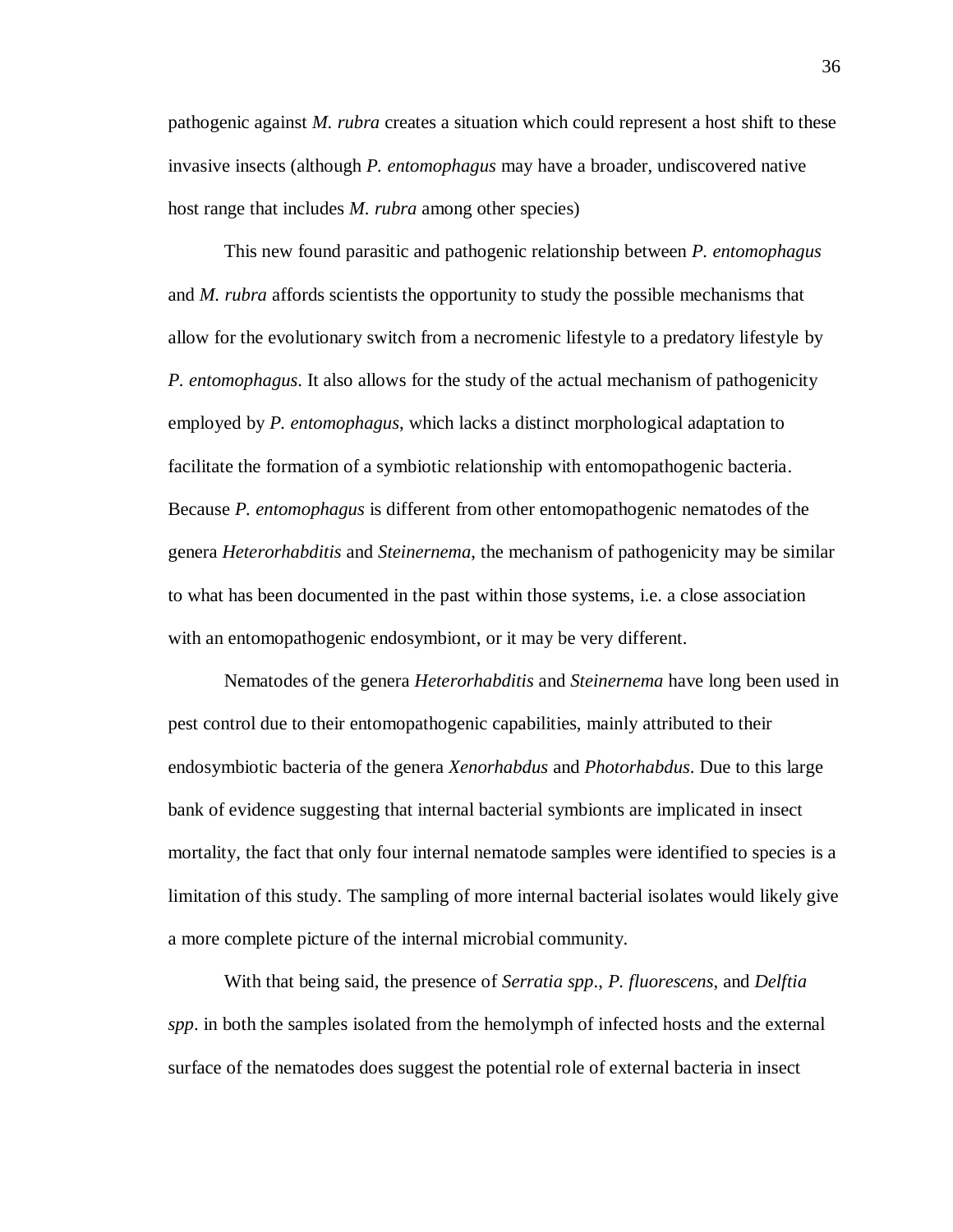pathogenic against *M. rubra* creates a situation which could represent a host shift to these invasive insects (although *P. entomophagus* may have a broader, undiscovered native host range that includes *M. rubra* among other species)

This new found parasitic and pathogenic relationship between *P. entomophagus* and *M. rubra* affords scientists the opportunity to study the possible mechanisms that allow for the evolutionary switch from a necromenic lifestyle to a predatory lifestyle by *P. entomophagus*. It also allows for the study of the actual mechanism of pathogenicity employed by *P. entomophagus*, which lacks a distinct morphological adaptation to facilitate the formation of a symbiotic relationship with entomopathogenic bacteria. Because *P. entomophagus* is different from other entomopathogenic nematodes of the genera *Heterorhabditis* and *Steinernema*, the mechanism of pathogenicity may be similar to what has been documented in the past within those systems, i.e. a close association with an entomopathogenic endosymbiont, or it may be very different.

Nematodes of the genera *Heterorhabditis* and *Steinernema* have long been used in pest control due to their entomopathogenic capabilities, mainly attributed to their endosymbiotic bacteria of the genera *Xenorhabdus* and *Photorhabdus*. Due to this large bank of evidence suggesting that internal bacterial symbionts are implicated in insect mortality, the fact that only four internal nematode samples were identified to species is a limitation of this study. The sampling of more internal bacterial isolates would likely give a more complete picture of the internal microbial community.

With that being said, the presence of *Serratia spp*., *P. fluorescens*, and *Delftia spp*. in both the samples isolated from the hemolymph of infected hosts and the external surface of the nematodes does suggest the potential role of external bacteria in insect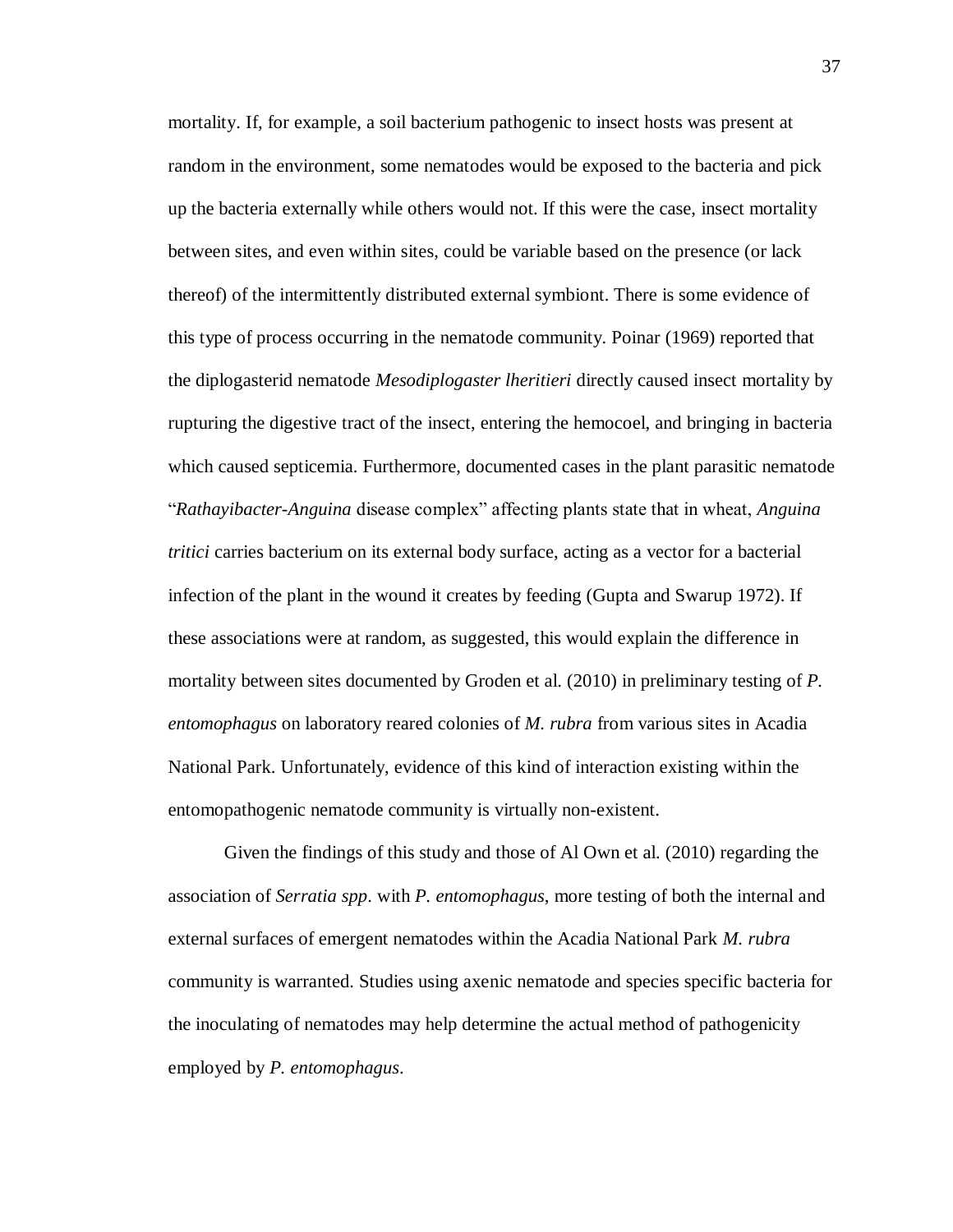mortality. If, for example, a soil bacterium pathogenic to insect hosts was present at random in the environment, some nematodes would be exposed to the bacteria and pick up the bacteria externally while others would not. If this were the case, insect mortality between sites, and even within sites, could be variable based on the presence (or lack thereof) of the intermittently distributed external symbiont. There is some evidence of this type of process occurring in the nematode community. Poinar (1969) reported that the diplogasterid nematode *Mesodiplogaster lheritieri* directly caused insect mortality by rupturing the digestive tract of the insect, entering the hemocoel, and bringing in bacteria which caused septicemia. Furthermore, documented cases in the plant parasitic nematode "*Rathayibacter-Anguina* disease complex" affecting plants state that in wheat, *Anguina tritici* carries bacterium on its external body surface, acting as a vector for a bacterial infection of the plant in the wound it creates by feeding (Gupta and Swarup 1972). If these associations were at random, as suggested, this would explain the difference in mortality between sites documented by Groden et al. (2010) in preliminary testing of *P. entomophagus* on laboratory reared colonies of *M. rubra* from various sites in Acadia National Park. Unfortunately, evidence of this kind of interaction existing within the entomopathogenic nematode community is virtually non-existent.

Given the findings of this study and those of Al Own et al. (2010) regarding the association of *Serratia spp*. with *P. entomophagus*, more testing of both the internal and external surfaces of emergent nematodes within the Acadia National Park *M. rubra*  community is warranted. Studies using axenic nematode and species specific bacteria for the inoculating of nematodes may help determine the actual method of pathogenicity employed by *P. entomophagus*.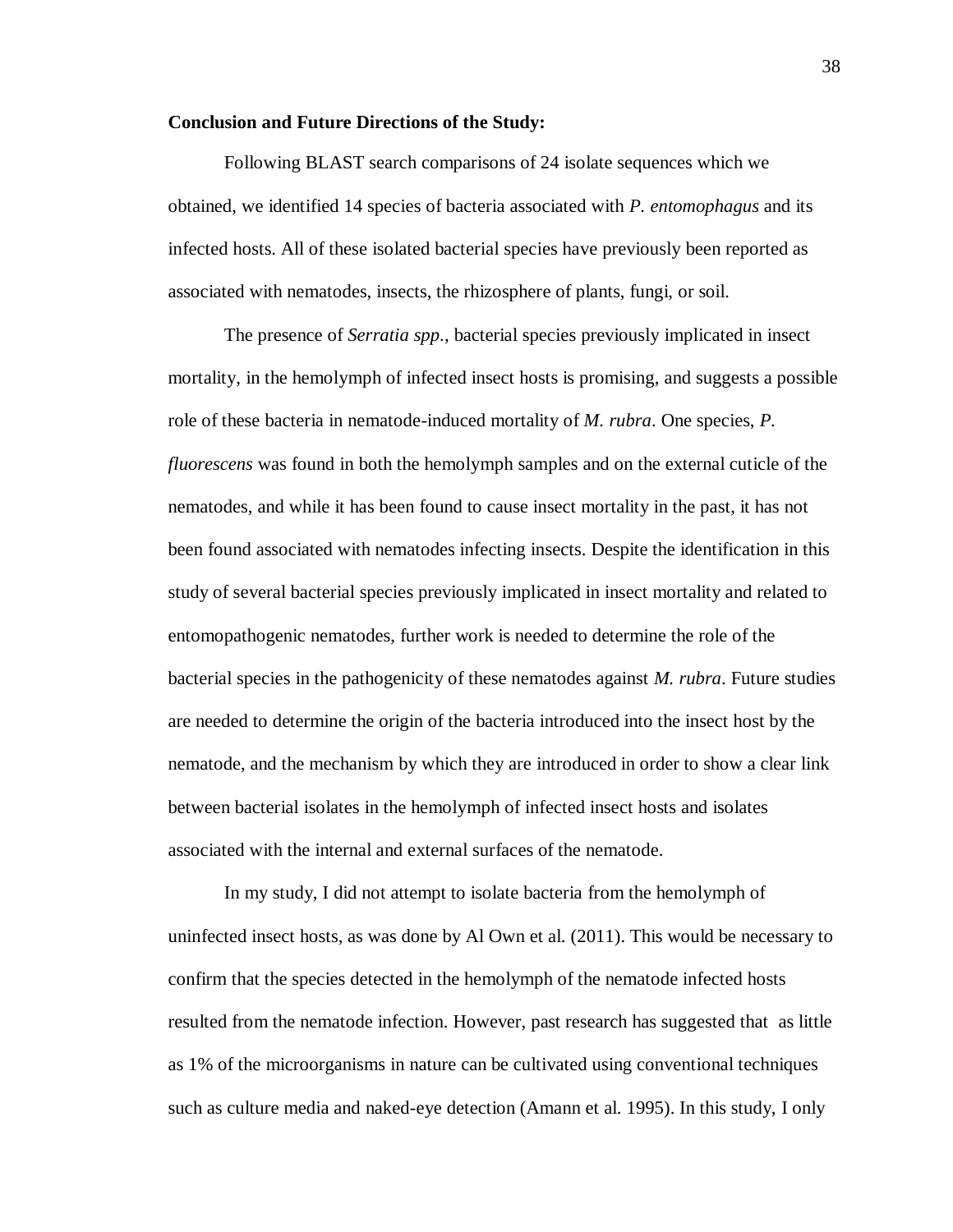### **Conclusion and Future Directions of the Study:**

Following BLAST search comparisons of 24 isolate sequences which we obtained, we identified 14 species of bacteria associated with *P. entomophagus* and its infected hosts. All of these isolated bacterial species have previously been reported as associated with nematodes, insects, the rhizosphere of plants, fungi, or soil.

The presence of *Serratia spp*., bacterial species previously implicated in insect mortality, in the hemolymph of infected insect hosts is promising, and suggests a possible role of these bacteria in nematode-induced mortality of *M. rubra*. One species, *P. fluorescens* was found in both the hemolymph samples and on the external cuticle of the nematodes, and while it has been found to cause insect mortality in the past, it has not been found associated with nematodes infecting insects. Despite the identification in this study of several bacterial species previously implicated in insect mortality and related to entomopathogenic nematodes, further work is needed to determine the role of the bacterial species in the pathogenicity of these nematodes against *M. rubra*. Future studies are needed to determine the origin of the bacteria introduced into the insect host by the nematode, and the mechanism by which they are introduced in order to show a clear link between bacterial isolates in the hemolymph of infected insect hosts and isolates associated with the internal and external surfaces of the nematode.

In my study, I did not attempt to isolate bacteria from the hemolymph of uninfected insect hosts, as was done by Al Own et al. (2011). This would be necessary to confirm that the species detected in the hemolymph of the nematode infected hosts resulted from the nematode infection. However, past research has suggested that as little as 1% of the microorganisms in nature can be cultivated using conventional techniques such as culture media and naked-eye detection (Amann et al. 1995). In this study, I only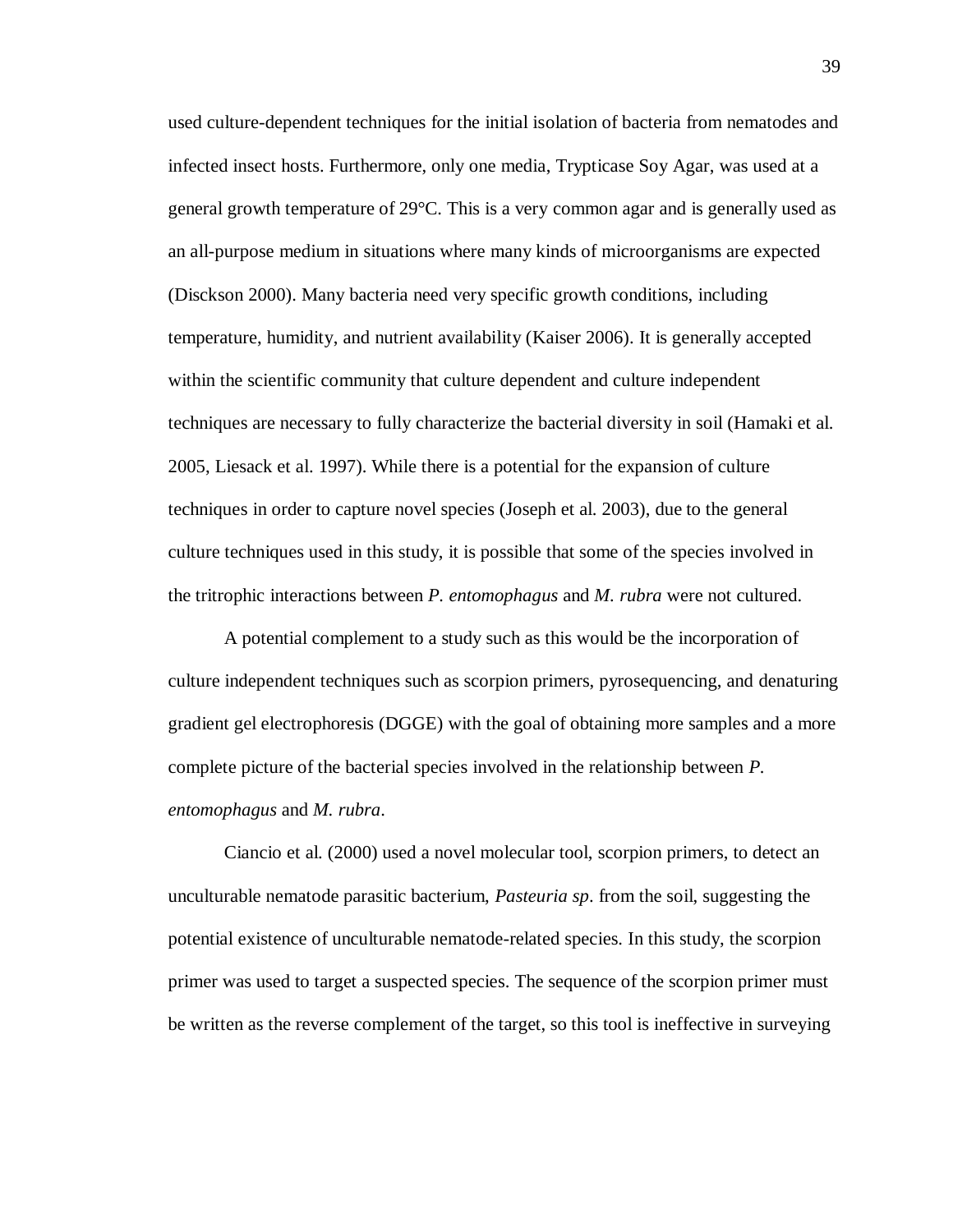used culture-dependent techniques for the initial isolation of bacteria from nematodes and infected insect hosts. Furthermore, only one media, Trypticase Soy Agar, was used at a general growth temperature of 29°C. This is a very common agar and is generally used as an all-purpose medium in situations where many kinds of microorganisms are expected (Disckson 2000). Many bacteria need very specific growth conditions, including temperature, humidity, and nutrient availability (Kaiser 2006). It is generally accepted within the scientific community that culture dependent and culture independent techniques are necessary to fully characterize the bacterial diversity in soil (Hamaki et al. 2005, Liesack et al. 1997). While there is a potential for the expansion of culture techniques in order to capture novel species (Joseph et al. 2003), due to the general culture techniques used in this study, it is possible that some of the species involved in the tritrophic interactions between *P. entomophagus* and *M. rubra* were not cultured.

A potential complement to a study such as this would be the incorporation of culture independent techniques such as scorpion primers, pyrosequencing, and denaturing gradient gel electrophoresis (DGGE) with the goal of obtaining more samples and a more complete picture of the bacterial species involved in the relationship between *P. entomophagus* and *M. rubra*.

Ciancio et al. (2000) used a novel molecular tool, scorpion primers, to detect an unculturable nematode parasitic bacterium, *Pasteuria sp*. from the soil, suggesting the potential existence of unculturable nematode-related species. In this study, the scorpion primer was used to target a suspected species. The sequence of the scorpion primer must be written as the reverse complement of the target, so this tool is ineffective in surveying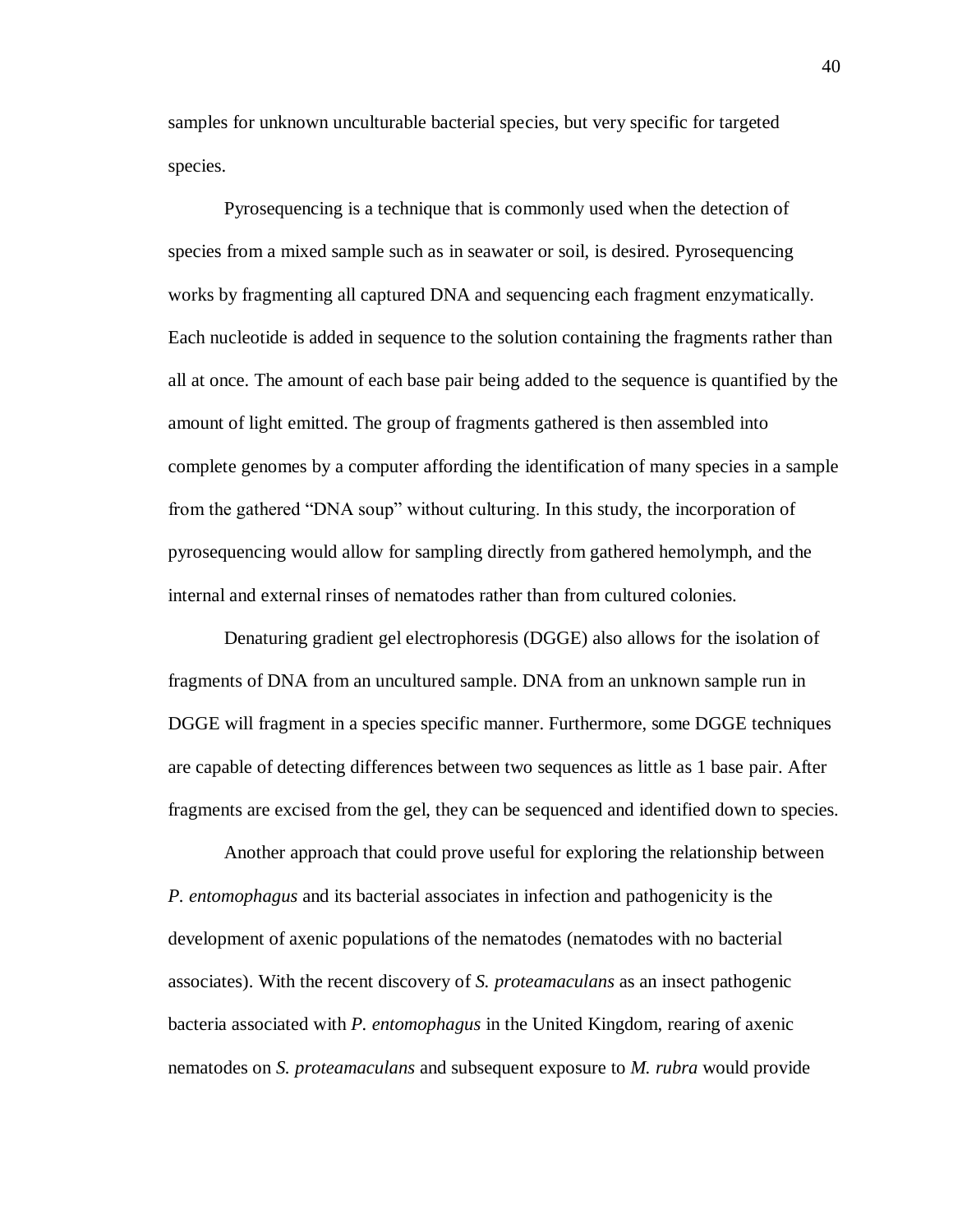samples for unknown unculturable bacterial species, but very specific for targeted species.

Pyrosequencing is a technique that is commonly used when the detection of species from a mixed sample such as in seawater or soil, is desired. Pyrosequencing works by fragmenting all captured DNA and sequencing each fragment enzymatically. Each nucleotide is added in sequence to the solution containing the fragments rather than all at once. The amount of each base pair being added to the sequence is quantified by the amount of light emitted. The group of fragments gathered is then assembled into complete genomes by a computer affording the identification of many species in a sample from the gathered "DNA soup" without culturing. In this study, the incorporation of pyrosequencing would allow for sampling directly from gathered hemolymph, and the internal and external rinses of nematodes rather than from cultured colonies.

Denaturing gradient gel electrophoresis (DGGE) also allows for the isolation of fragments of DNA from an uncultured sample. DNA from an unknown sample run in DGGE will fragment in a species specific manner. Furthermore, some DGGE techniques are capable of detecting differences between two sequences as little as 1 base pair. After fragments are excised from the gel, they can be sequenced and identified down to species.

Another approach that could prove useful for exploring the relationship between *P. entomophagus* and its bacterial associates in infection and pathogenicity is the development of axenic populations of the nematodes (nematodes with no bacterial associates). With the recent discovery of *S. proteamaculans* as an insect pathogenic bacteria associated with *P. entomophagus* in the United Kingdom, rearing of axenic nematodes on *S. proteamaculans* and subsequent exposure to *M. rubra* would provide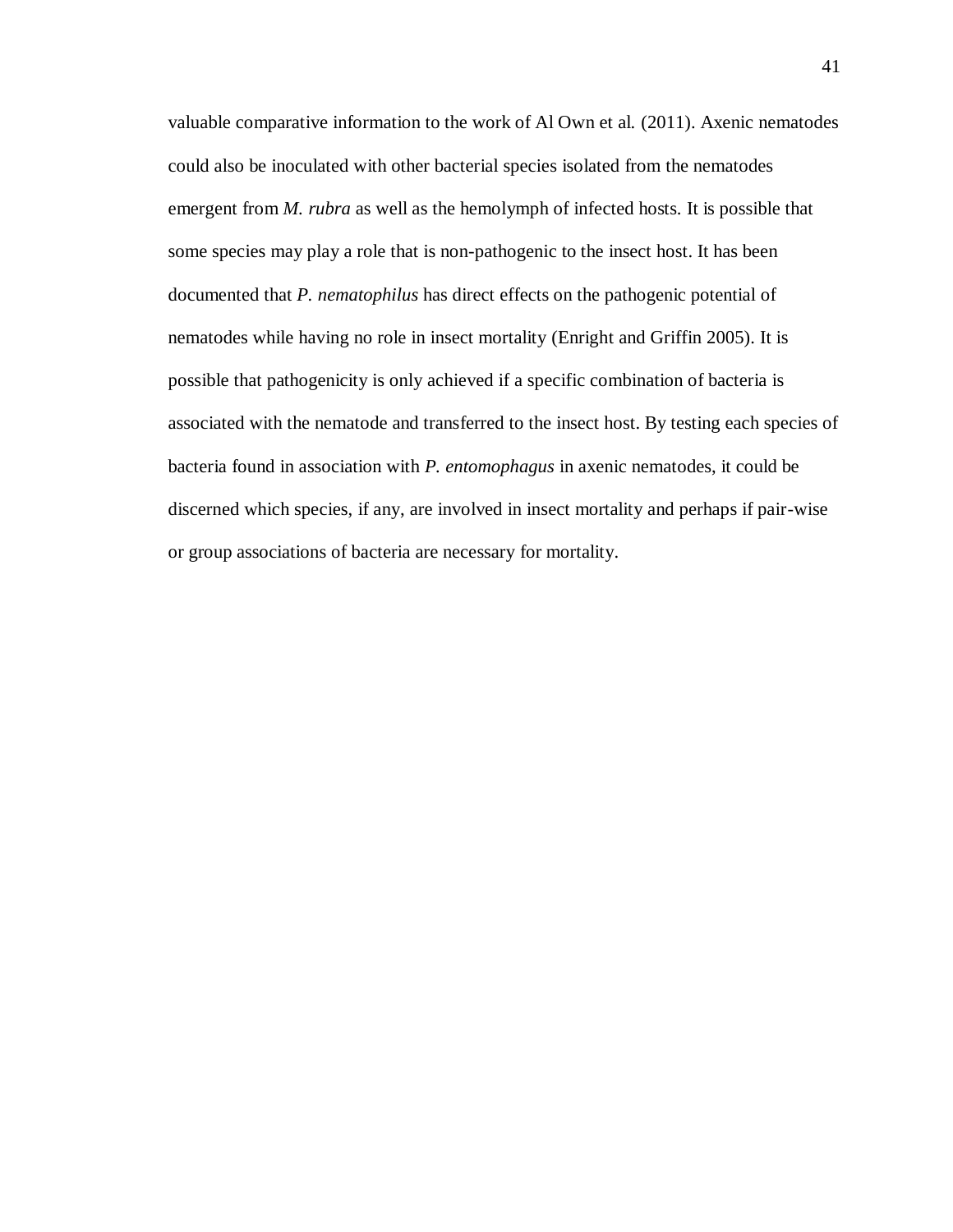valuable comparative information to the work of Al Own et al. (2011). Axenic nematodes could also be inoculated with other bacterial species isolated from the nematodes emergent from *M. rubra* as well as the hemolymph of infected hosts. It is possible that some species may play a role that is non-pathogenic to the insect host. It has been documented that *P. nematophilus* has direct effects on the pathogenic potential of nematodes while having no role in insect mortality (Enright and Griffin 2005). It is possible that pathogenicity is only achieved if a specific combination of bacteria is associated with the nematode and transferred to the insect host. By testing each species of bacteria found in association with *P. entomophagus* in axenic nematodes, it could be discerned which species, if any, are involved in insect mortality and perhaps if pair-wise or group associations of bacteria are necessary for mortality.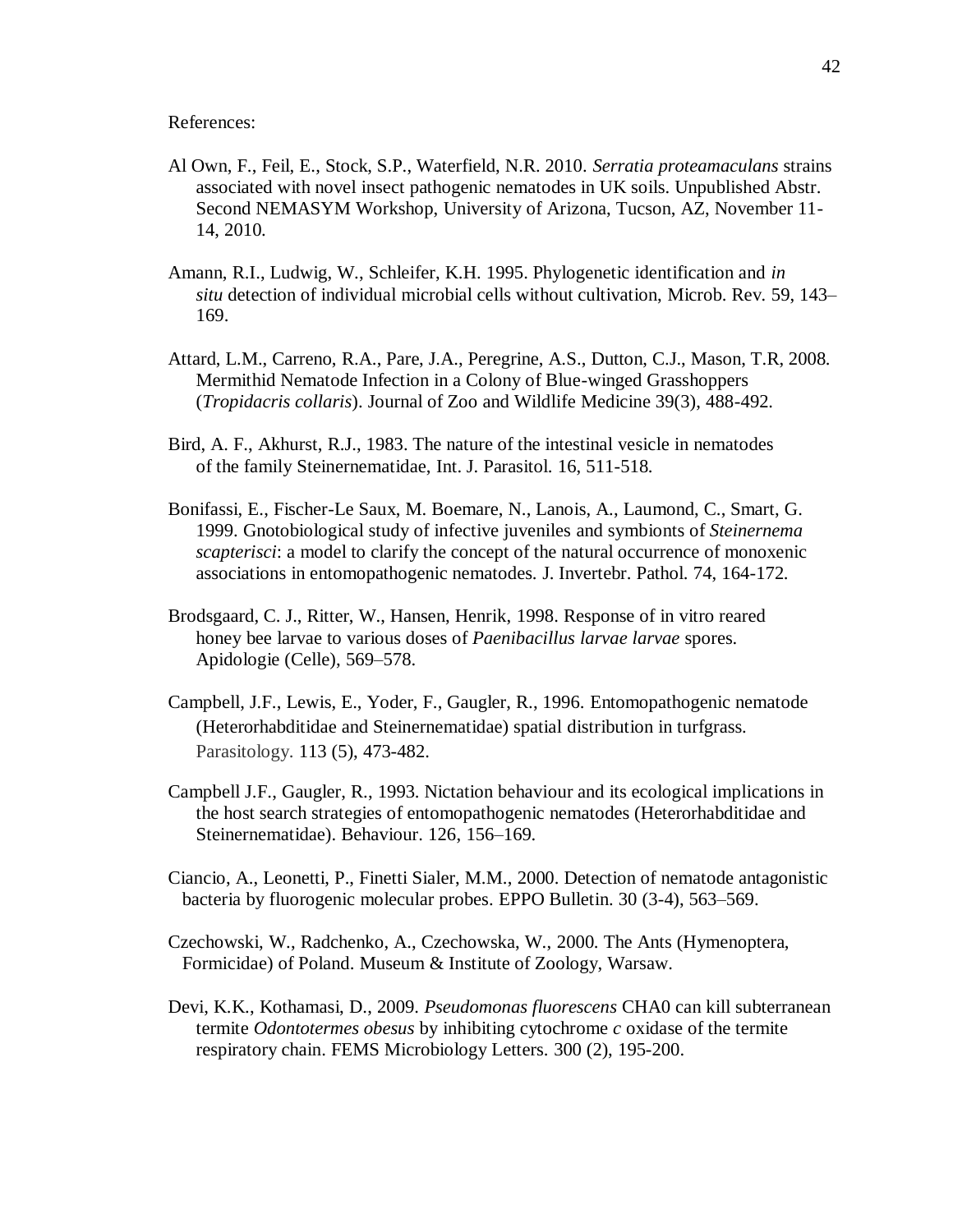References:

- Al Own, F., Feil, E., Stock, S.P., Waterfield, N.R. 2010. *Serratia proteamaculans* strains associated with novel insect pathogenic nematodes in UK soils. Unpublished Abstr. Second NEMASYM Workshop, University of Arizona, Tucson, AZ, November 11- 14, 2010.
- Amann, R.I., Ludwig, W., Schleifer, K.H. 1995. Phylogenetic identification and *in situ* detection of individual microbial cells without cultivation, Microb. Rev*.* 59, 143– 169.
- Attard, L.M., Carreno, R.A., Pare, J.A., Peregrine, A.S., Dutton, C.J., Mason, T.R, 2008. Mermithid Nematode Infection in a Colony of Blue-winged Grasshoppers (*Tropidacris collaris*). Journal of Zoo and Wildlife Medicine 39(3), 488-492.
- Bird, A. F., Akhurst, R.J., 1983. The nature of the intestinal vesicle in nematodes of the family Steinernematidae, Int. J. Parasitol. 16, 511-518.
- Bonifassi, E., Fischer-Le Saux, M. Boemare, N., Lanois, A., Laumond, C., Smart, G. 1999. Gnotobiological study of infective juveniles and symbionts of *Steinernema scapterisci*: a model to clarify the concept of the natural occurrence of monoxenic associations in entomopathogenic nematodes. J. Invertebr. Pathol. 74, 164-172.
- Brodsgaard, C. J., Ritter, W., Hansen, Henrik, 1998. Response of in vitro reared honey bee larvae to various doses of *Paenibacillus larvae larvae* spores. Apidologie (Celle), 569–578.
- Campbell, J.F., Lewis, E., Yoder, F., Gaugler, R., 1996. Entomopathogenic nematode (Heterorhabditidae and Steinernematidae) spatial distribution in turfgrass. [Parasitology.](javascript:AL_get(this,%20) 113 (5), 473-482.
- Campbell J.F., Gaugler, R., 1993. Nictation behaviour and its ecological implications in the host search strategies of entomopathogenic nematodes (Heterorhabditidae and Steinernematidae). Behaviour. 126, 156–169.
- Ciancio, A., Leonetti, P., Finetti Sialer, M.M., 2000. Detection of nematode antagonistic bacteria by fluorogenic molecular probes. EPPO Bulletin. 30 (3-4), 563–569.
- Czechowski, W., Radchenko, A., Czechowska, W., 2000. The Ants (Hymenoptera, Formicidae) of Poland. Museum & Institute of Zoology, Warsaw.
- Devi, K.K., Kothamasi, D., 2009. *Pseudomonas fluorescens* CHA0 can kill subterranean termite *Odontotermes obesus* by inhibiting cytochrome *c* oxidase of the termite respiratory chain. FEMS Microbiology Letters. 300 (2), 195-200.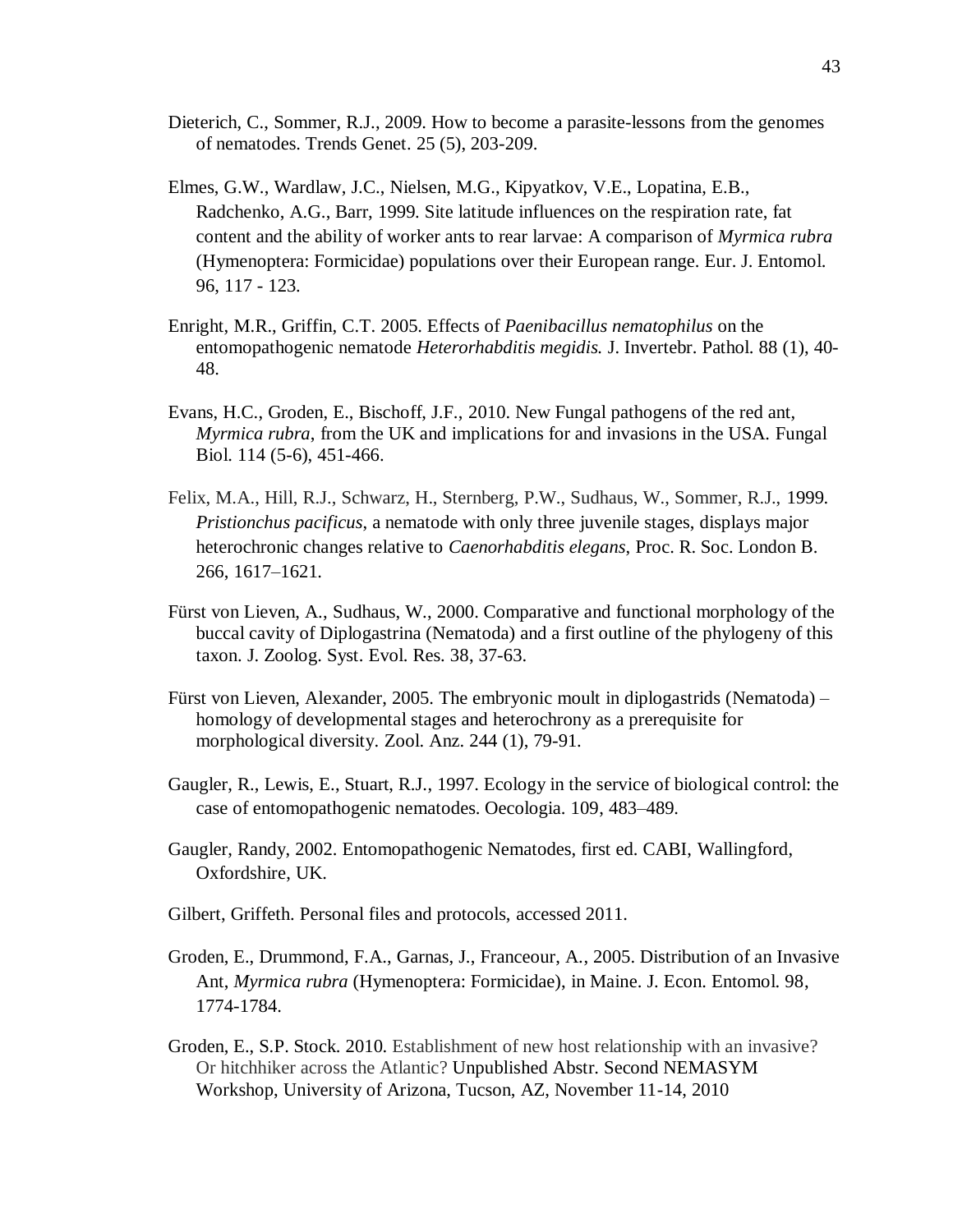- Dieterich, C., Sommer, R.J., 2009. How to become a parasite-lessons from the genomes of nematodes. Trends Genet. 25 (5), 203-209.
- Elmes, G.W., Wardlaw, J.C., Nielsen, M.G., Kipyatkov, V.E., Lopatina, E.B., Radchenko, A.G., Barr, 1999. Site latitude influences on the respiration rate, fat content and the ability of worker ants to rear larvae: A comparison of *Myrmica rubra* (Hymenoptera: Formicidae) populations over their European range. Eur. J. Entomol. 96, 117 - 123.
- Enright, M.R., Griffin, C.T. 2005. Effects of *Paenibacillus nematophilus* on the entomopathogenic nematode *Heterorhabditis megidis.* J. Invertebr. Pathol. 88 (1), 40- 48.
- Evans, H.C., Groden, E., Bischoff, J.F., 2010. New Fungal pathogens of the red ant, *Myrmica rubra*, from the UK and implications for and invasions in the USA. Fungal Biol. 114 (5-6), 451-466.
- Felix, M.A., Hill, R.J., Schwarz, H., Sternberg, P.W., Sudhaus, W., Sommer, R.J., 1999. *Pristionchus pacificus*, a nematode with only three juvenile stages, displays major heterochronic changes relative to *Caenorhabditis elegans*, Proc. R. Soc. London B. 266, 1617–1621.
- Fürst von Lieven, A., Sudhaus, W., 2000. Comparative and functional morphology of the buccal cavity of Diplogastrina (Nematoda) and a first outline of the phylogeny of this taxon. J. Zoolog. Syst. Evol. Res. 38, 37-63.
- Fürst von Lieven, Alexander, 2005. The embryonic moult in diplogastrids (Nematoda) homology of developmental stages and heterochrony as a prerequisite for morphological diversity. Zool. Anz. 244 (1), 79-91.
- Gaugler, R., Lewis, E., Stuart, R.J., 1997. Ecology in the service of biological control: the case of entomopathogenic nematodes. Oecologia. 109, 483–489.
- Gaugler, Randy, 2002. Entomopathogenic Nematodes, first ed. CABI, Wallingford, Oxfordshire, UK.
- Gilbert, Griffeth. Personal files and protocols, accessed 2011.
- Groden, E., Drummond, F.A., Garnas, J., Franceour, A., 2005. Distribution of an Invasive Ant, *Myrmica rubra* (Hymenoptera: Formicidae), in Maine. J. Econ. Entomol. 98, 1774-1784.
- Groden, E., S.P. Stock. 2010. Establishment of new host relationship with an invasive? Or hitchhiker across the Atlantic? Unpublished Abstr. Second NEMASYM Workshop, University of Arizona, Tucson, AZ, November 11-14, 2010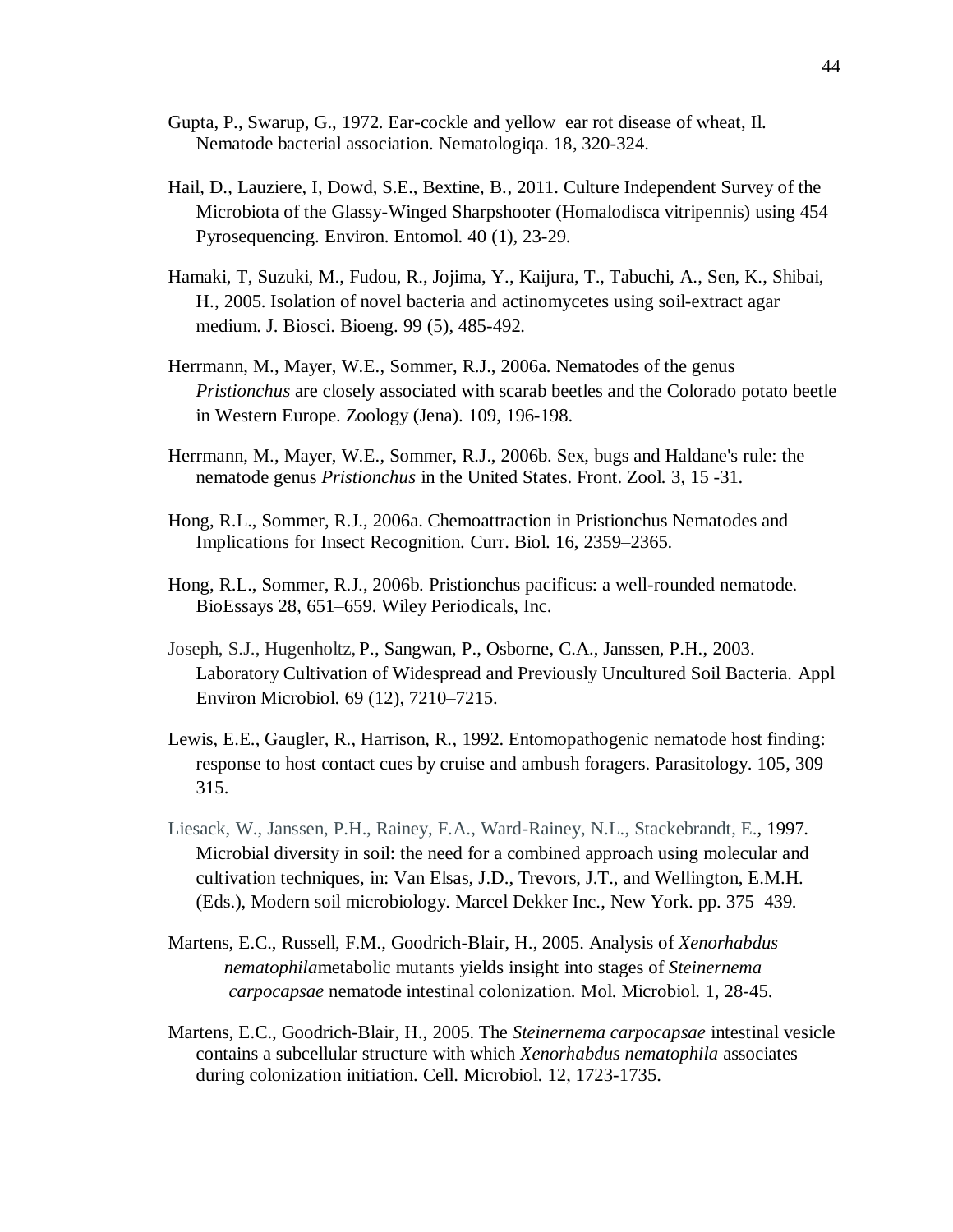- Gupta, P., Swarup, G., 1972. Ear-cockle and yellow ear rot disease of wheat, Il. Nematode bacterial association. Nematologiqa. 18, 320-324.
- Hail, D., Lauziere, I, Dowd, S.E., Bextine, B., 2011. Culture Independent Survey of the Microbiota of the Glassy-Winged Sharpshooter (Homalodisca vitripennis) using 454 Pyrosequencing. Environ. Entomol. 40 (1), 23-29.
- Hamaki, T, Suzuki, M., Fudou, R., Jojima, Y., Kaijura, T., Tabuchi, A., Sen, K., Shibai, H., 2005. Isolation of novel bacteria and actinomycetes using soil-extract agar medium. J. Biosci. Bioeng. 99 (5), 485-492.
- Herrmann, M., Mayer, W.E., Sommer, R.J., 2006a. Nematodes of the genus *Pristionchus* are closely associated with scarab beetles and the Colorado potato beetle in Western Europe. Zoology (Jena). 109, 196-198.
- Herrmann, M., Mayer, W.E., Sommer, R.J., 2006b. Sex, bugs and Haldane's rule: the nematode genus *Pristionchus* in the United States. Front. Zool*.* 3, 15 -31.
- Hong, R.L., Sommer, R.J., 2006a. Chemoattraction in Pristionchus Nematodes and Implications for Insect Recognition. Curr. Biol. 16, 2359–2365.
- Hong, R.L., Sommer, R.J., 2006b. Pristionchus pacificus: a well-rounded nematode. BioEssays 28, 651–659. Wiley Periodicals, Inc.
- Joseph, S.J., Hugenholtz, P., Sangwan, P., Osborne, C.A., Janssen, P.H., 2003. Laboratory Cultivation of Widespread and Previously Uncultured Soil Bacteria. Appl Environ Microbiol. 69 (12), 7210–7215.
- Lewis, E.E., Gaugler, R., Harrison, R., 1992. Entomopathogenic nematode host finding: response to host contact cues by cruise and ambush foragers. Parasitology. 105, 309– 315.
- Liesack, W., Janssen, P.H., Rainey, F.A., Ward-Rainey, N.L., Stackebrandt, E., 1997. Microbial diversity in soil: the need for a combined approach using molecular and cultivation techniques, in: Van Elsas, J.D., Trevors, J.T., and Wellington, E.M.H. (Eds.), Modern soil microbiology. Marcel Dekker Inc., New York. pp. 375–439.
- Martens, E.C., Russell, F.M., Goodrich-Blair, H., 2005. Analysis of *Xenorhabdus nematophila*metabolic mutants yields insight into stages of *Steinernema carpocapsae* nematode intestinal colonization. Mol. Microbiol. 1, 28-45.
- Martens, E.C., Goodrich-Blair, H., 2005. The *Steinernema carpocapsae* intestinal vesicle contains a subcellular structure with which *Xenorhabdus nematophila* associates during colonization initiation. Cell. Microbiol. 12, 1723-1735.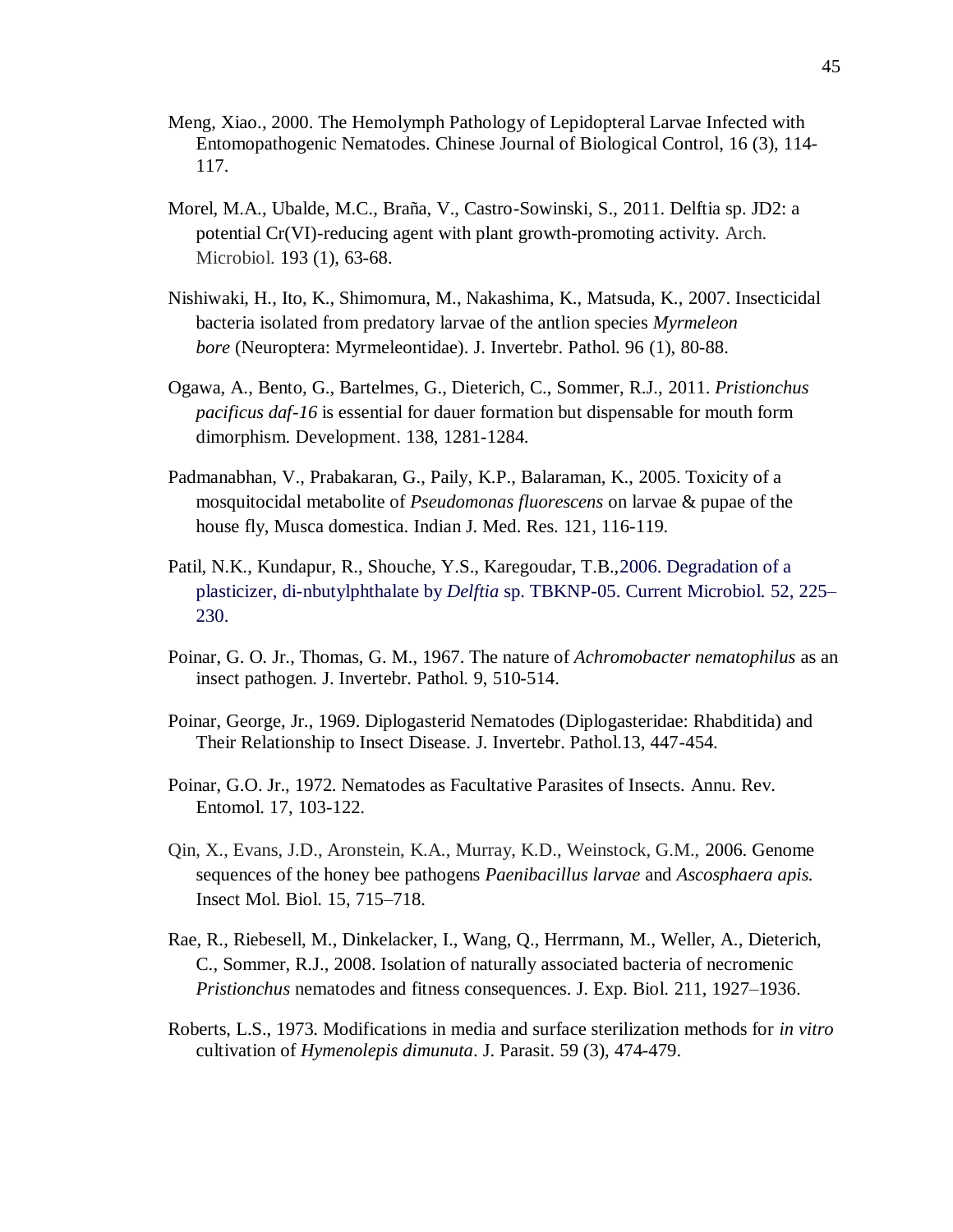- Meng, Xiao., 2000. The Hemolymph Pathology of Lepidopteral Larvae Infected with Entomopathogenic Nematodes. Chinese Journal of Biological Control, 16 (3), 114- 117.
- Morel, M.A., Ubalde, M.C., Braña, V., Castro-Sowinski, S., 2011. Delftia sp. JD2: a potential Cr(VI)-reducing agent with plant growth-promoting activity. [Arch.](javascript:AL_get(this,%20)  [Microbiol.](javascript:AL_get(this,%20) 193 (1), 63-68.
- Nishiwaki, H., Ito, K., Shimomura, M., Nakashima, K., Matsuda, K., 2007. Insecticidal bacteria isolated from predatory larvae of the antlion species *Myrmeleon bore* (Neuroptera: Myrmeleontidae). J. Invertebr. Pathol. 96 (1), 80-88.
- Ogawa, A., Bento, G., Bartelmes, G., Dieterich, C., Sommer, R.J., 2011. *Pristionchus pacificus daf-16* is essential for dauer formation but dispensable for mouth form dimorphism. Development. 138, 1281-1284.
- Padmanabhan, V., Prabakaran, G., Paily, K.P., Balaraman, K., 2005. Toxicity of a mosquitocidal metabolite of *Pseudomonas fluorescens* on larvae & pupae of the house fly, Musca domestica. Indian J. Med. Res. 121, 116-119.
- Patil, N.K., Kundapur, R., Shouche, Y.S., Karegoudar, T.B.,2006. Degradation of a plasticizer, di-nbutylphthalate by *Delftia* sp. TBKNP-05. Current Microbiol*.* 52, 225– 230.
- Poinar, G. O. Jr., Thomas, G. M., 1967. The nature of *Achromobacter nematophilus* as an insect pathogen. J. Invertebr. Pathol. 9, 510-514.
- Poinar, George, Jr., 1969. Diplogasterid Nematodes (Diplogasteridae: Rhabditida) and Their Relationship to Insect Disease. J. Invertebr. Pathol.13, 447-454.
- Poinar, G.O. Jr., 1972. Nematodes as Facultative Parasites of Insects. Annu. Rev. Entomol. 17, 103-122.
- Qin, X., Evans, J.D., Aronstein, K.A., Murray, K.D., Weinstock, G.M., 2006. Genome sequences of the honey bee pathogens *Paenibacillus larvae* and *Ascosphaera apis.* Insect Mol. Biol. 15, 715–718.
- Rae, R., Riebesell, M., Dinkelacker, I., Wang, Q., Herrmann, M., Weller, A., Dieterich, C., Sommer, R.J., 2008. Isolation of naturally associated bacteria of necromenic *Pristionchus* nematodes and fitness consequences. J. Exp. Biol. 211, 1927–1936.
- Roberts, L.S., 1973. Modifications in media and surface sterilization methods for *in vitro* cultivation of *Hymenolepis dimunuta*. J. Parasit. 59 (3), 474-479.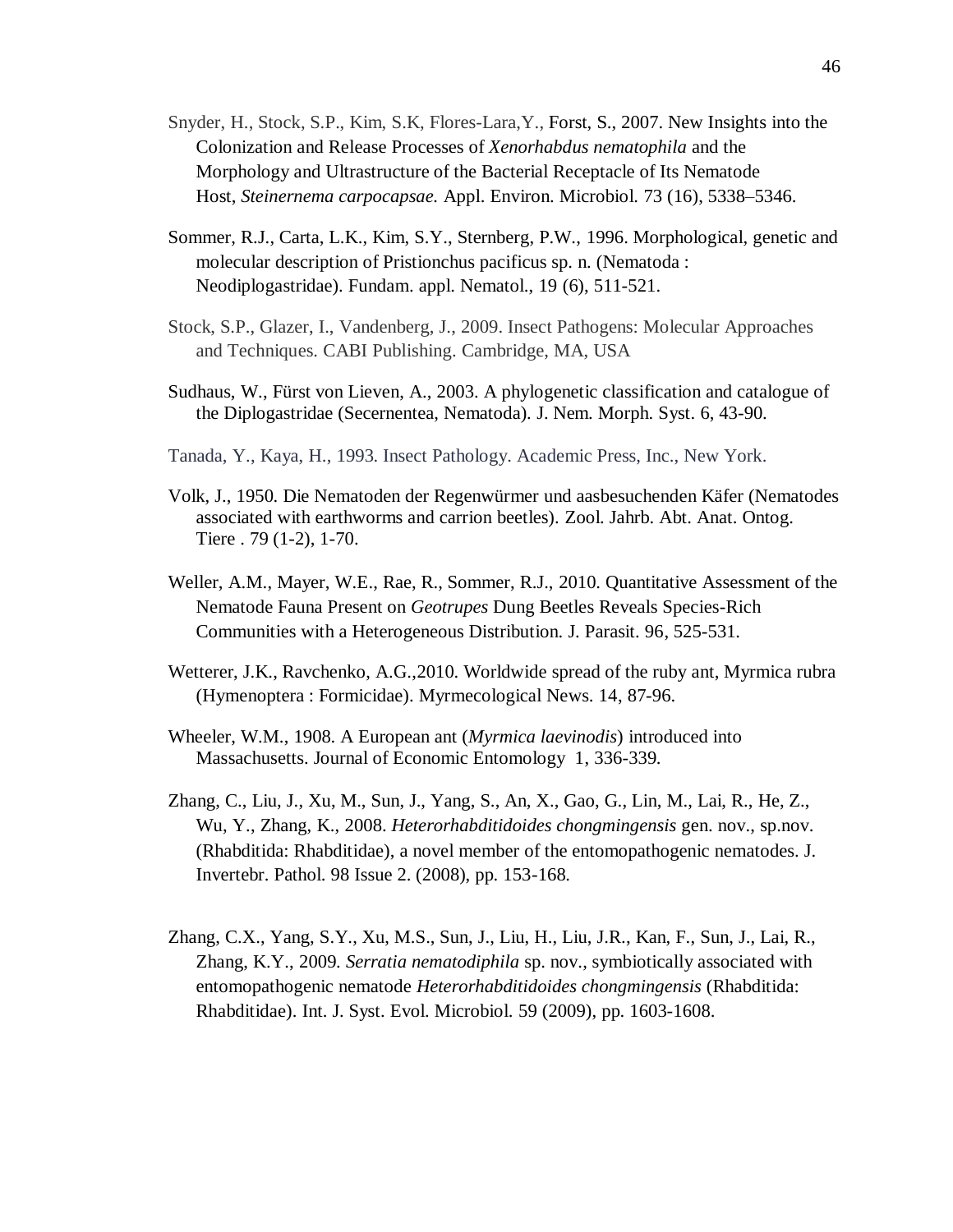- Snyder, H., Stock, S.P., Kim, S.K, Flores-Lara,Y., Forst, S., 2007. New Insights into the Colonization and Release Processes of *Xenorhabdus nematophila* and the Morphology and Ultrastructure of the Bacterial Receptacle of Its Nematode Host, *Steinernema carpocapsae.* Appl. Environ. Microbiol. 73 (16), 5338–5346.
- Sommer, R.J., Carta, L.K., Kim, S.Y., Sternberg, P.W., 1996. Morphological, genetic and molecular description of Pristionchus pacificus sp. n. (Nematoda : Neodiplogastridae). Fundam. appl. Nematol., 19 (6), 511-521.
- Stock, S.P., Glazer, I., Vandenberg, J., 2009. Insect Pathogens: Molecular Approaches and Techniques. CABI Publishing. Cambridge, MA, USA
- Sudhaus, W., Fürst von Lieven, A., 2003. A phylogenetic classification and catalogue of the Diplogastridae (Secernentea, Nematoda). J. Nem. Morph. Syst. 6, 43-90.
- Tanada, Y., Kaya, H., 1993. Insect Pathology. Academic Press, Inc., New York.
- Volk, J., 1950. Die Nematoden der Regenwürmer und aasbesuchenden Käfer (Nematodes associated with earthworms and carrion beetles). Zool. Jahrb. Abt. Anat. Ontog. Tiere . 79 (1-2), 1-70.
- Weller, A.M., Mayer, W.E., Rae, R., Sommer, R.J., 2010. Quantitative Assessment of the Nematode Fauna Present on *Geotrupes* Dung Beetles Reveals Species-Rich Communities with a Heterogeneous Distribution. J. Parasit. 96, 525-531.
- Wetterer, J.K., Ravchenko, A.G.,2010. Worldwide spread of the ruby ant, Myrmica rubra (Hymenoptera : Formicidae). Myrmecological News. 14, 87-96.
- Wheeler, W.M., 1908. A European ant (*Myrmica laevinodis*) introduced into Massachusetts. Journal of Economic Entomology 1, 336-339.
- Zhang, C., Liu, J., Xu, M., Sun, J., Yang, S., An, X., Gao, G., Lin, M., Lai, R., He, Z., Wu, Y., Zhang, K., 2008. *Heterorhabditidoides chongmingensis* gen. nov., sp.nov. (Rhabditida: Rhabditidae), a novel member of the entomopathogenic nematodes. J. Invertebr. Pathol. 98 Issue 2. (2008), pp. 153-168.
- Zhang, C.X., Yang, S.Y., Xu, M.S., Sun, J., Liu, H., Liu, J.R., Kan, F., Sun, J., Lai, R., Zhang, K.Y., 2009. *Serratia nematodiphila* sp. nov., symbiotically associated with entomopathogenic nematode *Heterorhabditidoides chongmingensis* (Rhabditida: Rhabditidae). Int. J. Syst. Evol. Microbiol. 59 (2009), pp. 1603-1608.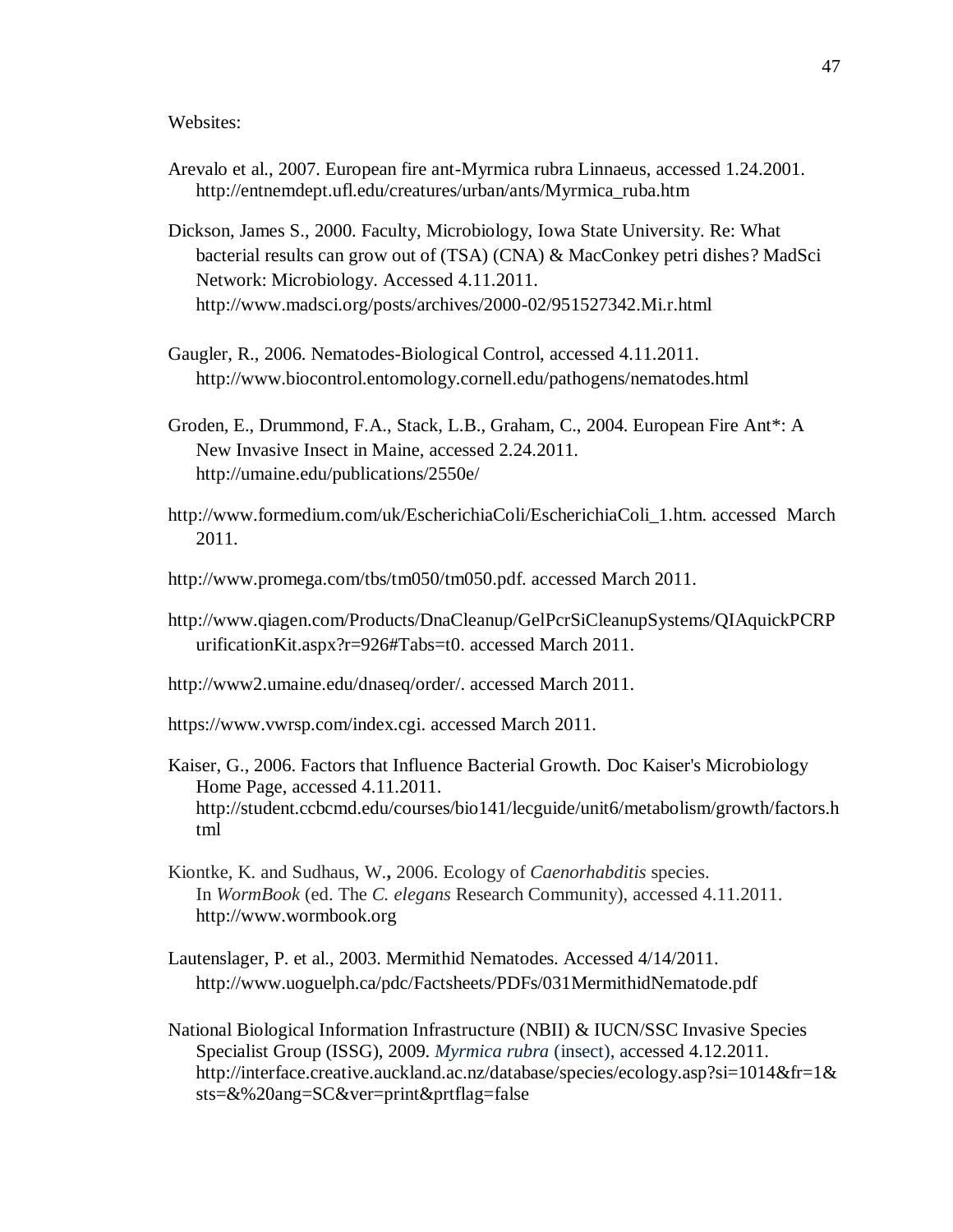Websites:

- Arevalo et al., 2007. European fire ant-Myrmica rubra Linnaeus, accessed 1.24.2001. http://entnemdept.ufl.edu/creatures/urban/ants/Myrmica\_ruba.htm
- Dickson, James S., 2000. Faculty, Microbiology, Iowa State University. Re: What bacterial results can grow out of (TSA) (CNA) & MacConkey petri dishes? MadSci Network: Microbiology. Accessed 4.11.2011. http://www.madsci.org/posts/archives/2000-02/951527342.Mi.r.html
- Gaugler, R., 2006. Nematodes-Biological Control, accessed 4.11.2011. http://www.biocontrol.entomology.cornell.edu/pathogens/nematodes.html
- Groden, E., Drummond, F.A., Stack, L.B., Graham, C., 2004. European Fire Ant\*: A New Invasive Insect in Maine, accessed 2.24.2011. http://umaine.edu/publications/2550e/
- http://www.formedium.com/uk/EscherichiaColi/EscherichiaColi\_1.htm. accessed March 2011.
- http://www.promega.com/tbs/tm050/tm050.pdf. accessed March 2011.
- http://www.qiagen.com/Products/DnaCleanup/GelPcrSiCleanupSystems/QIAquickPCRP urificationKit.aspx?r=926#Tabs=t0. accessed March 2011.
- http://www2.umaine.edu/dnaseq/order/. accessed March 2011.
- https://www.vwrsp.com/index.cgi. accessed March 2011.
- Kaiser, G., 2006. Factors that Influence Bacterial Growth. [Doc Kaiser's Microbiology](http://student.ccbcmd.edu/~gkaiser/goshp.html)  [Home Page,](http://student.ccbcmd.edu/~gkaiser/goshp.html) accessed 4.11.2011. http://student.ccbcmd.edu/courses/bio141/lecguide/unit6/metabolism/growth/factors.h tml
- Kiontke, K. and Sudhaus, W.**,** 2006. Ecology of *Caenorhabditis* species. In *WormBook* (ed. The *C. elegans* Research Community), accessed 4.11.2011. http://www.wormbook.org
- Lautenslager, P. et al., 2003. Mermithid Nematodes. Accessed 4/14/2011. <http://www.uoguelph.ca/pdc/Factsheets/PDFs/031MermithidNematode.pdf>
- National Biological Information Infrastructure (NBII) & IUCN/SSC Invasive Species Specialist Group (ISSG), 2009. *Myrmica rubra* (insect), accessed 4.12.2011. http://interface.creative.auckland.ac.nz/database/species/ecology.asp?si=1014&fr=1& sts=&%20ang=SC&ver=print&prtflag=false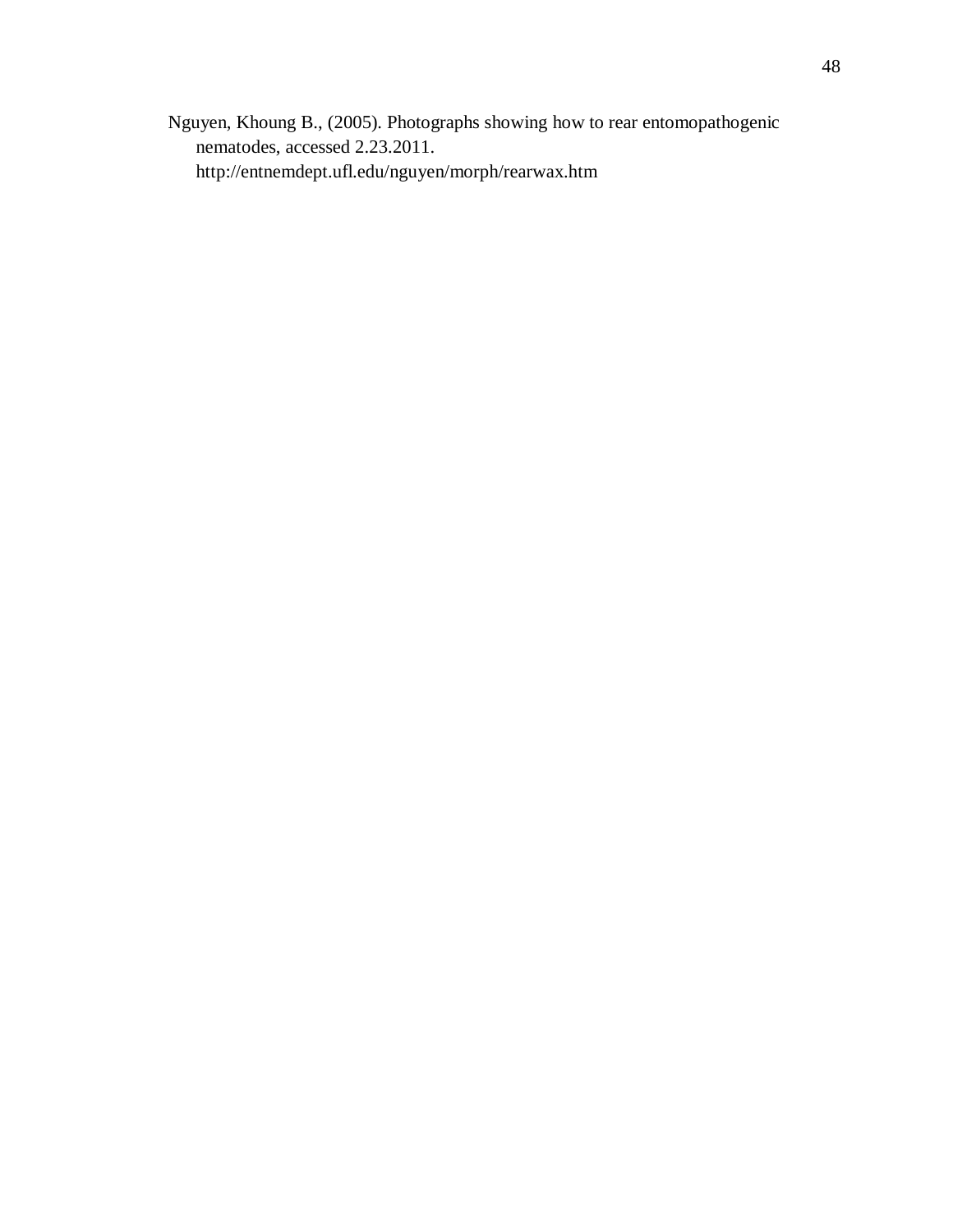Nguyen, Khoung B., (2005). Photographs showing how to rear entomopathogenic nematodes, accessed 2.23.2011. http://entnemdept.ufl.edu/nguyen/morph/rearwax.htm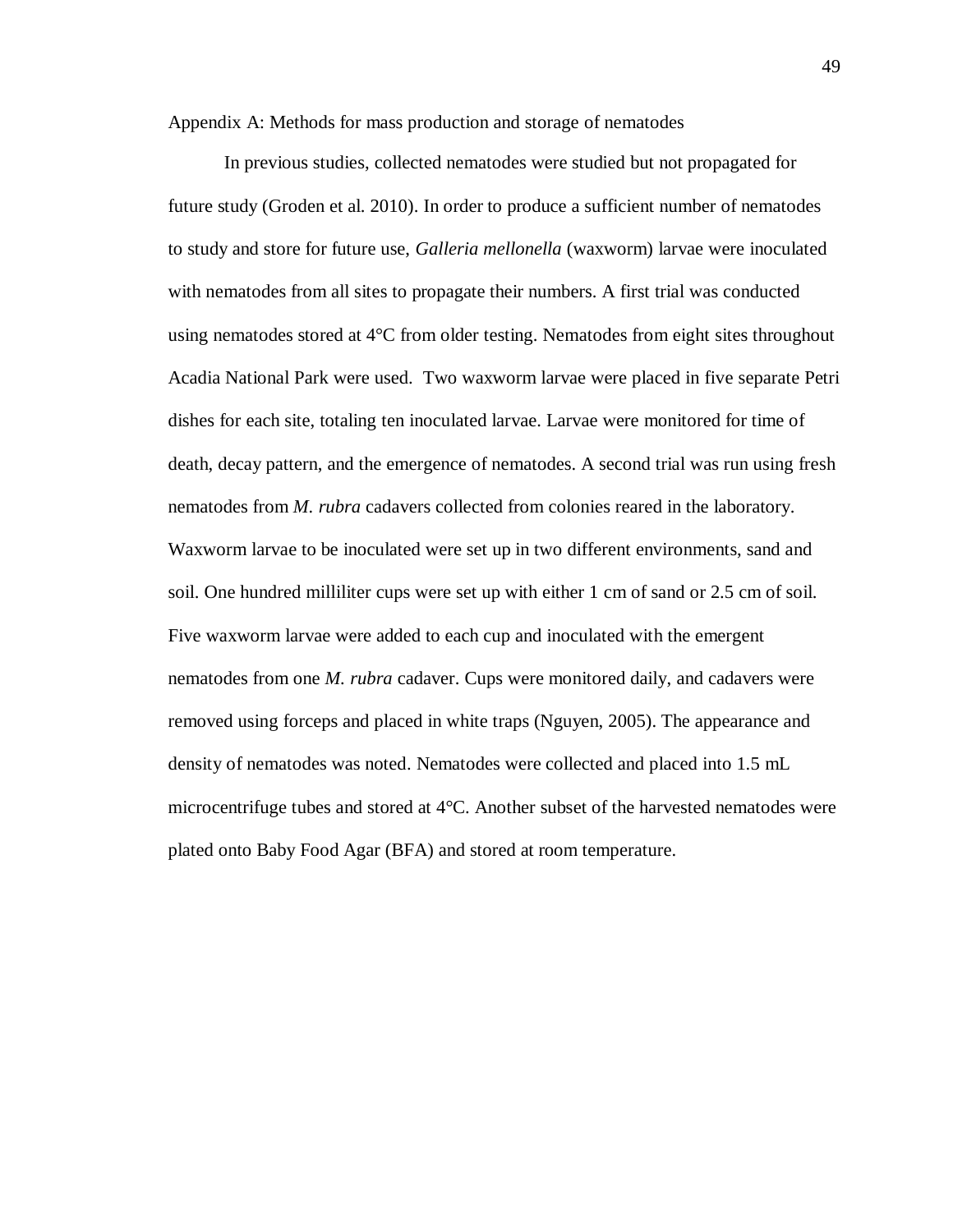Appendix A: Methods for mass production and storage of nematodes

In previous studies, collected nematodes were studied but not propagated for future study (Groden et al. 2010). In order to produce a sufficient number of nematodes to study and store for future use, *Galleria mellonella* (waxworm) larvae were inoculated with nematodes from all sites to propagate their numbers. A first trial was conducted using nematodes stored at 4°C from older testing. Nematodes from eight sites throughout Acadia National Park were used. Two waxworm larvae were placed in five separate Petri dishes for each site, totaling ten inoculated larvae. Larvae were monitored for time of death, decay pattern, and the emergence of nematodes. A second trial was run using fresh nematodes from *M. rubra* cadavers collected from colonies reared in the laboratory. Waxworm larvae to be inoculated were set up in two different environments, sand and soil. One hundred milliliter cups were set up with either 1 cm of sand or 2.5 cm of soil. Five waxworm larvae were added to each cup and inoculated with the emergent nematodes from one *M. rubra* cadaver. Cups were monitored daily, and cadavers were removed using forceps and placed in white traps (Nguyen, 2005). The appearance and density of nematodes was noted. Nematodes were collected and placed into 1.5 mL microcentrifuge tubes and stored at 4°C. Another subset of the harvested nematodes were plated onto Baby Food Agar (BFA) and stored at room temperature.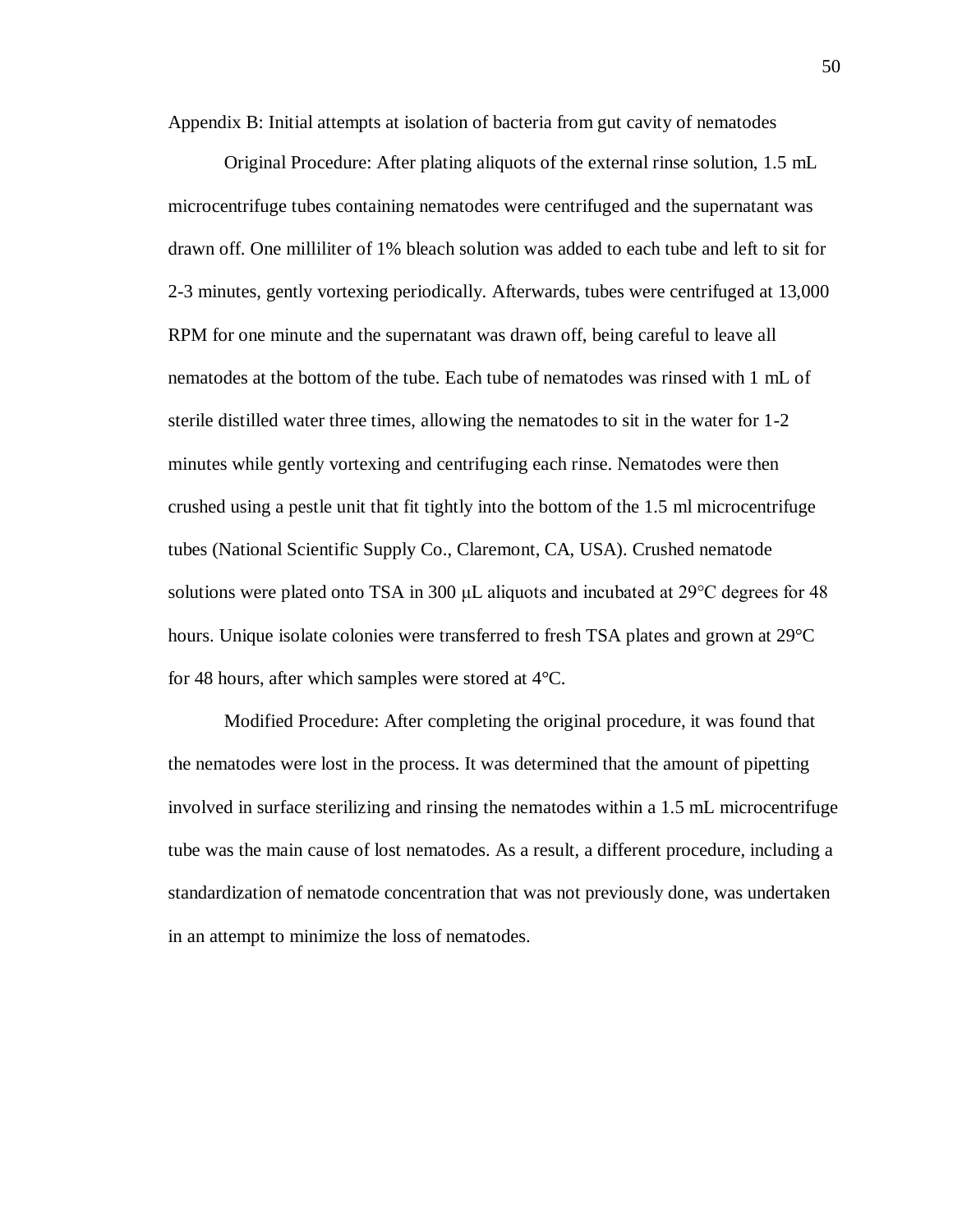Appendix B: Initial attempts at isolation of bacteria from gut cavity of nematodes

Original Procedure: After plating aliquots of the external rinse solution, 1.5 mL microcentrifuge tubes containing nematodes were centrifuged and the supernatant was drawn off. One milliliter of 1% bleach solution was added to each tube and left to sit for 2-3 minutes, gently vortexing periodically. Afterwards, tubes were centrifuged at 13,000 RPM for one minute and the supernatant was drawn off, being careful to leave all nematodes at the bottom of the tube. Each tube of nematodes was rinsed with 1 mL of sterile distilled water three times, allowing the nematodes to sit in the water for 1-2 minutes while gently vortexing and centrifuging each rinse. Nematodes were then crushed using a pestle unit that fit tightly into the bottom of the 1.5 ml microcentrifuge tubes (National Scientific Supply Co., Claremont, CA, USA). Crushed nematode solutions were plated onto TSA in 300 μL aliquots and incubated at 29°C degrees for 48 hours. Unique isolate colonies were transferred to fresh TSA plates and grown at 29°C for 48 hours, after which samples were stored at 4°C.

Modified Procedure: After completing the original procedure, it was found that the nematodes were lost in the process. It was determined that the amount of pipetting involved in surface sterilizing and rinsing the nematodes within a 1.5 mL microcentrifuge tube was the main cause of lost nematodes. As a result, a different procedure, including a standardization of nematode concentration that was not previously done, was undertaken in an attempt to minimize the loss of nematodes.